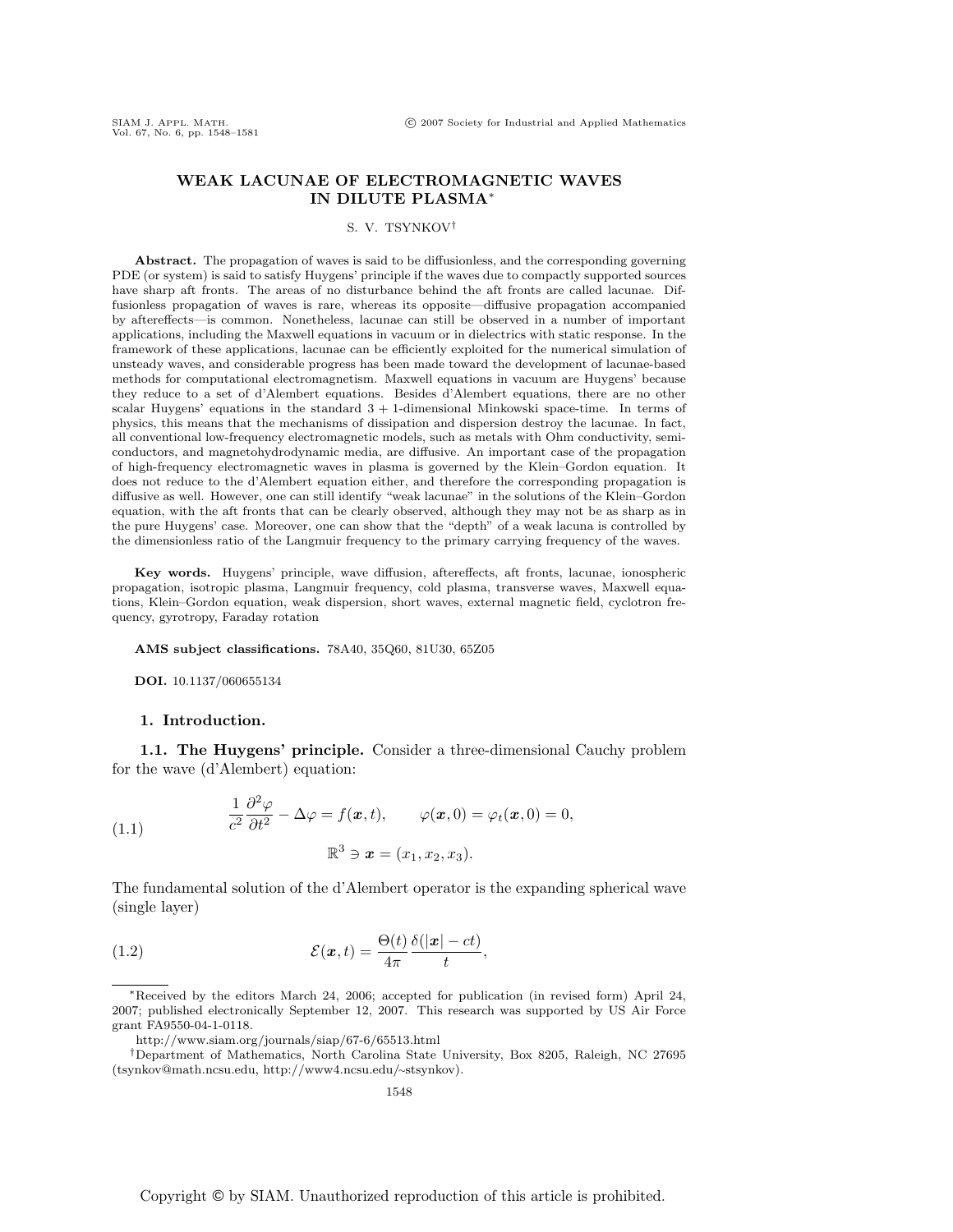# **WEAK LACUNAE OF ELECTROMAGNETIC WAVES IN DILUTE PLASMA**∗

### S. V. TSYNKOV†

**Abstract.** The propagation of waves is said to be diffusionless, and the corresponding governing PDE (or system) is said to satisfy Huygens' principle if the waves due to compactly supported sources have sharp aft fronts. The areas of no disturbance behind the aft fronts are called lacunae. Diffusionless propagation of waves is rare, whereas its opposite—diffusive propagation accompanied by aftereffects—is common. Nonetheless, lacunae can still be observed in a number of important applications, including the Maxwell equations in vacuum or in dielectrics with static response. In the framework of these applications, lacunae can be efficiently exploited for the numerical simulation of unsteady waves, and considerable progress has been made toward the development of lacunae-based methods for computational electromagnetism. Maxwell equations in vacuum are Huygens' because they reduce to a set of d'Alembert equations. Besides d'Alembert equations, there are no other scalar Huygens' equations in the standard  $3 + 1$ -dimensional Minkowski space-time. In terms of physics, this means that the mechanisms of dissipation and dispersion destroy the lacunae. In fact, all conventional low-frequency electromagnetic models, such as metals with Ohm conductivity, semiconductors, and magnetohydrodynamic media, are diffusive. An important case of the propagation of high-frequency electromagnetic waves in plasma is governed by the Klein–Gordon equation. It does not reduce to the d'Alembert equation either, and therefore the corresponding propagation is diffusive as well. However, one can still identify "weak lacunae" in the solutions of the Klein–Gordon equation, with the aft fronts that can be clearly observed, although they may not be as sharp as in the pure Huygens' case. Moreover, one can show that the "depth" of a weak lacuna is controlled by the dimensionless ratio of the Langmuir frequency to the primary carrying frequency of the waves.

**Key words.** Huygens' principle, wave diffusion, aftereffects, aft fronts, lacunae, ionospheric propagation, isotropic plasma, Langmuir frequency, cold plasma, transverse waves, Maxwell equations, Klein–Gordon equation, weak dispersion, short waves, external magnetic field, cyclotron frequency, gyrotropy, Faraday rotation

**AMS subject classifications.** 78A40, 35Q60, 81U30, 65Z05

**DOI.** 10.1137/060655134

### **1. Introduction.**

**1.1. The Huygens' principle.** Consider a three-dimensional Cauchy problem for the wave (d'Alembert) equation:

(1.1) 
$$
\frac{1}{c^2} \frac{\partial^2 \varphi}{\partial t^2} - \Delta \varphi = f(\boldsymbol{x}, t), \qquad \varphi(\boldsymbol{x}, 0) = \varphi_t(\boldsymbol{x}, 0) = 0,
$$

$$
\mathbb{R}^3 \ni \boldsymbol{x} = (x_1, x_2, x_3).
$$

The fundamental solution of the d'Alembert operator is the expanding spherical wave (single layer)

(1.2) 
$$
\mathcal{E}(\boldsymbol{x},t) = \frac{\Theta(t)}{4\pi} \frac{\delta(|\boldsymbol{x}| - ct)}{t},
$$

<sup>∗</sup>Received by the editors March 24, 2006; accepted for publication (in revised form) April 24, 2007; published electronically September 12, 2007. This research was supported by US Air Force grant FA9550-04-1-0118.

http://www.siam.org/journals/siap/67-6/65513.html

<sup>†</sup>Department of Mathematics, North Carolina State University, Box 8205, Raleigh, NC 27695 (tsynkov@math.ncsu.edu, http://www4.ncsu.edu/∼stsynkov).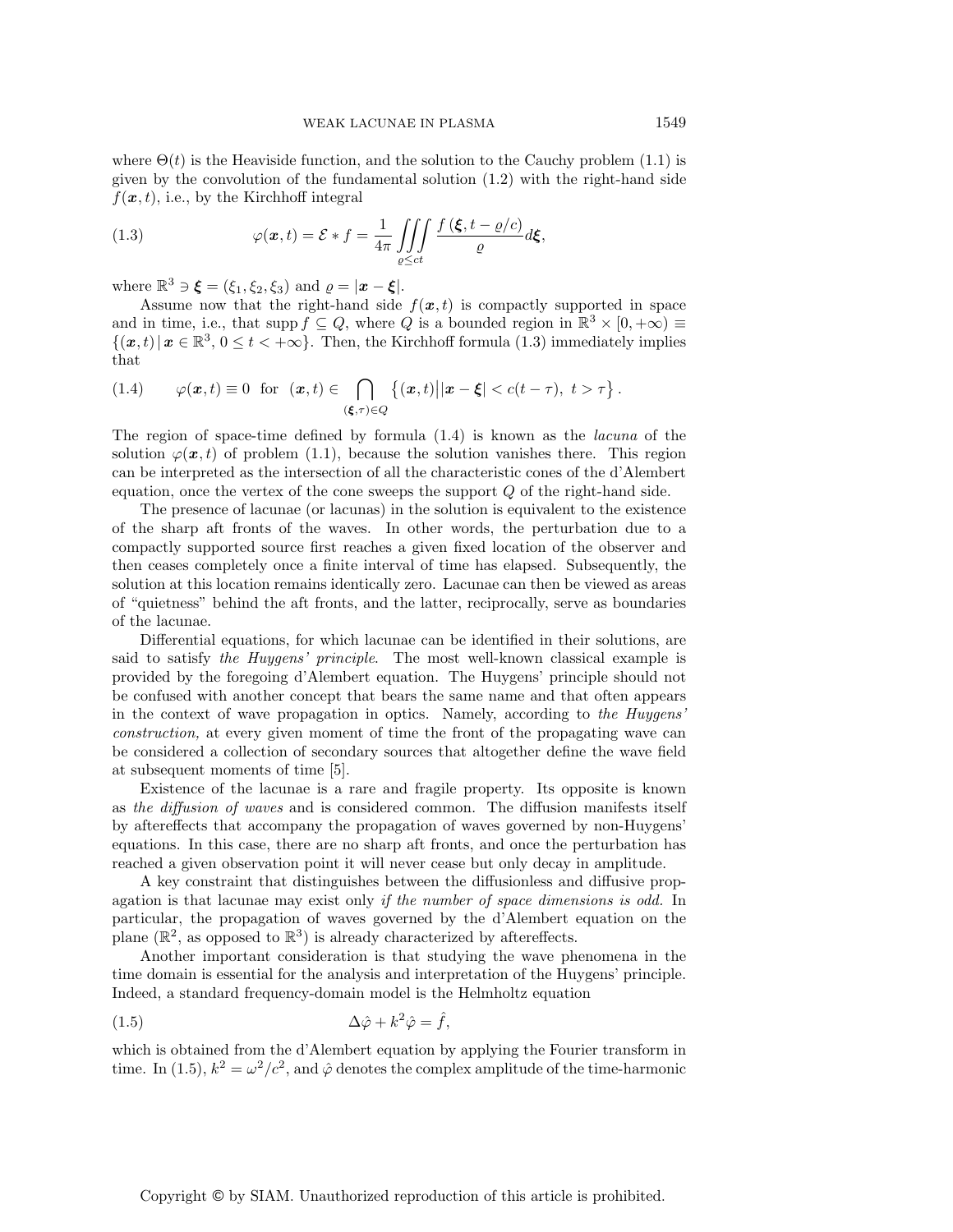where  $\Theta(t)$  is the Heaviside function, and the solution to the Cauchy problem (1.1) is given by the convolution of the fundamental solution (1.2) with the right-hand side  $f(\boldsymbol{x}, t)$ , i.e., by the Kirchhoff integral

(1.3) 
$$
\varphi(\boldsymbol{x},t) = \mathcal{E} * f = \frac{1}{4\pi} \iiint_{\varrho \leq ct} \frac{f(\boldsymbol{\xi},t-\varrho/c)}{\varrho} d\boldsymbol{\xi},
$$

where  $\mathbb{R}^3 \ni \boldsymbol{\xi} = (\xi_1, \xi_2, \xi_3)$  and  $\varrho = |\boldsymbol{x} - \boldsymbol{\xi}|$ .

Assume now that the right-hand side  $f(x, t)$  is compactly supported in space and in time, i.e., that supp  $f \subseteq Q$ , where Q is a bounded region in  $\mathbb{R}^3 \times [0, +\infty) \equiv$  $\{(x, t) | x \in \mathbb{R}^3, 0 \le t < +\infty\}.$  Then, the Kirchhoff formula (1.3) immediately implies that

$$
(1.4) \qquad \varphi(\boldsymbol{x},t) \equiv 0 \text{ for } (\boldsymbol{x},t) \in \bigcap_{(\boldsymbol{\xi},\tau)\in Q} \left\{ (\boldsymbol{x},t) \big| |\boldsymbol{x}-\boldsymbol{\xi}| < c(t-\tau), \ t > \tau \right\}.
$$

The region of space-time defined by formula (1.4) is known as the lacuna of the solution  $\varphi(x, t)$  of problem (1.1), because the solution vanishes there. This region can be interpreted as the intersection of all the characteristic cones of the d'Alembert equation, once the vertex of the cone sweeps the support  $Q$  of the right-hand side.

The presence of lacunae (or lacunas) in the solution is equivalent to the existence of the sharp aft fronts of the waves. In other words, the perturbation due to a compactly supported source first reaches a given fixed location of the observer and then ceases completely once a finite interval of time has elapsed. Subsequently, the solution at this location remains identically zero. Lacunae can then be viewed as areas of "quietness" behind the aft fronts, and the latter, reciprocally, serve as boundaries of the lacunae.

Differential equations, for which lacunae can be identified in their solutions, are said to satisfy the Huygens' principle. The most well-known classical example is provided by the foregoing d'Alembert equation. The Huygens' principle should not be confused with another concept that bears the same name and that often appears in the context of wave propagation in optics. Namely, according to the Huygens' construction, at every given moment of time the front of the propagating wave can be considered a collection of secondary sources that altogether define the wave field at subsequent moments of time [5].

Existence of the lacunae is a rare and fragile property. Its opposite is known as the diffusion of waves and is considered common. The diffusion manifests itself by aftereffects that accompany the propagation of waves governed by non-Huygens' equations. In this case, there are no sharp aft fronts, and once the perturbation has reached a given observation point it will never cease but only decay in amplitude.

A key constraint that distinguishes between the diffusionless and diffusive propagation is that lacunae may exist only if the number of space dimensions is odd. In particular, the propagation of waves governed by the d'Alembert equation on the plane  $(\mathbb{R}^2)$ , as opposed to  $\mathbb{R}^3$ ) is already characterized by aftereffects.

Another important consideration is that studying the wave phenomena in the time domain is essential for the analysis and interpretation of the Huygens' principle. Indeed, a standard frequency-domain model is the Helmholtz equation

$$
\Delta \hat{\varphi} + k^2 \hat{\varphi} = \hat{f},
$$

which is obtained from the d'Alembert equation by applying the Fourier transform in time. In (1.5),  $k^2 = \omega^2/c^2$ , and  $\hat{\varphi}$  denotes the complex amplitude of the time-harmonic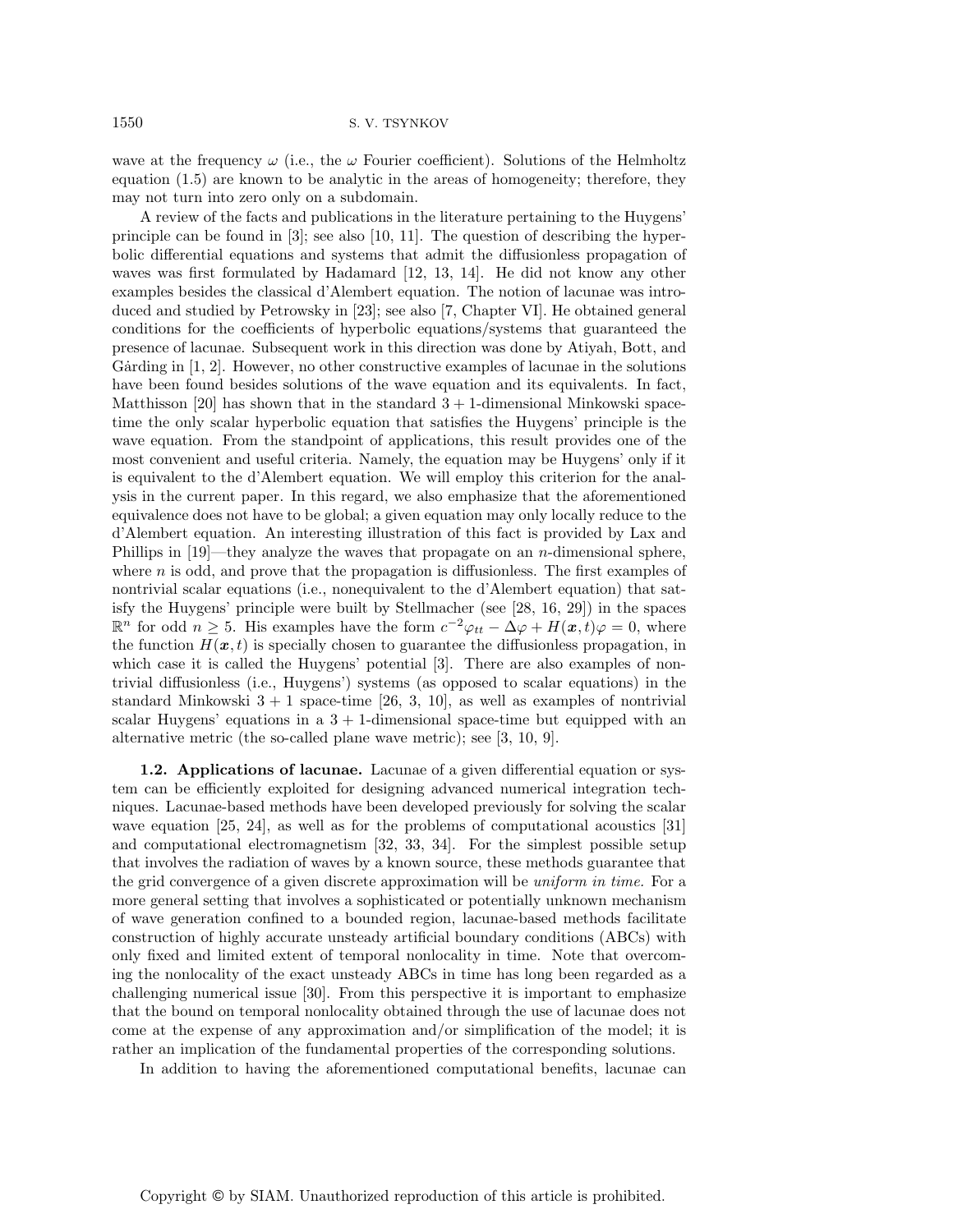wave at the frequency  $\omega$  (i.e., the  $\omega$  Fourier coefficient). Solutions of the Helmholtz equation (1.5) are known to be analytic in the areas of homogeneity; therefore, they may not turn into zero only on a subdomain.

A review of the facts and publications in the literature pertaining to the Huygens' principle can be found in [3]; see also [10, 11]. The question of describing the hyperbolic differential equations and systems that admit the diffusionless propagation of waves was first formulated by Hadamard [12, 13, 14]. He did not know any other examples besides the classical d'Alembert equation. The notion of lacunae was introduced and studied by Petrowsky in [23]; see also [7, Chapter VI]. He obtained general conditions for the coefficients of hyperbolic equations/systems that guaranteed the presence of lacunae. Subsequent work in this direction was done by Atiyah, Bott, and G $\tilde{a}$ rding in [1, 2]. However, no other constructive examples of lacunae in the solutions have been found besides solutions of the wave equation and its equivalents. In fact, Matthisson [20] has shown that in the standard  $3 + 1$ -dimensional Minkowski spacetime the only scalar hyperbolic equation that satisfies the Huygens' principle is the wave equation. From the standpoint of applications, this result provides one of the most convenient and useful criteria. Namely, the equation may be Huygens' only if it is equivalent to the d'Alembert equation. We will employ this criterion for the analysis in the current paper. In this regard, we also emphasize that the aforementioned equivalence does not have to be global; a given equation may only locally reduce to the d'Alembert equation. An interesting illustration of this fact is provided by Lax and Phillips in  $[19]$ —they analyze the waves that propagate on an *n*-dimensional sphere, where  $n$  is odd, and prove that the propagation is diffusionless. The first examples of nontrivial scalar equations (i.e., nonequivalent to the d'Alembert equation) that satisfy the Huygens' principle were built by Stellmacher (see [28, 16, 29]) in the spaces  $\mathbb{R}^n$  for odd  $n \geq 5$ . His examples have the form  $c^{-2}\varphi_{tt} - \Delta \varphi + H(\mathbf{x}, t)\varphi = 0$ , where the function  $H(\mathbf{x},t)$  is specially chosen to guarantee the diffusionless propagation, in which case it is called the Huygens' potential [3]. There are also examples of nontrivial diffusionless (i.e., Huygens') systems (as opposed to scalar equations) in the standard Minkowski  $3 + 1$  space-time [26, 3, 10], as well as examples of nontrivial scalar Huygens' equations in a  $3 + 1$ -dimensional space-time but equipped with an alternative metric (the so-called plane wave metric); see [3, 10, 9].

**1.2. Applications of lacunae.** Lacunae of a given differential equation or system can be efficiently exploited for designing advanced numerical integration techniques. Lacunae-based methods have been developed previously for solving the scalar wave equation [25, 24], as well as for the problems of computational acoustics [31] and computational electromagnetism [32, 33, 34]. For the simplest possible setup that involves the radiation of waves by a known source, these methods guarantee that the grid convergence of a given discrete approximation will be uniform in time. For a more general setting that involves a sophisticated or potentially unknown mechanism of wave generation confined to a bounded region, lacunae-based methods facilitate construction of highly accurate unsteady artificial boundary conditions (ABCs) with only fixed and limited extent of temporal nonlocality in time. Note that overcoming the nonlocality of the exact unsteady ABCs in time has long been regarded as a challenging numerical issue [30]. From this perspective it is important to emphasize that the bound on temporal nonlocality obtained through the use of lacunae does not come at the expense of any approximation and/or simplification of the model; it is rather an implication of the fundamental properties of the corresponding solutions.

In addition to having the aforementioned computational benefits, lacunae can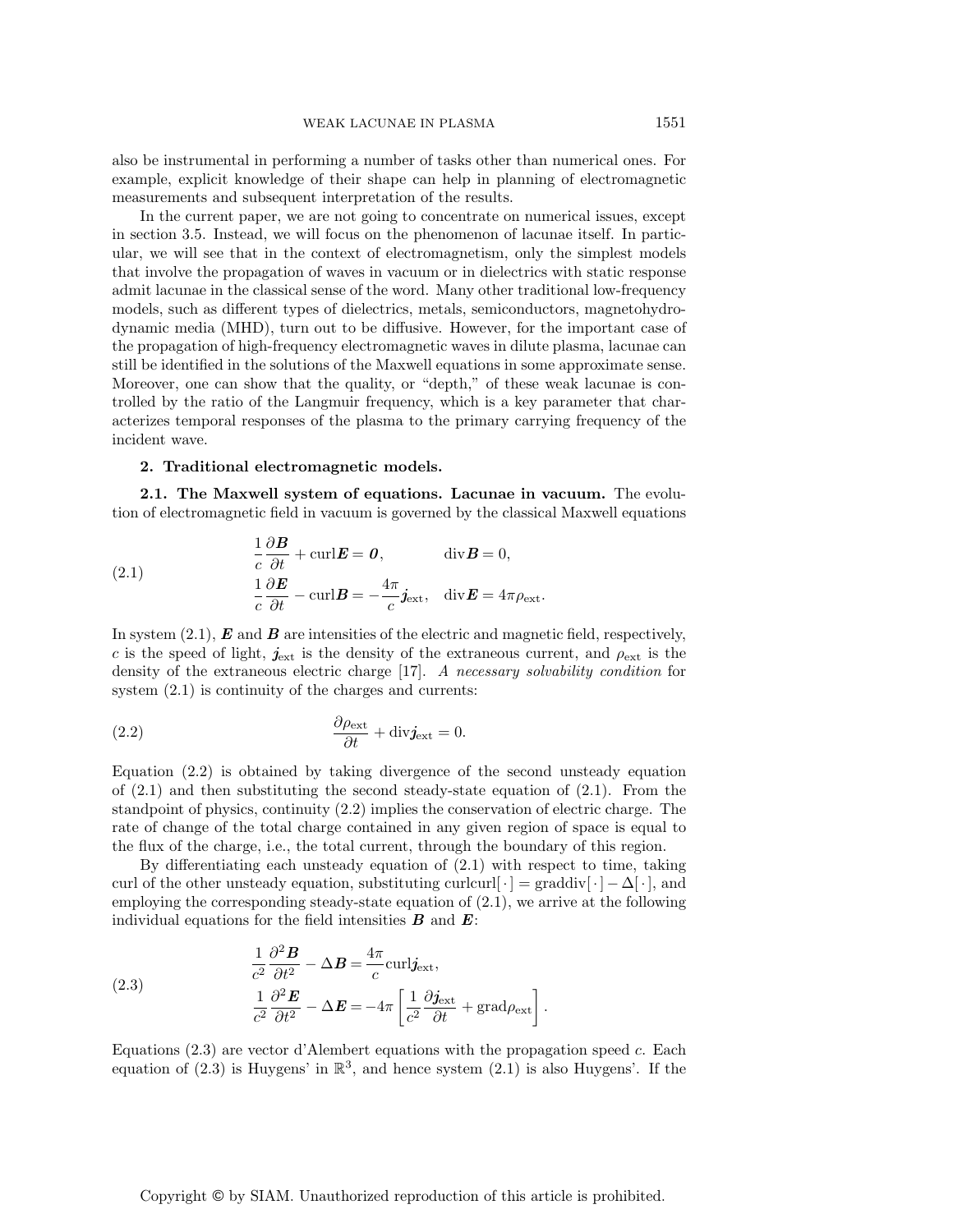also be instrumental in performing a number of tasks other than numerical ones. For example, explicit knowledge of their shape can help in planning of electromagnetic measurements and subsequent interpretation of the results.

In the current paper, we are not going to concentrate on numerical issues, except in section 3.5. Instead, we will focus on the phenomenon of lacunae itself. In particular, we will see that in the context of electromagnetism, only the simplest models that involve the propagation of waves in vacuum or in dielectrics with static response admit lacunae in the classical sense of the word. Many other traditional low-frequency models, such as different types of dielectrics, metals, semiconductors, magnetohydrodynamic media (MHD), turn out to be diffusive. However, for the important case of the propagation of high-frequency electromagnetic waves in dilute plasma, lacunae can still be identified in the solutions of the Maxwell equations in some approximate sense. Moreover, one can show that the quality, or "depth," of these weak lacunae is controlled by the ratio of the Langmuir frequency, which is a key parameter that characterizes temporal responses of the plasma to the primary carrying frequency of the incident wave.

### **2. Traditional electromagnetic models.**

**2.1. The Maxwell system of equations. Lacunae in vacuum.** The evolution of electromagnetic field in vacuum is governed by the classical Maxwell equations

(2.1) 
$$
\frac{1}{c} \frac{\partial \mathbf{B}}{\partial t} + \text{curl} \mathbf{E} = \mathbf{0}, \qquad \text{div} \mathbf{B} = 0,
$$

$$
\frac{1}{c} \frac{\partial \mathbf{E}}{\partial t} - \text{curl} \mathbf{B} = -\frac{4\pi}{c} \mathbf{j}_{\text{ext}}, \quad \text{div} \mathbf{E} = 4\pi \rho_{\text{ext}}.
$$

In system (2.1), *E* and *B* are intensities of the electric and magnetic field, respectively, c is the speed of light,  $j_{\text{ext}}$  is the density of the extraneous current, and  $\rho_{\text{ext}}$  is the density of the extraneous electric charge [17]. A necessary solvability condition for system  $(2.1)$  is continuity of the charges and currents:

(2.2) 
$$
\frac{\partial \rho_{\text{ext}}}{\partial t} + \text{div} \mathbf{j}_{\text{ext}} = 0.
$$

Equation (2.2) is obtained by taking divergence of the second unsteady equation of  $(2.1)$  and then substituting the second steady-state equation of  $(2.1)$ . From the standpoint of physics, continuity (2.2) implies the conservation of electric charge. The rate of change of the total charge contained in any given region of space is equal to the flux of the charge, i.e., the total current, through the boundary of this region.

By differentiating each unsteady equation of (2.1) with respect to time, taking curl of the other unsteady equation, substituting curlcurl[ $\cdot$ ] = graddiv[ $\cdot$ ] –  $\Delta[\cdot]$ , and employing the corresponding steady-state equation of (2.1), we arrive at the following individual equations for the field intensities *B* and *E*:

(2.3)  
\n
$$
\frac{1}{c^2} \frac{\partial^2 \mathbf{B}}{\partial t^2} - \Delta \mathbf{B} = \frac{4\pi}{c} \text{curl} \mathbf{j}_{\text{ext}},
$$
\n
$$
\frac{1}{c^2} \frac{\partial^2 \mathbf{E}}{\partial t^2} - \Delta \mathbf{E} = -4\pi \left[ \frac{1}{c^2} \frac{\partial \mathbf{j}_{\text{ext}}}{\partial t} + \text{grad} \rho_{\text{ext}} \right].
$$

Equations  $(2.3)$  are vector d'Alembert equations with the propagation speed c. Each equation of  $(2.3)$  is Huygens' in  $\mathbb{R}^3$ , and hence system  $(2.1)$  is also Huygens'. If the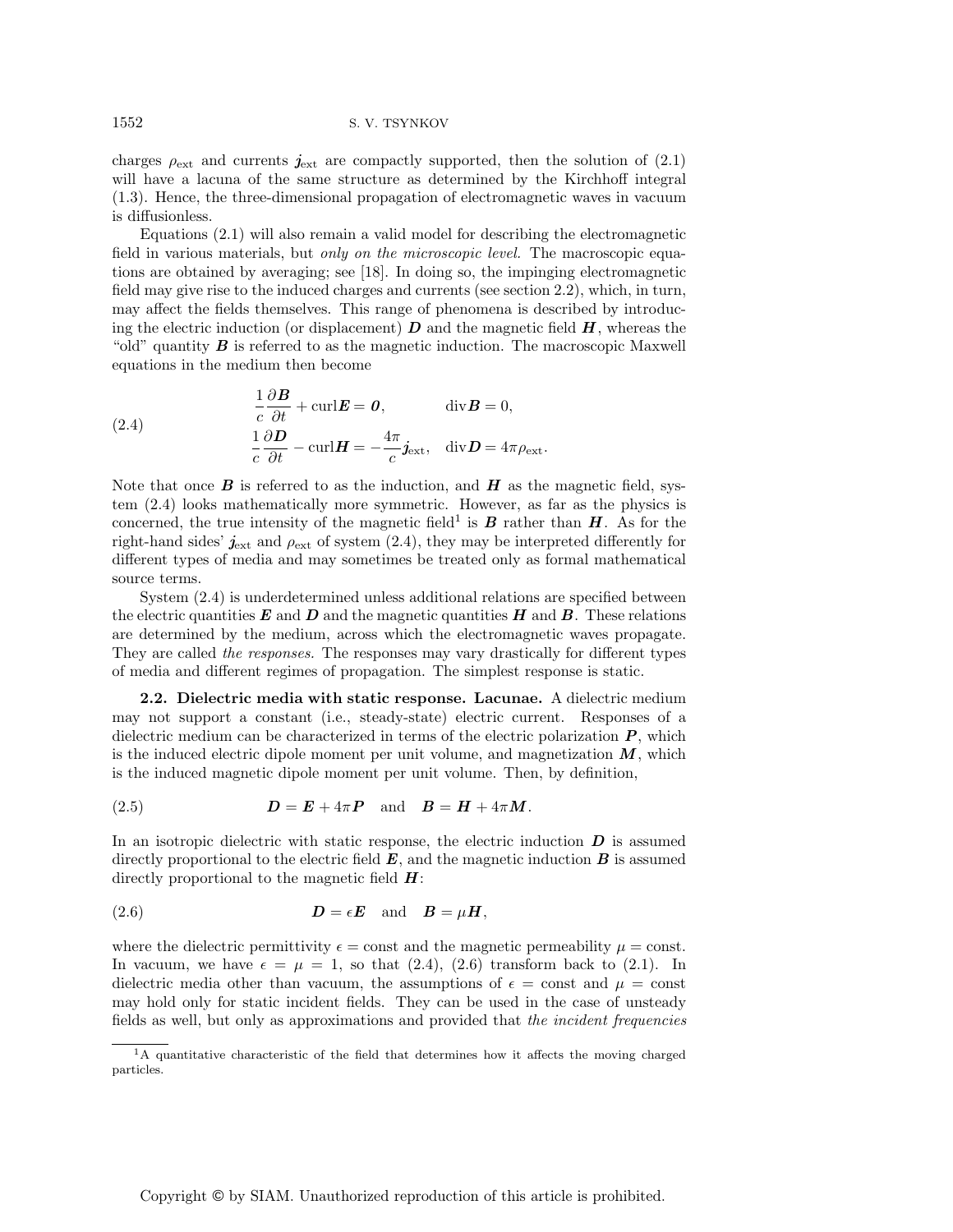charges  $\rho_{\text{ext}}$  and currents  $j_{\text{ext}}$  are compactly supported, then the solution of (2.1) will have a lacuna of the same structure as determined by the Kirchhoff integral (1.3). Hence, the three-dimensional propagation of electromagnetic waves in vacuum is diffusionless.

Equations (2.1) will also remain a valid model for describing the electromagnetic field in various materials, but *only on the microscopic level*. The macroscopic equations are obtained by averaging; see [18]. In doing so, the impinging electromagnetic field may give rise to the induced charges and currents (see section 2.2), which, in turn, may affect the fields themselves. This range of phenomena is described by introducing the electric induction (or displacement) *D* and the magnetic field *H* , whereas the "old" quantity *B* is referred to as the magnetic induction. The macroscopic Maxwell equations in the medium then become

(2.4) 
$$
\frac{1}{c} \frac{\partial \mathbf{B}}{\partial t} + \text{curl} \mathbf{E} = \mathbf{0}, \qquad \text{div} \mathbf{B} = 0,
$$

$$
\frac{1}{c} \frac{\partial \mathbf{D}}{\partial t} - \text{curl} \mathbf{H} = -\frac{4\pi}{c} \mathbf{j}_{\text{ext}}, \quad \text{div} \mathbf{D} = 4\pi \rho_{\text{ext}}.
$$

Note that once  $\boldsymbol{B}$  is referred to as the induction, and  $\boldsymbol{H}$  as the magnetic field, system (2.4) looks mathematically more symmetric. However, as far as the physics is concerned, the true intensity of the magnetic field<sup>1</sup> is  $\boldsymbol{B}$  rather than  $\boldsymbol{H}$ . As for the right-hand sides'  $j_{ext}$  and  $\rho_{ext}$  of system (2.4), they may be interpreted differently for different types of media and may sometimes be treated only as formal mathematical source terms.

System (2.4) is underdetermined unless additional relations are specified between the electric quantities  $\boldsymbol{E}$  and  $\boldsymbol{D}$  and the magnetic quantities  $\boldsymbol{H}$  and  $\boldsymbol{B}$ . These relations are determined by the medium, across which the electromagnetic waves propagate. They are called the responses. The responses may vary drastically for different types of media and different regimes of propagation. The simplest response is static.

**2.2. Dielectric media with static response. Lacunae.** A dielectric medium may not support a constant (i.e., steady-state) electric current. Responses of a dielectric medium can be characterized in terms of the electric polarization *P*, which is the induced electric dipole moment per unit volume, and magnetization  $M$ , which is the induced magnetic dipole moment per unit volume. Then, by definition,

(2.5) 
$$
D = E + 4\pi P \text{ and } B = H + 4\pi M.
$$

In an isotropic dielectric with static response, the electric induction *D* is assumed directly proportional to the electric field  $E$ , and the magnetic induction  $B$  is assumed directly proportional to the magnetic field *H* :

(2.6) 
$$
D = \epsilon E \quad \text{and} \quad B = \mu H,
$$

where the dielectric permittivity  $\epsilon$  = const and the magnetic permeability  $\mu$  = const. In vacuum, we have  $\epsilon = \mu = 1$ , so that (2.4), (2.6) transform back to (2.1). In dielectric media other than vacuum, the assumptions of  $\epsilon$  = const and  $\mu$  = const may hold only for static incident fields. They can be used in the case of unsteady fields as well, but only as approximations and provided that the incident frequencies

<sup>&</sup>lt;sup>1</sup>A quantitative characteristic of the field that determines how it affects the moving charged particles.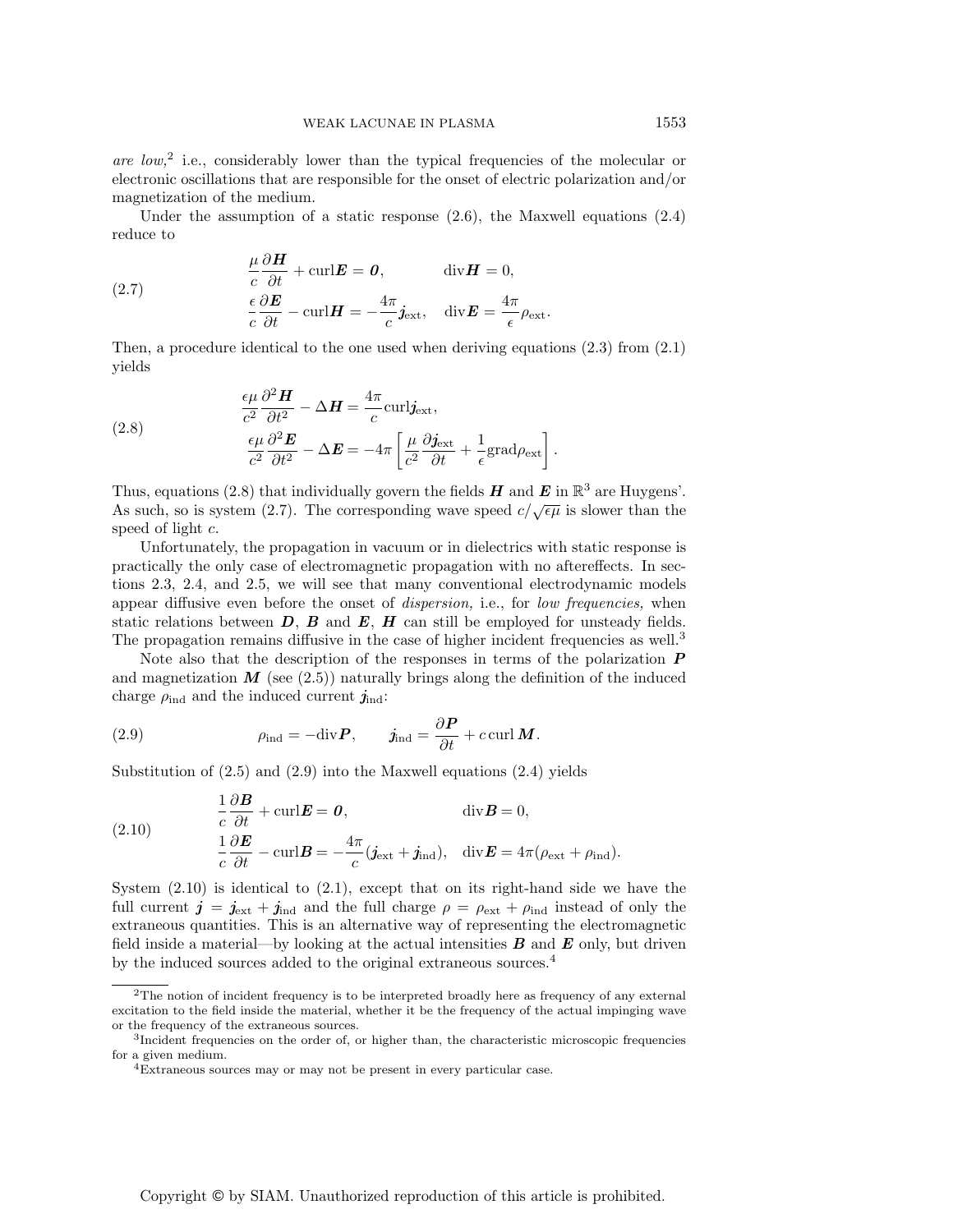are  $low^2$ , i.e., considerably lower than the typical frequencies of the molecular or electronic oscillations that are responsible for the onset of electric polarization and/or magnetization of the medium.

Under the assumption of a static response  $(2.6)$ , the Maxwell equations  $(2.4)$ reduce to

(2.7) 
$$
\frac{\mu}{c} \frac{\partial \mathbf{H}}{\partial t} + \text{curl} \mathbf{E} = \mathbf{0}, \qquad \text{div} \mathbf{H} = 0,
$$

$$
\frac{\epsilon}{c} \frac{\partial \mathbf{E}}{\partial t} - \text{curl} \mathbf{H} = -\frac{4\pi}{c} \mathbf{j}_{\text{ext}}, \quad \text{div} \mathbf{E} = \frac{4\pi}{\epsilon} \rho_{\text{ext}}.
$$

Then, a procedure identical to the one used when deriving equations  $(2.3)$  from  $(2.1)$ yields

(2.8) 
$$
\frac{\epsilon \mu}{c^2} \frac{\partial^2 \mathbf{H}}{\partial t^2} - \Delta \mathbf{H} = \frac{4\pi}{c} \text{curl} \mathbf{j}_{\text{ext}},
$$

$$
\frac{\epsilon \mu}{c^2} \frac{\partial^2 \mathbf{E}}{\partial t^2} - \Delta \mathbf{E} = -4\pi \left[ \frac{\mu}{c^2} \frac{\partial \mathbf{j}_{\text{ext}}}{\partial t} + \frac{1}{\epsilon} \text{grad} \rho_{\text{ext}} \right].
$$

Thus, equations (2.8) that individually govern the fields  $H$  and  $E$  in  $\mathbb{R}^3$  are Huygens'. As such, so is system (2.7). The corresponding wave speed  $c/\sqrt{\epsilon\mu}$  is slower than the speed of light c.

Unfortunately, the propagation in vacuum or in dielectrics with static response is practically the only case of electromagnetic propagation with no aftereffects. In sections 2.3, 2.4, and 2.5, we will see that many conventional electrodynamic models appear diffusive even before the onset of *dispersion*, i.e., for *low frequencies*, when static relations between  $D$ ,  $B$  and  $E$ ,  $H$  can still be employed for unsteady fields. The propagation remains diffusive in the case of higher incident frequencies as well.<sup>3</sup>

Note also that the description of the responses in terms of the polarization *P* and magnetization  $M$  (see  $(2.5)$ ) naturally brings along the definition of the induced charge  $\rho_{\text{ind}}$  and the induced current  $j_{\text{ind}}$ :

(2.9) 
$$
\rho_{\text{ind}} = -\text{div}\,\boldsymbol{P}, \qquad \boldsymbol{j}_{\text{ind}} = \frac{\partial \boldsymbol{P}}{\partial t} + c \,\text{curl}\,\boldsymbol{M}.
$$

Substitution of  $(2.5)$  and  $(2.9)$  into the Maxwell equations  $(2.4)$  yields

(2.10) 
$$
\frac{1}{c} \frac{\partial \mathbf{B}}{\partial t} + \text{curl} \mathbf{E} = \mathbf{0}, \qquad \text{div} \mathbf{B} = 0,
$$

$$
\frac{1}{c} \frac{\partial \mathbf{E}}{\partial t} - \text{curl} \mathbf{B} = -\frac{4\pi}{c} (\mathbf{j}_{\text{ext}} + \mathbf{j}_{\text{ind}}), \quad \text{div} \mathbf{E} = 4\pi (\rho_{\text{ext}} + \rho_{\text{ind}}).
$$

System  $(2.10)$  is identical to  $(2.1)$ , except that on its right-hand side we have the full current  $\mathbf{j} = \mathbf{j}_{ext} + \mathbf{j}_{ind}$  and the full charge  $\rho = \rho_{ext} + \rho_{ind}$  instead of only the extraneous quantities. This is an alternative way of representing the electromagnetic field inside a material—by looking at the actual intensities *B* and *E* only, but driven by the induced sources added to the original extraneous sources.<sup>4</sup>

<sup>&</sup>lt;sup>2</sup>The notion of incident frequency is to be interpreted broadly here as frequency of any external excitation to the field inside the material, whether it be the frequency of the actual impinging wave or the frequency of the extraneous sources.

<sup>3</sup>Incident frequencies on the order of, or higher than, the characteristic microscopic frequencies for a given medium.

<sup>&</sup>lt;sup>4</sup>Extraneous sources may or may not be present in every particular case.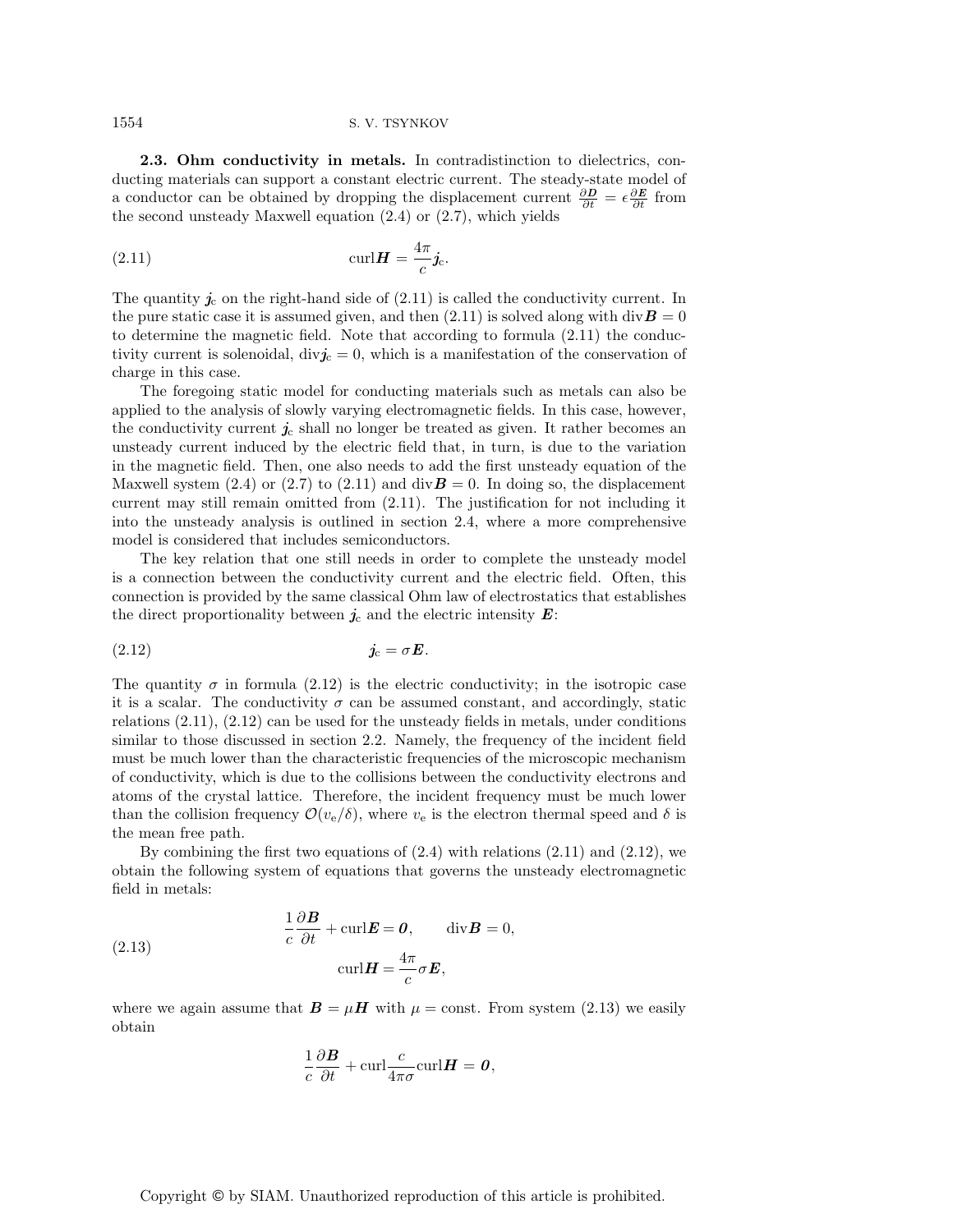**2.3. Ohm conductivity in metals.** In contradistinction to dielectrics, conducting materials can support a constant electric current. The steady-state model of a conductor can be obtained by dropping the displacement current  $\frac{\partial D}{\partial t} = \epsilon \frac{\partial E}{\partial t}$  from the second unsteady Maxwell equation (2.4) or (2.7), which yields

$$
(2.11) \t\t \t curl H = \frac{4\pi}{c} j_c.
$$

The quantity  $j_c$  on the right-hand side of  $(2.11)$  is called the conductivity current. In the pure static case it is assumed given, and then  $(2.11)$  is solved along with div $\mathbf{B} = 0$ to determine the magnetic field. Note that according to formula (2.11) the conductivity current is solenoidal,  $div j_c = 0$ , which is a manifestation of the conservation of charge in this case.

The foregoing static model for conducting materials such as metals can also be applied to the analysis of slowly varying electromagnetic fields. In this case, however, the conductivity current  $j_c$  shall no longer be treated as given. It rather becomes an unsteady current induced by the electric field that, in turn, is due to the variation in the magnetic field. Then, one also needs to add the first unsteady equation of the Maxwell system  $(2.4)$  or  $(2.7)$  to  $(2.11)$  and div $\mathbf{B} = 0$ . In doing so, the displacement current may still remain omitted from (2.11). The justification for not including it into the unsteady analysis is outlined in section 2.4, where a more comprehensive model is considered that includes semiconductors.

The key relation that one still needs in order to complete the unsteady model is a connection between the conductivity current and the electric field. Often, this connection is provided by the same classical Ohm law of electrostatics that establishes the direct proportionality between  $j_c$  and the electric intensity  $\boldsymbol{E}$ :

$$
(2.12) \t\t j_c = \sigma E.
$$

The quantity  $\sigma$  in formula (2.12) is the electric conductivity; in the isotropic case it is a scalar. The conductivity  $\sigma$  can be assumed constant, and accordingly, static relations (2.11), (2.12) can be used for the unsteady fields in metals, under conditions similar to those discussed in section 2.2. Namely, the frequency of the incident field must be much lower than the characteristic frequencies of the microscopic mechanism of conductivity, which is due to the collisions between the conductivity electrons and atoms of the crystal lattice. Therefore, the incident frequency must be much lower than the collision frequency  $\mathcal{O}(v_{e}/\delta)$ , where  $v_{e}$  is the electron thermal speed and  $\delta$  is the mean free path.

By combining the first two equations of  $(2.4)$  with relations  $(2.11)$  and  $(2.12)$ , we obtain the following system of equations that governs the unsteady electromagnetic field in metals:

(2.13) 
$$
\frac{1}{c} \frac{\partial \mathbf{B}}{\partial t} + \text{curl} \mathbf{E} = \mathbf{0}, \qquad \text{div} \mathbf{B} = 0,
$$

$$
\text{curl} \mathbf{H} = \frac{4\pi}{c} \sigma \mathbf{E},
$$

where we again assume that  $\mathbf{B} = \mu \mathbf{H}$  with  $\mu = \text{const.}$  From system (2.13) we easily obtain

$$
\frac{1}{c}\frac{\partial \boldsymbol{B}}{\partial t} + \text{curl}\frac{c}{4\pi\sigma}\text{curl}\boldsymbol{H} = \boldsymbol{0},
$$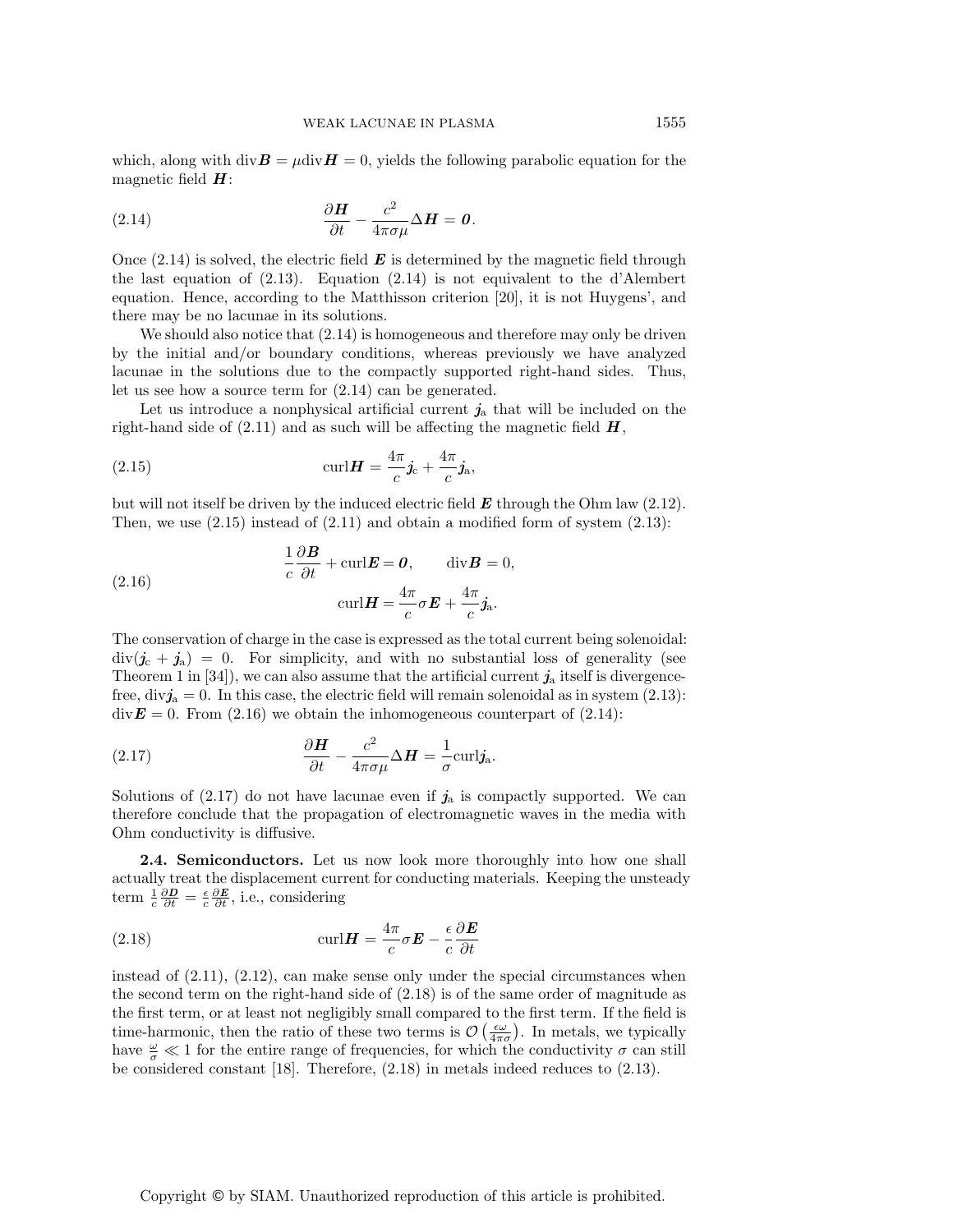which, along with  $\text{div} \mathbf{B} = \mu \text{div} \mathbf{H} = 0$ , yields the following parabolic equation for the magnetic field *H* :

(2.14) 
$$
\frac{\partial \boldsymbol{H}}{\partial t} - \frac{c^2}{4\pi\sigma\mu} \Delta \boldsymbol{H} = \boldsymbol{0}.
$$

Once (2.14) is solved, the electric field *E* is determined by the magnetic field through the last equation of  $(2.13)$ . Equation  $(2.14)$  is not equivalent to the d'Alembert equation. Hence, according to the Matthisson criterion [20], it is not Huygens', and there may be no lacunae in its solutions.

We should also notice that  $(2.14)$  is homogeneous and therefore may only be driven by the initial and/or boundary conditions, whereas previously we have analyzed lacunae in the solutions due to the compactly supported right-hand sides. Thus, let us see how a source term for (2.14) can be generated.

Let us introduce a nonphysical artificial current  $j_a$  that will be included on the right-hand side of  $(2.11)$  and as such will be affecting the magnetic field  $H$ ,

(2.15) 
$$
\operatorname{curl} \boldsymbol{H} = \frac{4\pi}{c} \boldsymbol{j}_{c} + \frac{4\pi}{c} \boldsymbol{j}_{a},
$$

but will not itself be driven by the induced electric field *E* through the Ohm law (2.12). Then, we use  $(2.15)$  instead of  $(2.11)$  and obtain a modified form of system  $(2.13)$ :

(2.16) 
$$
\frac{1}{c} \frac{\partial \mathbf{B}}{\partial t} + \text{curl} \mathbf{E} = \mathbf{0}, \qquad \text{div} \mathbf{B} = 0,
$$

$$
\text{curl} \mathbf{H} = \frac{4\pi}{c} \sigma \mathbf{E} + \frac{4\pi}{c} \mathbf{j}_a.
$$

The conservation of charge in the case is expressed as the total current being solenoidal:  $div(j_c + j_a) = 0$ . For simplicity, and with no substantial loss of generality (see Theorem 1 in [34]), we can also assume that the artificial current  $j_a$  itself is divergencefree,  $div j_a = 0$ . In this case, the electric field will remain solenoidal as in system (2.13):  $div \mathbf{E} = 0$ . From (2.16) we obtain the inhomogeneous counterpart of (2.14):

(2.17) 
$$
\frac{\partial \boldsymbol{H}}{\partial t} - \frac{c^2}{4\pi\sigma\mu} \Delta \boldsymbol{H} = -\frac{1}{\sigma} \operatorname{curl} \boldsymbol{j}_{\mathbf{a}}.
$$

Solutions of  $(2.17)$  do not have lacunae even if  $j_a$  is compactly supported. We can therefore conclude that the propagation of electromagnetic waves in the media with Ohm conductivity is diffusive.

**2.4. Semiconductors.** Let us now look more thoroughly into how one shall actually treat the displacement current for conducting materials. Keeping the unsteady term  $\frac{1}{c} \frac{\partial \mathbf{D}}{\partial t} = \frac{\epsilon}{c} \frac{\partial \mathbf{E}}{\partial t}$ , i.e., considering

(2.18) 
$$
\operatorname{curl} \boldsymbol{H} = \frac{4\pi}{c} \sigma \boldsymbol{E} - \frac{\epsilon}{c} \frac{\partial \boldsymbol{E}}{\partial t}
$$

instead of  $(2.11)$ ,  $(2.12)$ , can make sense only under the special circumstances when the second term on the right-hand side of (2.18) is of the same order of magnitude as the first term, or at least not negligibly small compared to the first term. If the field is time-harmonic, then the ratio of these two terms is  $\mathcal{O}\left(\frac{\epsilon\omega}{4\pi\sigma}\right)$ . In metals, we typically have  $\frac{\omega}{\sigma} \ll 1$  for the entire range of frequencies, for which the conductivity  $\sigma$  can still be considered constant [18]. Therefore, (2.18) in metals indeed reduces to (2.13).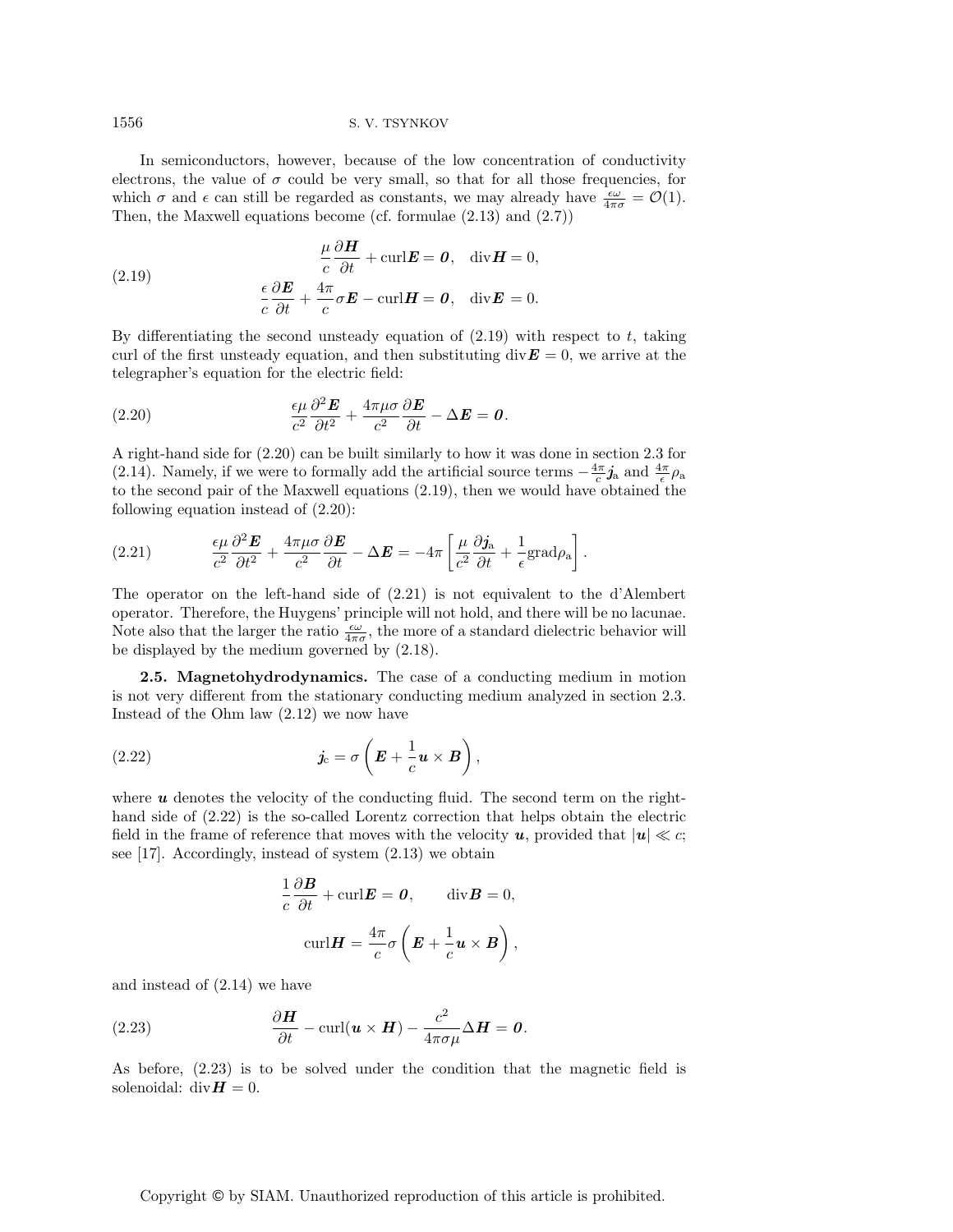In semiconductors, however, because of the low concentration of conductivity electrons, the value of  $\sigma$  could be very small, so that for all those frequencies, for which  $\sigma$  and  $\epsilon$  can still be regarded as constants, we may already have  $\frac{\epsilon\omega}{4\pi\sigma} = \mathcal{O}(1)$ . Then, the Maxwell equations become (cf. formulae (2.13) and (2.7))

(2.19) 
$$
\frac{\mu}{c} \frac{\partial \mathbf{H}}{\partial t} + \text{curl} \mathbf{E} = \mathbf{0}, \quad \text{div} \mathbf{H} = 0,
$$

$$
\frac{\epsilon}{c} \frac{\partial \mathbf{E}}{\partial t} + \frac{4\pi}{c} \sigma \mathbf{E} - \text{curl} \mathbf{H} = \mathbf{0}, \quad \text{div} \mathbf{E} = 0.
$$

By differentiating the second unsteady equation of  $(2.19)$  with respect to t, taking curl of the first unsteady equation, and then substituting  $div\mathbf{E} = 0$ , we arrive at the telegrapher's equation for the electric field:

(2.20) 
$$
\frac{\epsilon \mu}{c^2} \frac{\partial^2 \boldsymbol{E}}{\partial t^2} + \frac{4\pi \mu \sigma}{c^2} \frac{\partial \boldsymbol{E}}{\partial t} - \Delta \boldsymbol{E} = \boldsymbol{0}.
$$

A right-hand side for (2.20) can be built similarly to how it was done in section 2.3 for (2.14). Namely, if we were to formally add the artificial source terms  $-\frac{4\pi}{c}j_a$  and  $\frac{4\pi}{\epsilon}\rho_a$ to the second pair of the Maxwell equations (2.19), then we would have obtained the following equation instead of (2.20):

(2.21) 
$$
\frac{\epsilon \mu}{c^2} \frac{\partial^2 \mathbf{E}}{\partial t^2} + \frac{4\pi \mu \sigma}{c^2} \frac{\partial \mathbf{E}}{\partial t} - \Delta \mathbf{E} = -4\pi \left[ \frac{\mu}{c^2} \frac{\partial j_a}{\partial t} + \frac{1}{\epsilon} \text{grad} \rho_a \right].
$$

The operator on the left-hand side of (2.21) is not equivalent to the d'Alembert operator. Therefore, the Huygens' principle will not hold, and there will be no lacunae. Note also that the larger the ratio  $\frac{e\omega}{4\pi\sigma}$ , the more of a standard dielectric behavior will be displayed by the medium governed by (2.18).

**2.5. Magnetohydrodynamics.** The case of a conducting medium in motion is not very different from the stationary conducting medium analyzed in section 2.3. Instead of the Ohm law (2.12) we now have

(2.22) 
$$
\boldsymbol{j}_{\rm c} = \sigma \left( \boldsymbol{E} + \frac{1}{c} \boldsymbol{u} \times \boldsymbol{B} \right),
$$

where  $\boldsymbol{u}$  denotes the velocity of the conducting fluid. The second term on the righthand side of (2.22) is the so-called Lorentz correction that helps obtain the electric field in the frame of reference that moves with the velocity  $u$ , provided that  $|u| \ll c$ ; see [17]. Accordingly, instead of system (2.13) we obtain

$$
\frac{1}{c}\frac{\partial \mathbf{B}}{\partial t} + \text{curl}\mathbf{E} = \mathbf{0}, \qquad \text{div}\mathbf{B} = 0,
$$

$$
\text{curl}\mathbf{H} = \frac{4\pi}{c}\sigma\left(\mathbf{E} + \frac{1}{c}\mathbf{u} \times \mathbf{B}\right),
$$

and instead of (2.14) we have

(2.23) 
$$
\frac{\partial \boldsymbol{H}}{\partial t} - \text{curl}(\boldsymbol{u} \times \boldsymbol{H}) - \frac{c^2}{4\pi\sigma\mu} \Delta \boldsymbol{H} = \boldsymbol{0}.
$$

As before, (2.23) is to be solved under the condition that the magnetic field is solenoidal:  $div H = 0$ .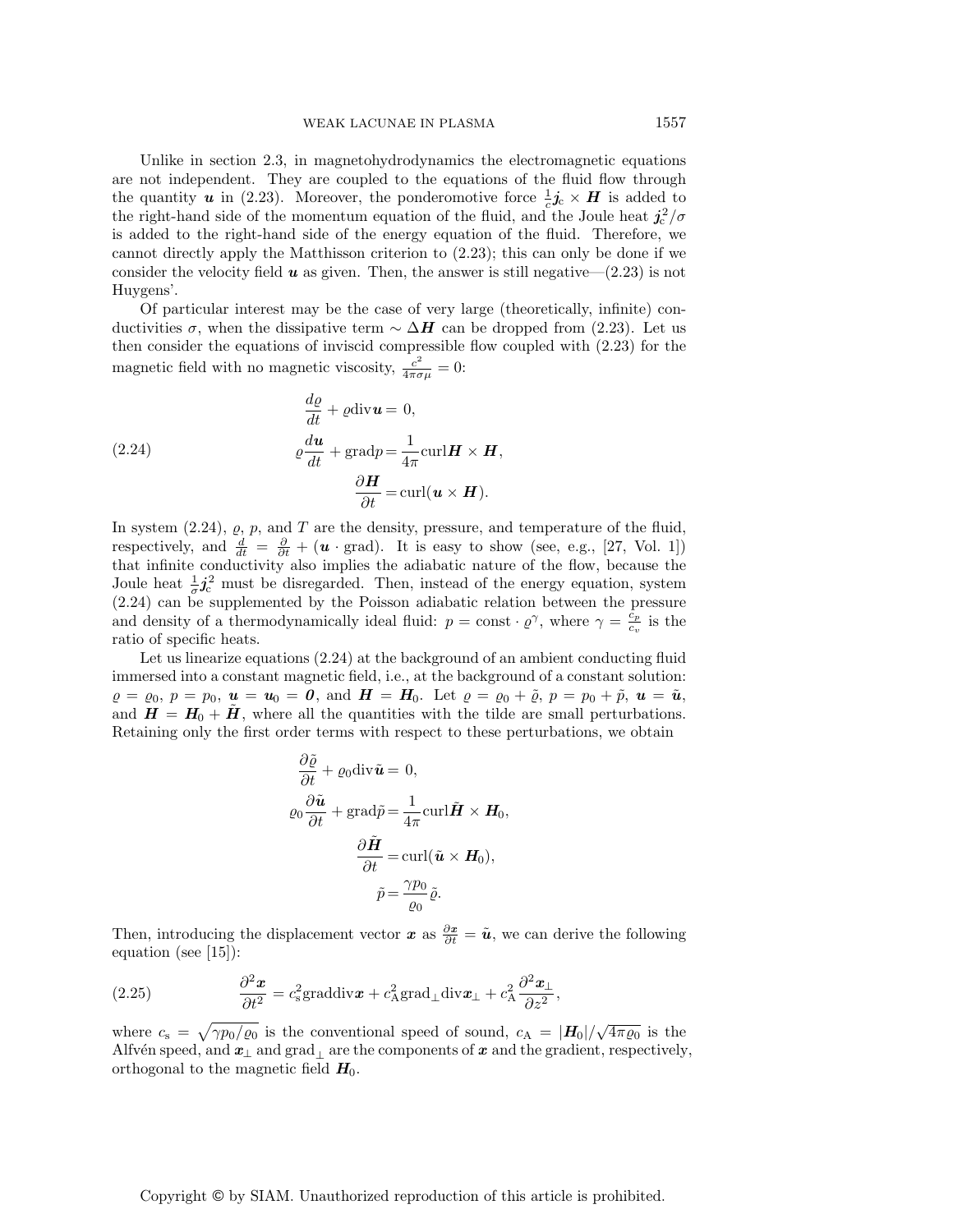Unlike in section 2.3, in magnetohydrodynamics the electromagnetic equations are not independent. They are coupled to the equations of the fluid flow through the quantity *u* in (2.23). Moreover, the ponderomotive force  $\frac{1}{c} j_c \times H$  is added to the right-hand side of the momentum equation of the fluid, and the Joule heat  $j_c^2/\sigma$ is added to the right-hand side of the energy equation of the fluid. Therefore, we cannot directly apply the Matthisson criterion to (2.23); this can only be done if we consider the velocity field  $u$  as given. Then, the answer is still negative— $(2.23)$  is not Huygens'.

Of particular interest may be the case of very large (theoretically, infinite) conductivities  $\sigma$ , when the dissipative term  $\sim \Delta H$  can be dropped from (2.23). Let us then consider the equations of inviscid compressible flow coupled with (2.23) for the magnetic field with no magnetic viscosity,  $\frac{c^2}{4\pi\sigma\mu} = 0$ :

(2.24)  
\n
$$
\frac{d\varrho}{dt} + \varrho \text{div} \mathbf{u} = 0,
$$
\n
$$
\varrho \frac{d\mathbf{u}}{dt} + \text{grad} p = \frac{1}{4\pi} \text{curl} \mathbf{H} \times \mathbf{H},
$$
\n
$$
\frac{\partial \mathbf{H}}{\partial t} = \text{curl} (\mathbf{u} \times \mathbf{H}).
$$

In system  $(2.24)$ ,  $\rho$ ,  $p$ , and  $T$  are the density, pressure, and temperature of the fluid, respectively, and  $\frac{d}{dt} = \frac{\partial}{\partial t} + (\mathbf{u} \cdot \text{grad})$ . It is easy to show (see, e.g., [27, Vol. 1]) that infinite conductivity also implies the adiabatic nature of the flow, because the Joule heat  $\frac{1}{\sigma} j_c^2$  must be disregarded. Then, instead of the energy equation, system (2.24) can be supplemented by the Poisson adiabatic relation between the pressure and density of a thermodynamically ideal fluid:  $p = \text{const} \cdot \varrho^{\gamma}$ , where  $\gamma = \frac{\bar{c}_p}{c_v}$  is the ratio of specific heats.

Let us linearize equations (2.24) at the background of an ambient conducting fluid immersed into a constant magnetic field, i.e., at the background of a constant solution:  $\varrho = \varrho_0, \ p = p_0, \ u = \boldsymbol{u}_0 = \boldsymbol{0}, \ \text{and} \ \boldsymbol{H} = \boldsymbol{H}_0. \ \text{Let } \varrho = \varrho_0 + \tilde{\varrho}, \ p = p_0 + \tilde{p}, \ \boldsymbol{u} = \tilde{\boldsymbol{u}},$ and  $H = H_0 + \tilde{H}$ , where all the quantities with the tilde are small perturbations. Retaining only the first order terms with respect to these perturbations, we obtain

$$
\frac{\partial \tilde{\varrho}}{\partial t} + \varrho_0 \operatorname{div} \tilde{\boldsymbol{u}} = 0,
$$
  
\n
$$
\varrho_0 \frac{\partial \tilde{\boldsymbol{u}}}{\partial t} + \operatorname{grad} \tilde{\varrho} = \frac{1}{4\pi} \operatorname{curl} \tilde{\boldsymbol{H}} \times \boldsymbol{H}_0,
$$
  
\n
$$
\frac{\partial \tilde{\boldsymbol{H}}}{\partial t} = \operatorname{curl} (\tilde{\boldsymbol{u}} \times \boldsymbol{H}_0),
$$
  
\n
$$
\tilde{\varrho} = \frac{\gamma p_0}{\varrho_0} \tilde{\varrho}.
$$

Then, introducing the displacement vector *x* as  $\frac{\partial x}{\partial t} = \tilde{u}$ , we can derive the following equation (see [15]):

(2.25) 
$$
\frac{\partial^2 \boldsymbol{x}}{\partial t^2} = c_s^2 \text{graddiv} \boldsymbol{x} + c_A^2 \text{grad}_{\perp} \text{div} \boldsymbol{x}_{\perp} + c_A^2 \frac{\partial^2 \boldsymbol{x}_{\perp}}{\partial z^2},
$$

where  $c_s = \sqrt{\gamma p_0/\varrho_0}$  is the conventional speed of sound,  $c_A = |\mathbf{H}_0|/\sqrt{4\pi \varrho_0}$  is the Alfvén speed, and  $x_\perp$  and grad<sub>⊥</sub> are the components of  $x$  and the gradient, respectively, orthogonal to the magnetic field  $H_0$ .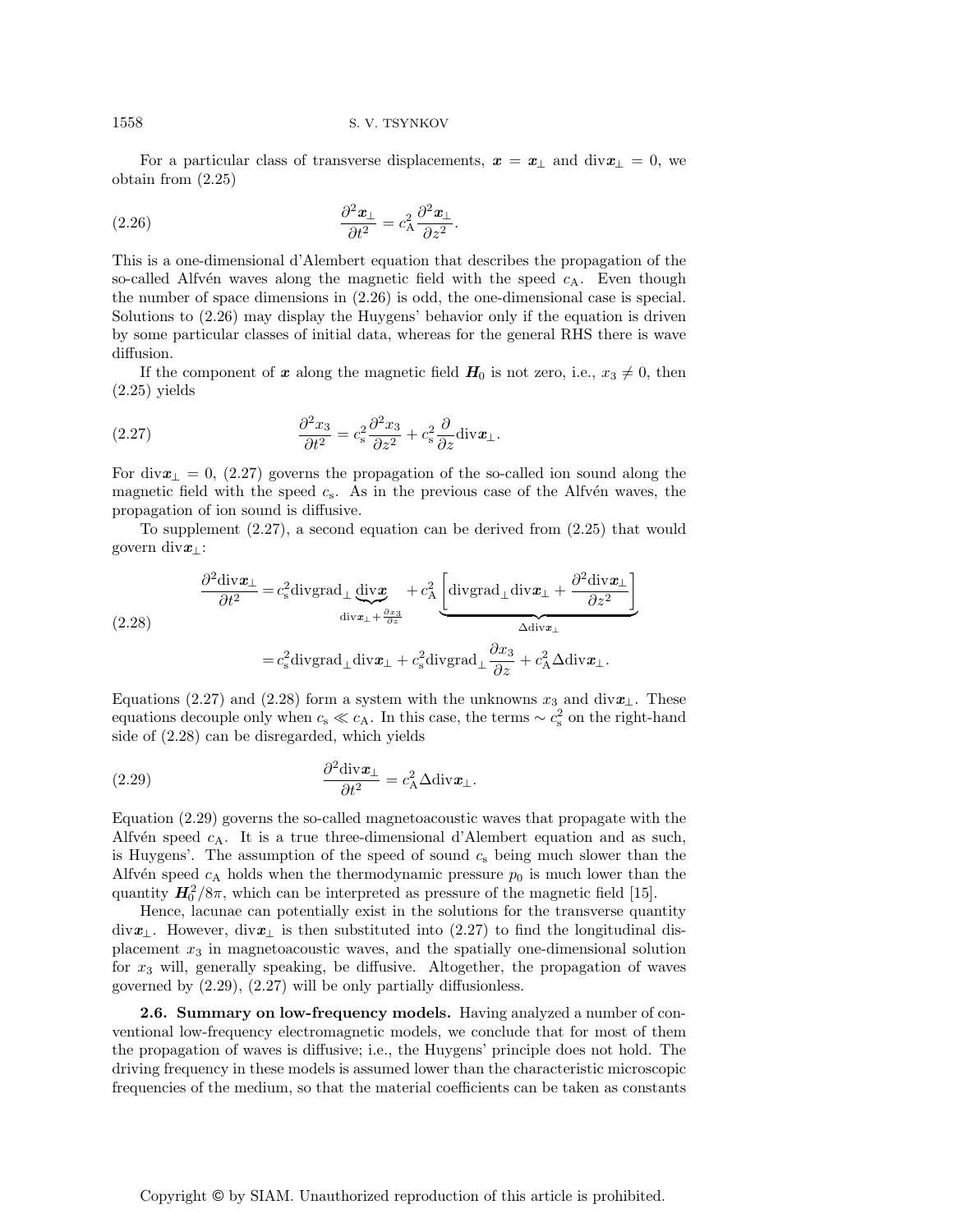For a particular class of transverse displacements,  $x = x_{\perp}$  and div $x_{\perp} = 0$ , we obtain from (2.25)

(2.26) 
$$
\frac{\partial^2 \mathbf{x}_\perp}{\partial t^2} = c_A^2 \frac{\partial^2 \mathbf{x}_\perp}{\partial z^2}.
$$

This is a one-dimensional d'Alembert equation that describes the propagation of the so-called Alfvén waves along the magnetic field with the speed  $c_A$ . Even though the number of space dimensions in (2.26) is odd, the one-dimensional case is special. Solutions to (2.26) may display the Huygens' behavior only if the equation is driven by some particular classes of initial data, whereas for the general RHS there is wave diffusion.

If the component of x along the magnetic field  $H_0$  is not zero, i.e.,  $x_3 \neq 0$ , then (2.25) yields

(2.27) 
$$
\frac{\partial^2 x_3}{\partial t^2} = c_s^2 \frac{\partial^2 x_3}{\partial z^2} + c_s^2 \frac{\partial}{\partial z} \text{div} \mathbf{x}_\perp.
$$

For div $x_{\perp} = 0$ , (2.27) governs the propagation of the so-called ion sound along the magnetic field with the speed  $c_s$ . As in the previous case of the Alfvén waves, the propagation of ion sound is diffusive.

To supplement (2.27), a second equation can be derived from (2.25) that would govern div*x*⊥:

$$
\frac{\partial^2 \text{div} \mathbf{x}_{\perp}}{\partial t^2} = c_s^2 \text{div} \text{grad}_{\perp} \underbrace{\text{div} \mathbf{x}}_{\text{div} \mathbf{x}_{\perp} + \frac{\partial^2 \mathbf{x}_{\perp}}{\partial z}} + c_A^2 \underbrace{\left[ \text{div} \text{grad}_{\perp} \text{div} \mathbf{x}_{\perp} + \frac{\partial^2 \text{div} \mathbf{x}_{\perp}}{\partial z^2} \right]}_{\Delta \text{div} \mathbf{x}_{\perp}}
$$
\n
$$
= c_s^2 \text{div} \text{grad}_{\perp} \text{div} \mathbf{x}_{\perp} + c_s^2 \text{div} \text{grad}_{\perp} \frac{\partial x_3}{\partial z} + c_A^2 \Delta \text{div} \mathbf{x}_{\perp}.
$$

Equations (2.27) and (2.28) form a system with the unknowns  $x_3$  and div $x_1$ . These equations decouple only when  $c_s \ll c_A$ . In this case, the terms  $\sim c_s^2$  on the right-hand side of (2.28) can be disregarded, which yields

(2.29) 
$$
\frac{\partial^2 \text{div} \mathbf{x}_\perp}{\partial t^2} = c_A^2 \Delta \text{div} \mathbf{x}_\perp.
$$

Equation (2.29) governs the so-called magnetoacoustic waves that propagate with the Alfvén speed  $c_A$ . It is a true three-dimensional d'Alembert equation and as such, is Huygens'. The assumption of the speed of sound  $c_s$  being much slower than the Alfvén speed  $c_A$  holds when the thermodynamic pressure  $p_0$  is much lower than the quantity  $H_0^2/8\pi$ , which can be interpreted as pressure of the magnetic field [15].

Hence, lacunae can potentially exist in the solutions for the transverse quantity div*x*⊥. However, div*x*<sup>⊥</sup> is then substituted into (2.27) to find the longitudinal displacement  $x_3$  in magnetoacoustic waves, and the spatially one-dimensional solution for  $x_3$  will, generally speaking, be diffusive. Altogether, the propagation of waves governed by (2.29), (2.27) will be only partially diffusionless.

**2.6. Summary on low-frequency models.** Having analyzed a number of conventional low-frequency electromagnetic models, we conclude that for most of them the propagation of waves is diffusive; i.e., the Huygens' principle does not hold. The driving frequency in these models is assumed lower than the characteristic microscopic frequencies of the medium, so that the material coefficients can be taken as constants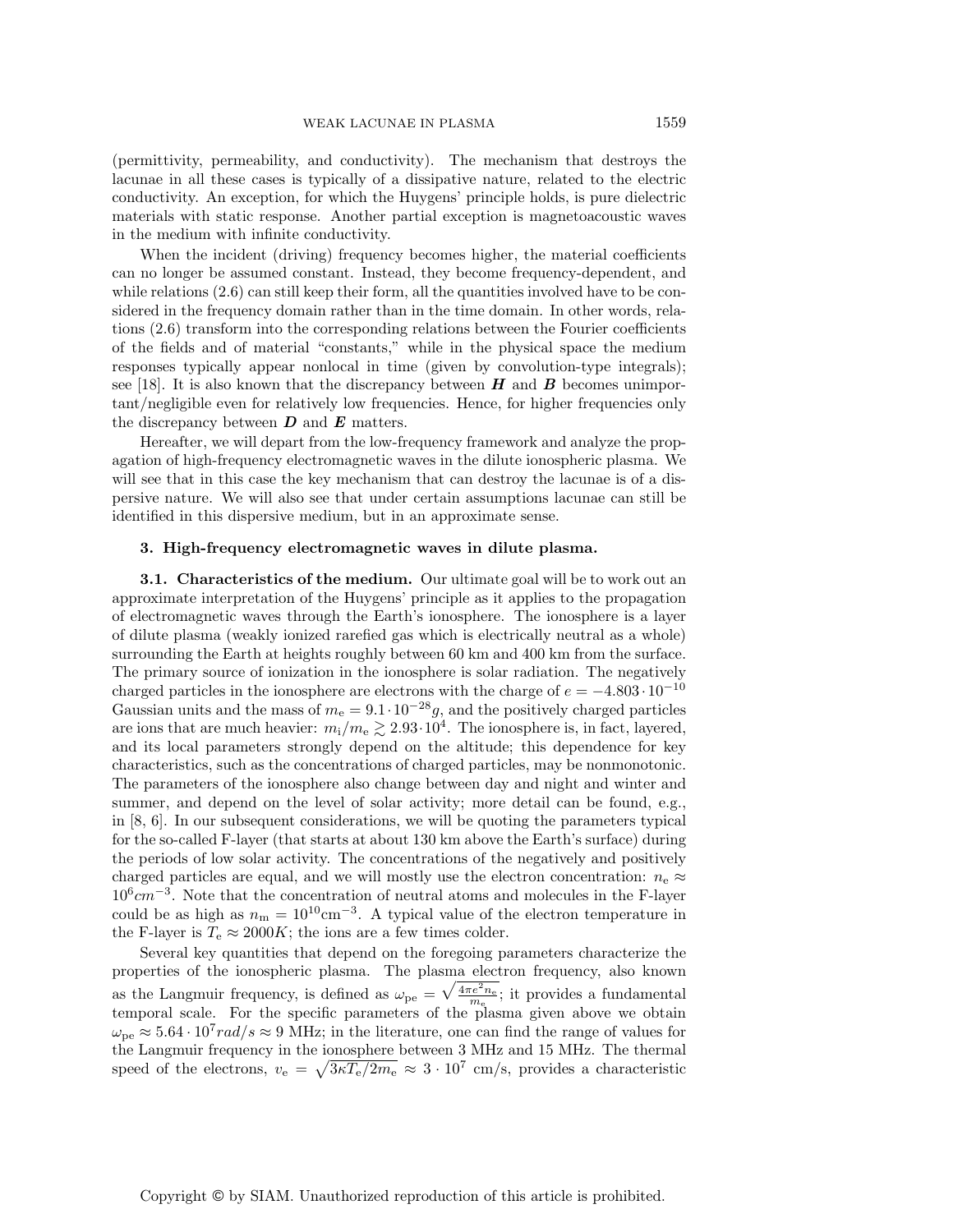(permittivity, permeability, and conductivity). The mechanism that destroys the lacunae in all these cases is typically of a dissipative nature, related to the electric conductivity. An exception, for which the Huygens' principle holds, is pure dielectric materials with static response. Another partial exception is magnetoacoustic waves in the medium with infinite conductivity.

When the incident (driving) frequency becomes higher, the material coefficients can no longer be assumed constant. Instead, they become frequency-dependent, and while relations  $(2.6)$  can still keep their form, all the quantities involved have to be considered in the frequency domain rather than in the time domain. In other words, relations (2.6) transform into the corresponding relations between the Fourier coefficients of the fields and of material "constants," while in the physical space the medium responses typically appear nonlocal in time (given by convolution-type integrals); see [18]. It is also known that the discrepancy between  $H$  and  $B$  becomes unimportant/negligible even for relatively low frequencies. Hence, for higher frequencies only the discrepancy between *D* and *E* matters.

Hereafter, we will depart from the low-frequency framework and analyze the propagation of high-frequency electromagnetic waves in the dilute ionospheric plasma. We will see that in this case the key mechanism that can destroy the lacunae is of a dispersive nature. We will also see that under certain assumptions lacunae can still be identified in this dispersive medium, but in an approximate sense.

### **3. High-frequency electromagnetic waves in dilute plasma.**

**3.1. Characteristics of the medium.** Our ultimate goal will be to work out an approximate interpretation of the Huygens' principle as it applies to the propagation of electromagnetic waves through the Earth's ionosphere. The ionosphere is a layer of dilute plasma (weakly ionized rarefied gas which is electrically neutral as a whole) surrounding the Earth at heights roughly between 60 km and 400 km from the surface. The primary source of ionization in the ionosphere is solar radiation. The negatively charged particles in the ionosphere are electrons with the charge of  $e = -4.803 \cdot 10^{-10}$ Gaussian units and the mass of  $m_e = 9.1 \cdot 10^{-28} g$ , and the positively charged particles are ions that are much heavier:  $m_i/m_e \gtrsim 2.93 \cdot 10^4$ . The ionosphere is, in fact, layered, and its local parameters strongly depend on the altitude; this dependence for key characteristics, such as the concentrations of charged particles, may be nonmonotonic. The parameters of the ionosphere also change between day and night and winter and summer, and depend on the level of solar activity; more detail can be found, e.g., in [8, 6]. In our subsequent considerations, we will be quoting the parameters typical for the so-called F-layer (that starts at about 130 km above the Earth's surface) during the periods of low solar activity. The concentrations of the negatively and positively charged particles are equal, and we will mostly use the electron concentration:  $n_e \approx$  $10^6$ cm<sup>-3</sup>. Note that the concentration of neutral atoms and molecules in the F-layer could be as high as  $n_m = 10^{10} \text{cm}^{-3}$ . A typical value of the electron temperature in the F-layer is  $T_e \approx 2000K$ ; the ions are a few times colder.

Several key quantities that depend on the foregoing parameters characterize the properties of the ionospheric plasma. The plasma electron frequency, also known as the Langmuir frequency, is defined as  $\omega_{\rm pe} = \sqrt{\frac{4\pi e^2 n_{\rm e}}{m_{\rm e}}}$ ; it provides a fundamental temporal scale. For the specific parameters of the plasma given above we obtain  $\omega_{\rm pe} \approx 5.64 \cdot 10^7 rad/s \approx 9$  MHz; in the literature, one can find the range of values for the Langmuir frequency in the ionosphere between 3 MHz and 15 MHz. The thermal speed of the electrons,  $v_e = \sqrt{3\kappa T_e/2m_e} \approx 3 \cdot 10^7$  cm/s, provides a characteristic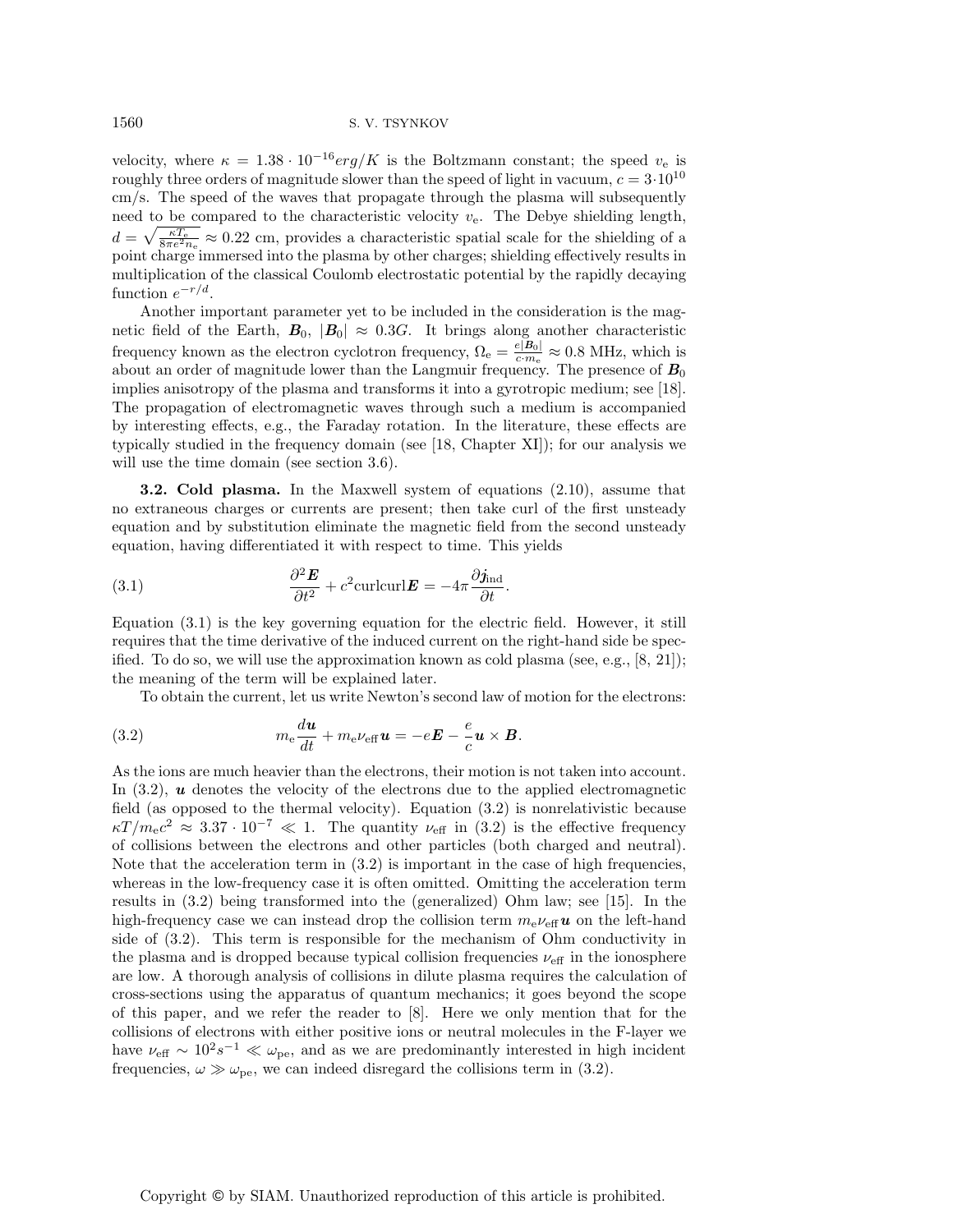velocity, where  $\kappa = 1.38 \cdot 10^{-16} erg/K$  is the Boltzmann constant; the speed  $v_e$  is roughly three orders of magnitude slower than the speed of light in vacuum,  $c = 3.10^{10}$ cm/s. The speed of the waves that propagate through the plasma will subsequently need to be compared to the characteristic velocity  $v_{e}$ . The Debye shielding length,  $d = \sqrt{\frac{\kappa T_e}{8\pi e^2 n_e}} \approx 0.22$  cm, provides a characteristic spatial scale for the shielding of a point charge immersed into the plasma by other charges; shielding effectively results in multiplication of the classical Coulomb electrostatic potential by the rapidly decaying function  $e^{-r/d}$ .

Another important parameter yet to be included in the consideration is the magnetic field of the Earth,  $B_0$ ,  $|B_0| \approx 0.3G$ . It brings along another characteristic frequency known as the electron cyclotron frequency,  $\Omega_e = \frac{e|B_0|}{c \cdot m_e} \approx 0.8 \text{ MHz}$ , which is about an order of magnitude lower than the Langmuir frequency. The presence of  $B_0$ implies anisotropy of the plasma and transforms it into a gyrotropic medium; see [18]. The propagation of electromagnetic waves through such a medium is accompanied by interesting effects, e.g., the Faraday rotation. In the literature, these effects are typically studied in the frequency domain (see [18, Chapter XI]); for our analysis we will use the time domain (see section 3.6).

**3.2. Cold plasma.** In the Maxwell system of equations (2.10), assume that no extraneous charges or currents are present; then take curl of the first unsteady equation and by substitution eliminate the magnetic field from the second unsteady equation, having differentiated it with respect to time. This yields

(3.1) 
$$
\frac{\partial^2 \boldsymbol{E}}{\partial t^2} + c^2 \text{curl} \text{curl} \boldsymbol{E} = -4\pi \frac{\partial \boldsymbol{j}_{\text{ind}}}{\partial t}.
$$

Equation (3.1) is the key governing equation for the electric field. However, it still requires that the time derivative of the induced current on the right-hand side be specified. To do so, we will use the approximation known as cold plasma (see, e.g.,  $[8, 21]$ ); the meaning of the term will be explained later.

To obtain the current, let us write Newton's second law of motion for the electrons:

(3.2) 
$$
m_{\rm e} \frac{du}{dt} + m_{\rm e} \nu_{\rm eff} u = -eE - \frac{e}{c} u \times B.
$$

As the ions are much heavier than the electrons, their motion is not taken into account. In (3.2), *u* denotes the velocity of the electrons due to the applied electromagnetic field (as opposed to the thermal velocity). Equation (3.2) is nonrelativistic because  $\kappa T/m_{\rm e}c^2 \approx 3.37 \cdot 10^{-7} \ll 1$ . The quantity  $\nu_{\rm eff}$  in (3.2) is the effective frequency of collisions between the electrons and other particles (both charged and neutral). Note that the acceleration term in  $(3.2)$  is important in the case of high frequencies, whereas in the low-frequency case it is often omitted. Omitting the acceleration term results in (3.2) being transformed into the (generalized) Ohm law; see [15]. In the high-frequency case we can instead drop the collision term  $m_e\nu_{\text{eff}}\mathbf{u}$  on the left-hand side of (3.2). This term is responsible for the mechanism of Ohm conductivity in the plasma and is dropped because typical collision frequencies  $\nu_{\text{eff}}$  in the ionosphere are low. A thorough analysis of collisions in dilute plasma requires the calculation of cross-sections using the apparatus of quantum mechanics; it goes beyond the scope of this paper, and we refer the reader to [8]. Here we only mention that for the collisions of electrons with either positive ions or neutral molecules in the F-layer we have  $\nu_{\text{eff}} \sim 10^2 s^{-1} \ll \omega_{\text{pe}}$ , and as we are predominantly interested in high incident frequencies,  $\omega \gg \omega_{\text{pe}}$ , we can indeed disregard the collisions term in (3.2).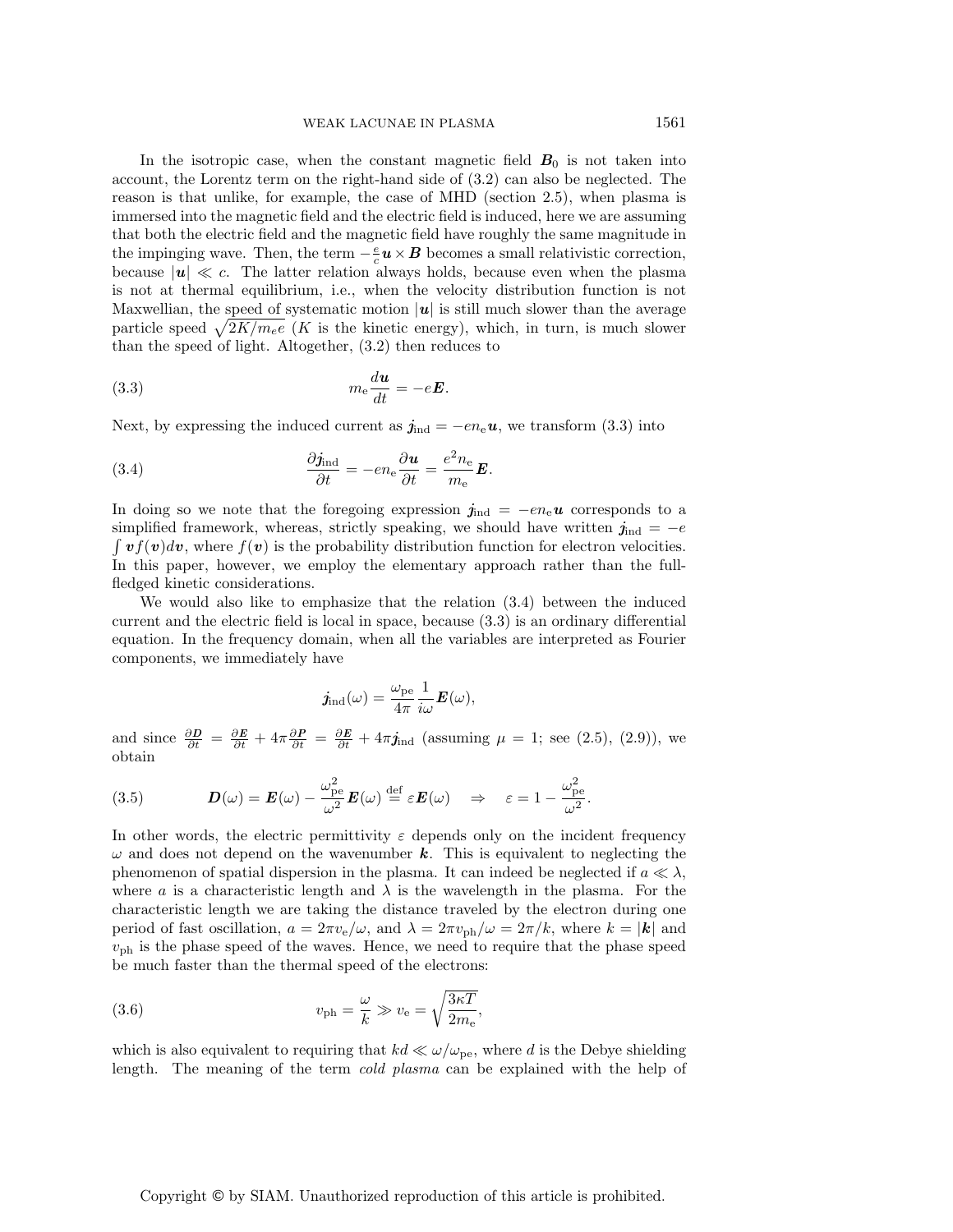In the isotropic case, when the constant magnetic field  $B_0$  is not taken into account, the Lorentz term on the right-hand side of (3.2) can also be neglected. The reason is that unlike, for example, the case of MHD (section 2.5), when plasma is immersed into the magnetic field and the electric field is induced, here we are assuming that both the electric field and the magnetic field have roughly the same magnitude in the impinging wave. Then, the term  $-\frac{e}{c}\mathbf{u} \times \mathbf{B}$  becomes a small relativistic correction, because  $|u| \ll c$ . The latter relation always holds, because even when the plasma is not at thermal equilibrium, i.e., when the velocity distribution function is not Maxwellian, the speed of systematic motion  $|\mathbf{u}|$  is still much slower than the average particle speed  $\sqrt{2K/m_e e}$  (K is the kinetic energy), which, in turn, is much slower than the speed of light. Altogether, (3.2) then reduces to

(3.3) 
$$
m_{\rm e} \frac{d\mathbf{u}}{dt} = -e\mathbf{E}.
$$

Next, by expressing the induced current as  $j_{\text{ind}} = -en_e \boldsymbol{u}$ , we transform (3.3) into

(3.4) 
$$
\frac{\partial \mathbf{j}_{\text{ind}}}{\partial t} = -en_{\text{e}} \frac{\partial \mathbf{u}}{\partial t} = \frac{e^2 n_{\text{e}}}{m_{\text{e}}} \mathbf{E}.
$$

In doing so we note that the foregoing expression  $j_{ind} = -en_e u$  corresponds to a simplified framework, whereas, strictly speaking, we should have written  $j_{\text{ind}} = -e$  $\int \boldsymbol{v} f(\boldsymbol{v}) d\boldsymbol{v}$ , where  $f(\boldsymbol{v})$  is the probability distribution function for electron velocities. In this paper, however, we employ the elementary approach rather than the fullfledged kinetic considerations.

We would also like to emphasize that the relation (3.4) between the induced current and the electric field is local in space, because (3.3) is an ordinary differential equation. In the frequency domain, when all the variables are interpreted as Fourier components, we immediately have

$$
\pmb{j}_{\mathrm{ind}}(\omega) = \frac{\omega_{\mathrm{pe}}}{4\pi} \frac{1}{i\omega} \pmb{E}(\omega),
$$

and since  $\frac{\partial \mathbf{D}}{\partial t} = \frac{\partial \mathbf{E}}{\partial t} + 4\pi \frac{\partial \mathbf{P}}{\partial t} = \frac{\partial \mathbf{E}}{\partial t} + 4\pi \mathbf{j}_{\text{ind}}$  (assuming  $\mu = 1$ ; see (2.5), (2.9)), we obtain

(3.5) 
$$
\mathbf{D}(\omega) = \mathbf{E}(\omega) - \frac{\omega_{\text{pe}}^2}{\omega^2} \mathbf{E}(\omega) \stackrel{\text{def}}{=} \varepsilon \mathbf{E}(\omega) \Rightarrow \varepsilon = 1 - \frac{\omega_{\text{pe}}^2}{\omega^2}.
$$

In other words, the electric permittivity  $\varepsilon$  depends only on the incident frequency  $\omega$  and does not depend on the wavenumber  $k$ . This is equivalent to neglecting the phenomenon of spatial dispersion in the plasma. It can indeed be neglected if  $a \ll \lambda$ , where a is a characteristic length and  $\lambda$  is the wavelength in the plasma. For the characteristic length we are taking the distance traveled by the electron during one period of fast oscillation,  $a = 2\pi v_e/\omega$ , and  $\lambda = 2\pi v_{ph}/\omega = 2\pi/k$ , where  $k = |\mathbf{k}|$  and  $v_{\rm ph}$  is the phase speed of the waves. Hence, we need to require that the phase speed be much faster than the thermal speed of the electrons:

(3.6) 
$$
v_{\rm ph} = \frac{\omega}{k} \gg v_{\rm e} = \sqrt{\frac{3\kappa T}{2m_{\rm e}}},
$$

which is also equivalent to requiring that  $kd \ll \omega/\omega_{\text{pe}}$ , where d is the Debye shielding length. The meaning of the term cold plasma can be explained with the help of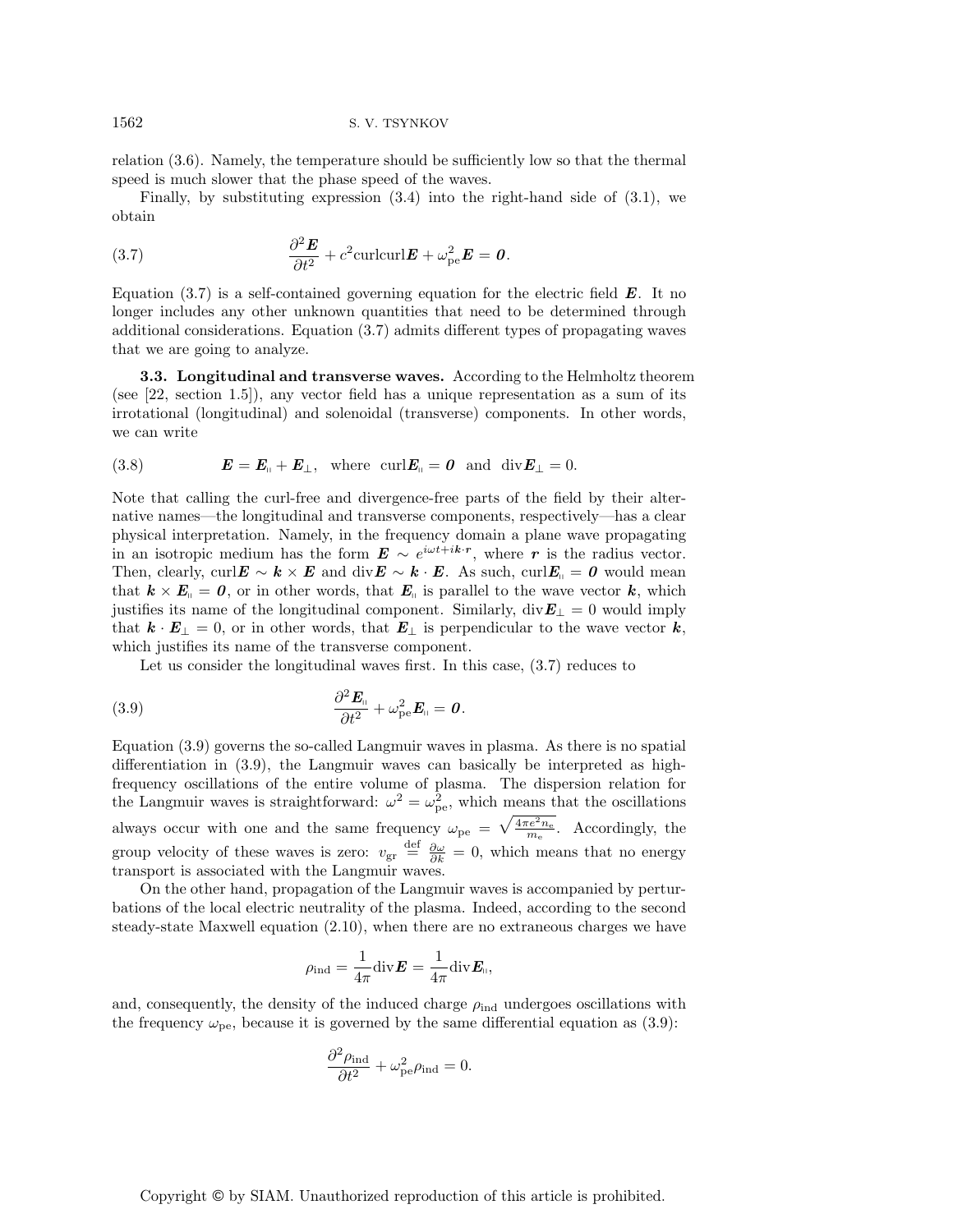relation (3.6). Namely, the temperature should be sufficiently low so that the thermal speed is much slower that the phase speed of the waves.

Finally, by substituting expression  $(3.4)$  into the right-hand side of  $(3.1)$ , we obtain

(3.7) 
$$
\frac{\partial^2 \boldsymbol{E}}{\partial t^2} + c^2 \text{curl} \text{curl} \boldsymbol{E} + \omega_{\text{pe}}^2 \boldsymbol{E} = \boldsymbol{0}.
$$

Equation (3.7) is a self-contained governing equation for the electric field *E*. It no longer includes any other unknown quantities that need to be determined through additional considerations. Equation (3.7) admits different types of propagating waves that we are going to analyze.

**3.3. Longitudinal and transverse waves.** According to the Helmholtz theorem (see [22, section 1.5]), any vector field has a unique representation as a sum of its irrotational (longitudinal) and solenoidal (transverse) components. In other words, we can write

(3.8) 
$$
\boldsymbol{E} = \boldsymbol{E}_{\shortparallel} + \boldsymbol{E}_{\perp}, \text{ where curl } \boldsymbol{E}_{\shortparallel} = \boldsymbol{0} \text{ and div } \boldsymbol{E}_{\perp} = 0.
$$

Note that calling the curl-free and divergence-free parts of the field by their alternative names—the longitudinal and transverse components, respectively—has a clear physical interpretation. Namely, in the frequency domain a plane wave propagating in an isotropic medium has the form  $E \sim e^{i\omega t + i\boldsymbol{k}\cdot \boldsymbol{r}}$ , where *r* is the radius vector. Then, clearly, curl $E \sim k \times E$  and div $E \sim k \cdot E$ . As such, curl $E_{\shortparallel} = 0$  would mean that  $k \times E_0 = 0$ , or in other words, that  $E_0$  is parallel to the wave vector  $k$ , which justifies its name of the longitudinal component. Similarly, div $E_{\perp} = 0$  would imply that  $\mathbf{k} \cdot \mathbf{E}_{\perp} = 0$ , or in other words, that  $\mathbf{E}_{\perp}$  is perpendicular to the wave vector  $\mathbf{k}$ , which justifies its name of the transverse component.

Let us consider the longitudinal waves first. In this case,  $(3.7)$  reduces to

(3.9) 
$$
\frac{\partial^2 \boldsymbol{E}_{\shortparallel}}{\partial t^2} + \omega_{\text{pe}}^2 \boldsymbol{E}_{\shortparallel} = \boldsymbol{0}.
$$

Equation (3.9) governs the so-called Langmuir waves in plasma. As there is no spatial differentiation in (3.9), the Langmuir waves can basically be interpreted as highfrequency oscillations of the entire volume of plasma. The dispersion relation for the Langmuir waves is straightforward:  $\omega^2 = \omega_{\text{pe}}^2$ , which means that the oscillations always occur with one and the same frequency  $\omega_{\rm pe} = \sqrt{\frac{4\pi e^2 n_{\rm e}}{m_{\rm e}}}$ . Accordingly, the group velocity of these waves is zero:  $v_{\text{gr}} \stackrel{\text{def}}{=} \frac{\partial \omega}{\partial k} = 0$ , which means that no energy transport is associated with the Langmuir waves.

On the other hand, propagation of the Langmuir waves is accompanied by perturbations of the local electric neutrality of the plasma. Indeed, according to the second steady-state Maxwell equation (2.10), when there are no extraneous charges we have

$$
\rho_{\rm ind} = \frac{1}{4\pi} {\rm div} \boldsymbol{E} = \frac{1}{4\pi} {\rm div} \boldsymbol{E}_{\shortparallel},
$$

and, consequently, the density of the induced charge  $\rho_{ind}$  undergoes oscillations with the frequency  $\omega_{\rm pe}$ , because it is governed by the same differential equation as (3.9):

$$
\frac{\partial^2 \rho_{\text{ind}}}{\partial t^2} + \omega_{\text{pe}}^2 \rho_{\text{ind}} = 0.
$$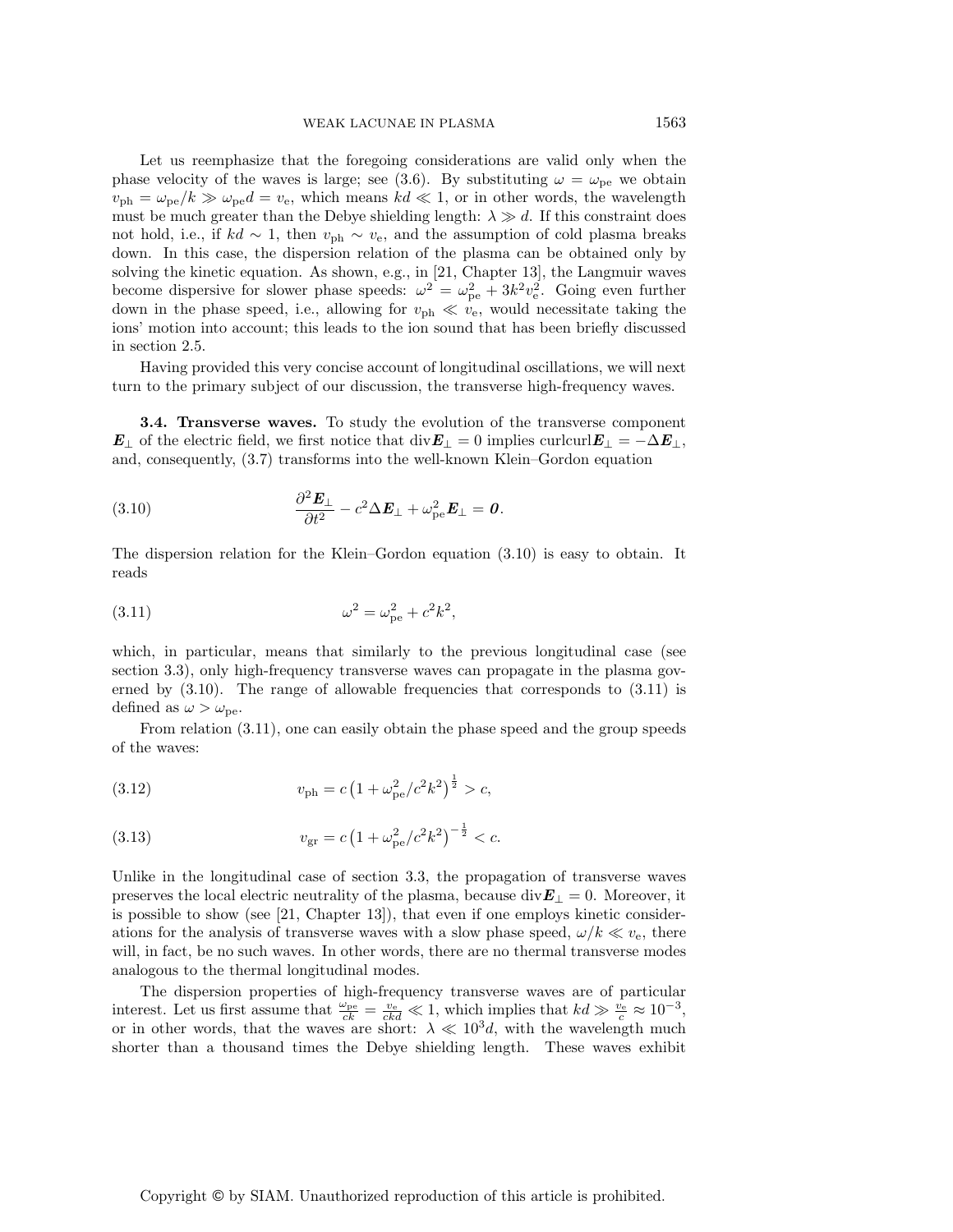Let us reemphasize that the foregoing considerations are valid only when the phase velocity of the waves is large; see (3.6). By substituting  $\omega = \omega_{\rm pe}$  we obtain  $v_{\text{ph}} = \omega_{\text{pe}}/k \gg \omega_{\text{pe}}d = v_{\text{e}}$ , which means  $kd \ll 1$ , or in other words, the wavelength must be much greater than the Debye shielding length:  $\lambda \gg d$ . If this constraint does not hold, i.e., if  $kd \sim 1$ , then  $v_{ph} \sim v_e$ , and the assumption of cold plasma breaks down. In this case, the dispersion relation of the plasma can be obtained only by solving the kinetic equation. As shown, e.g., in [21, Chapter 13], the Langmuir waves become dispersive for slower phase speeds:  $\omega^2 = \omega_{\rm pe}^2 + 3k^2v_{\rm e}^2$ . Going even further down in the phase speed, i.e., allowing for  $v_{\rm ph} \ll v_{\rm e}$ , would necessitate taking the ions' motion into account; this leads to the ion sound that has been briefly discussed in section 2.5.

Having provided this very concise account of longitudinal oscillations, we will next turn to the primary subject of our discussion, the transverse high-frequency waves.

**3.4. Transverse waves.** To study the evolution of the transverse component  $E_{\perp}$  of the electric field, we first notice that  $\text{div } E_{\perp} = 0$  implies  $\text{curl } E_{\perp} = -\Delta E_{\perp}$ , and, consequently, (3.7) transforms into the well-known Klein–Gordon equation

(3.10) 
$$
\frac{\partial^2 \boldsymbol{E}_{\perp}}{\partial t^2} - c^2 \Delta \boldsymbol{E}_{\perp} + \omega_{\text{pe}}^2 \boldsymbol{E}_{\perp} = \boldsymbol{0}.
$$

The dispersion relation for the Klein–Gordon equation (3.10) is easy to obtain. It reads

(3.11) 
$$
\omega^2 = \omega_{\rm pe}^2 + c^2 k^2,
$$

which, in particular, means that similarly to the previous longitudinal case (see section 3.3), only high-frequency transverse waves can propagate in the plasma governed by  $(3.10)$ . The range of allowable frequencies that corresponds to  $(3.11)$  is defined as  $\omega > \omega_{\text{pe}}$ .

From relation (3.11), one can easily obtain the phase speed and the group speeds of the waves:

(3.12) 
$$
v_{\rm ph} = c \left( 1 + \omega_{\rm pe}^2 / c^2 k^2 \right)^{\frac{1}{2}} > c,
$$

(3.13) 
$$
v_{\rm gr} = c \left( 1 + \omega_{\rm pe}^2 / c^2 k^2 \right)^{-\frac{1}{2}} < c.
$$

Unlike in the longitudinal case of section 3.3, the propagation of transverse waves preserves the local electric neutrality of the plasma, because  $div E_{\perp} = 0$ . Moreover, it is possible to show (see [21, Chapter 13]), that even if one employs kinetic considerations for the analysis of transverse waves with a slow phase speed,  $\omega/k \ll v_{e}$ , there will, in fact, be no such waves. In other words, there are no thermal transverse modes analogous to the thermal longitudinal modes.

The dispersion properties of high-frequency transverse waves are of particular interest. Let us first assume that  $\frac{\omega_{\text{pe}}}{ck} = \frac{v_e}{ckd} \ll 1$ , which implies that  $kd \gg \frac{v_e}{c} \approx 10^{-3}$ , or in other words, that the waves are short:  $\lambda \ll 10^3 d$ , with the wavelength much shorter than a thousand times the Debye shielding length. These waves exhibit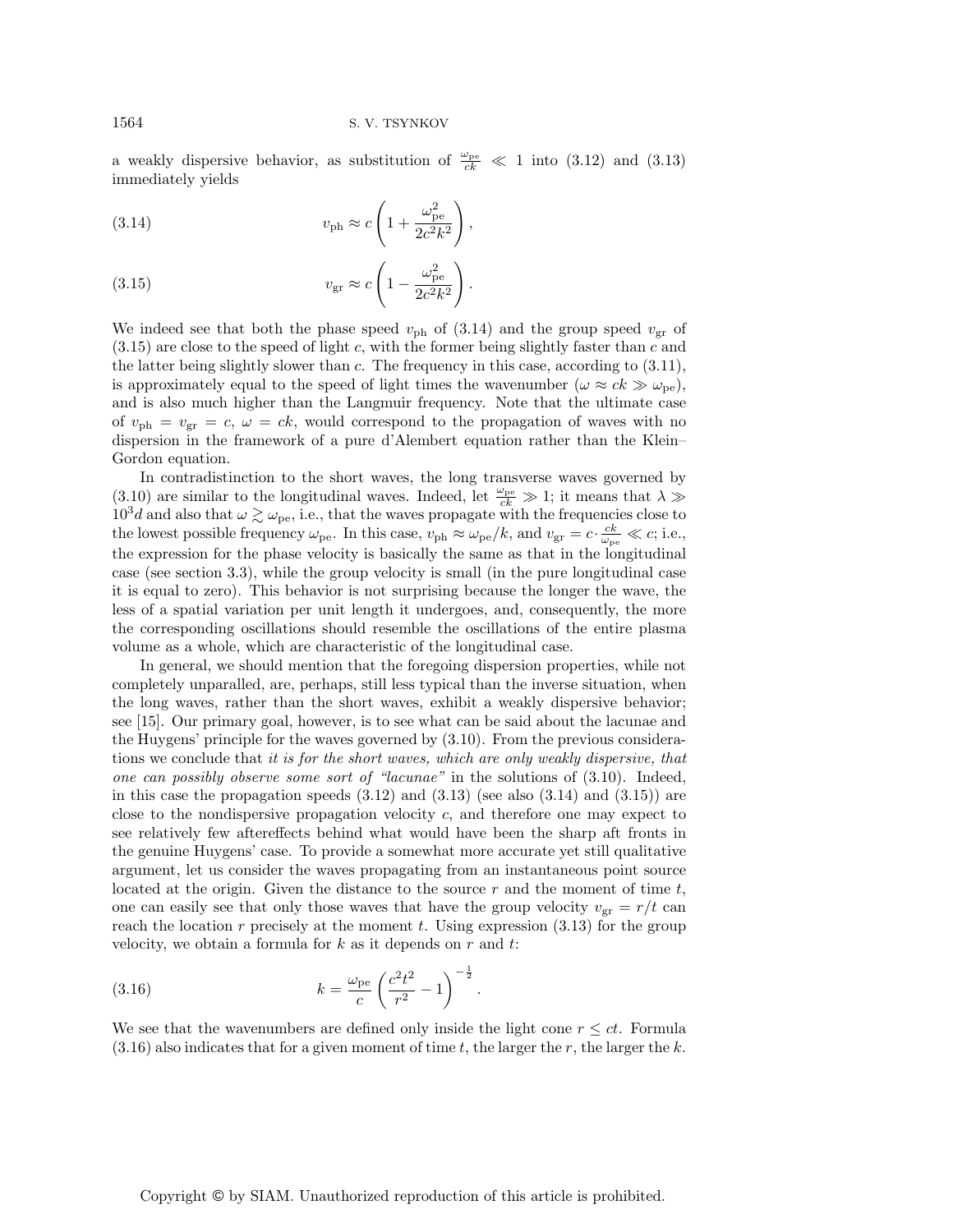a weakly dispersive behavior, as substitution of  $\frac{\omega_{pe}}{ck} \ll 1$  into (3.12) and (3.13) immediately yields

(3.14) 
$$
v_{\rm ph} \approx c \left( 1 + \frac{\omega_{\rm pe}^2}{2c^2 k^2} \right),
$$

(3.15) 
$$
v_{\rm gr} \approx c \left( 1 - \frac{\omega_{\rm pe}^2}{2c^2 k^2} \right).
$$

We indeed see that both the phase speed  $v_{\rm ph}$  of (3.14) and the group speed  $v_{\rm gr}$  of  $(3.15)$  are close to the speed of light c, with the former being slightly faster than c and the latter being slightly slower than c. The frequency in this case, according to (3.11), is approximately equal to the speed of light times the wavenumber  $(\omega \approx ck \gg \omega_{pe}),$ and is also much higher than the Langmuir frequency. Note that the ultimate case of  $v_{\text{ph}} = v_{\text{gr}} = c, \ \omega = ck$ , would correspond to the propagation of waves with no dispersion in the framework of a pure d'Alembert equation rather than the Klein– Gordon equation.

In contradistinction to the short waves, the long transverse waves governed by  $(3.10)$  are similar to the longitudinal waves. Indeed, let  $\frac{\omega_{pe}}{ck} \gg 1$ ; it means that  $\lambda \gg$  $10^3d$  and also that  $\omega \gtrsim \omega_{\text{pe}}$ , i.e., that the waves propagate with the frequencies close to the lowest possible frequency  $\omega_{\rm pe}$ . In this case,  $v_{\rm ph} \approx \omega_{\rm pe}/k$ , and  $v_{\rm gr} = c \cdot \frac{ck}{\omega_{\rm pe}} \ll c$ ; i.e., the expression for the phase velocity is basically the same as that in the longitudinal case (see section 3.3), while the group velocity is small (in the pure longitudinal case it is equal to zero). This behavior is not surprising because the longer the wave, the less of a spatial variation per unit length it undergoes, and, consequently, the more the corresponding oscillations should resemble the oscillations of the entire plasma volume as a whole, which are characteristic of the longitudinal case.

In general, we should mention that the foregoing dispersion properties, while not completely unparalled, are, perhaps, still less typical than the inverse situation, when the long waves, rather than the short waves, exhibit a weakly dispersive behavior; see [15]. Our primary goal, however, is to see what can be said about the lacunae and the Huygens' principle for the waves governed by (3.10). From the previous considerations we conclude that it is for the short waves, which are only weakly dispersive, that one can possibly observe some sort of "lacunae" in the solutions of  $(3.10)$ . Indeed, in this case the propagation speeds  $(3.12)$  and  $(3.13)$  (see also  $(3.14)$  and  $(3.15)$ ) are close to the nondispersive propagation velocity  $c$ , and therefore one may expect to see relatively few aftereffects behind what would have been the sharp aft fronts in the genuine Huygens' case. To provide a somewhat more accurate yet still qualitative argument, let us consider the waves propagating from an instantaneous point source located at the origin. Given the distance to the source  $r$  and the moment of time  $t$ , one can easily see that only those waves that have the group velocity  $v_{\rm cr} = r/t$  can reach the location  $r$  precisely at the moment  $t$ . Using expression (3.13) for the group velocity, we obtain a formula for  $k$  as it depends on  $r$  and  $t$ .

(3.16) 
$$
k = \frac{\omega_{\rm pe}}{c} \left( \frac{c^2 t^2}{r^2} - 1 \right)^{-\frac{1}{2}}.
$$

We see that the wavenumbers are defined only inside the light cone  $r \leq ct$ . Formula  $(3.16)$  also indicates that for a given moment of time t, the larger the r, the larger the k.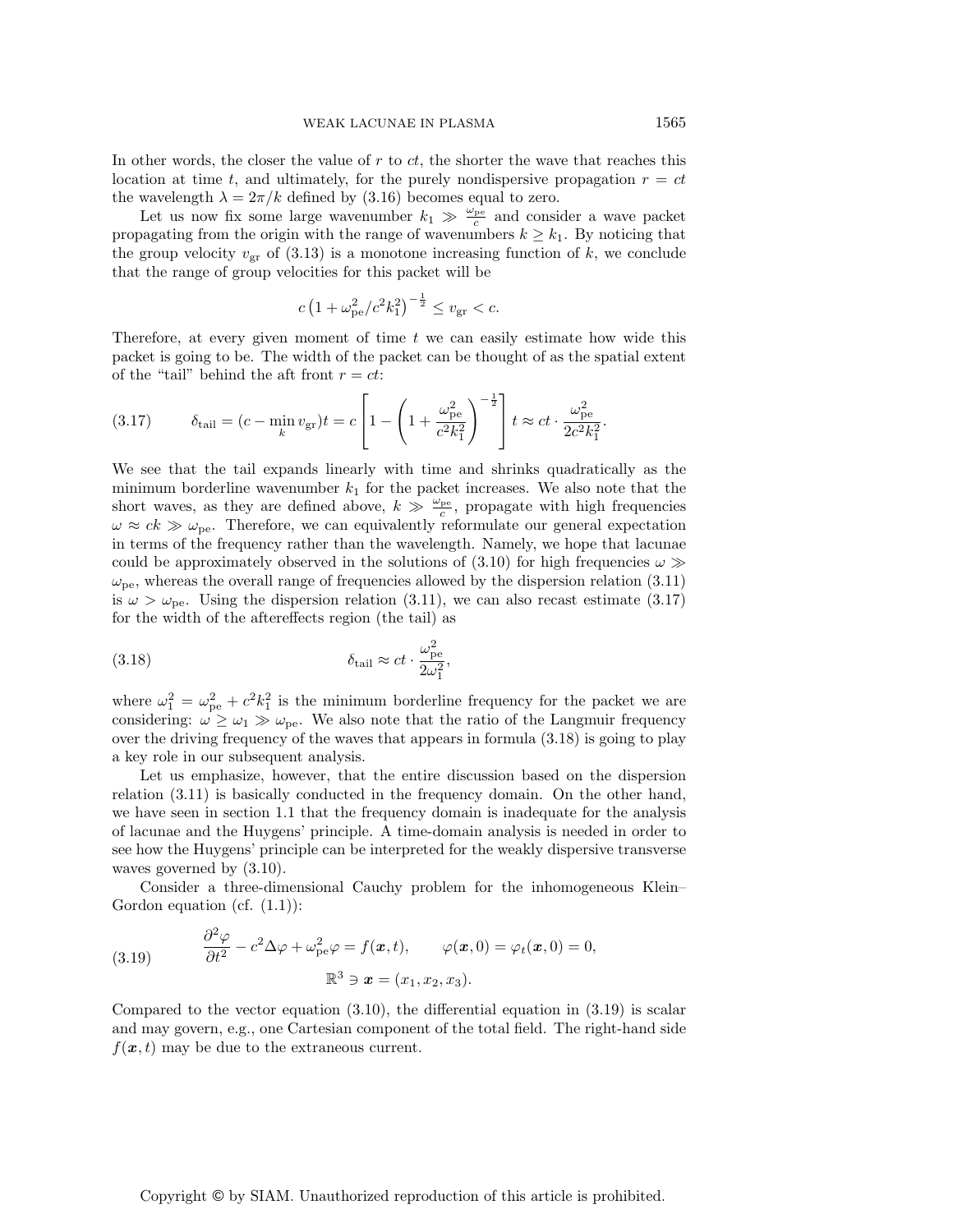In other words, the closer the value of  $r$  to  $ct$ , the shorter the wave that reaches this location at time t, and ultimately, for the purely nondispersive propagation  $r = ct$ the wavelength  $\lambda = 2\pi/k$  defined by (3.16) becomes equal to zero.

Let us now fix some large wavenumber  $k_1 \gg \frac{\omega_{pe}}{c}$  and consider a wave packet propagating from the origin with the range of wavenumbers  $k \geq k_1$ . By noticing that the group velocity  $v_{gr}$  of (3.13) is a monotone increasing function of k, we conclude that the range of group velocities for this packet will be

$$
c\left(1+\omega_{\rm pe}^2/c^2k_1^2\right)^{-\frac{1}{2}} \le v_{\rm gr} < c.
$$

Therefore, at every given moment of time  $t$  we can easily estimate how wide this packet is going to be. The width of the packet can be thought of as the spatial extent of the "tail" behind the aft front  $r = ct$ :

(3.17) 
$$
\delta_{\text{tail}} = (c - \min_{k} v_{\text{gr}}) t = c \left[ 1 - \left( 1 + \frac{\omega_{\text{pe}}^2}{c^2 k_1^2} \right)^{-\frac{1}{2}} \right] t \approx ct \cdot \frac{\omega_{\text{pe}}^2}{2c^2 k_1^2}.
$$

We see that the tail expands linearly with time and shrinks quadratically as the minimum borderline wavenumber  $k_1$  for the packet increases. We also note that the short waves, as they are defined above,  $k \gg \frac{\omega_{pe}}{c}$ , propagate with high frequencies  $\omega \approx ck \gg \omega_{\text{pe}}$ . Therefore, we can equivalently reformulate our general expectation in terms of the frequency rather than the wavelength. Namely, we hope that lacunae could be approximately observed in the solutions of (3.10) for high frequencies  $\omega \gg$  $\omega_{\rm pe}$ , whereas the overall range of frequencies allowed by the dispersion relation (3.11) is  $\omega > \omega_{\text{pe}}$ . Using the dispersion relation (3.11), we can also recast estimate (3.17) for the width of the aftereffects region (the tail) as

(3.18) 
$$
\delta_{\text{tail}} \approx ct \cdot \frac{\omega_{\text{pe}}^2}{2\omega_1^2},
$$

where  $\omega_1^2 = \omega_{\rm pe}^2 + c^2 k_1^2$  is the minimum borderline frequency for the packet we are considering:  $\omega \geq \omega_1 \gg \omega_{\text{pe}}$ . We also note that the ratio of the Langmuir frequency over the driving frequency of the waves that appears in formula  $(3.18)$  is going to play a key role in our subsequent analysis.

Let us emphasize, however, that the entire discussion based on the dispersion relation (3.11) is basically conducted in the frequency domain. On the other hand, we have seen in section 1.1 that the frequency domain is inadequate for the analysis of lacunae and the Huygens' principle. A time-domain analysis is needed in order to see how the Huygens' principle can be interpreted for the weakly dispersive transverse waves governed by  $(3.10)$ .

Consider a three-dimensional Cauchy problem for the inhomogeneous Klein– Gordon equation (cf.  $(1.1)$ ):

(3.19) 
$$
\frac{\partial^2 \varphi}{\partial t^2} - c^2 \Delta \varphi + \omega_{\rm pe}^2 \varphi = f(\boldsymbol{x}, t), \qquad \varphi(\boldsymbol{x}, 0) = \varphi_t(\boldsymbol{x}, 0) = 0,
$$

$$
\mathbb{R}^3 \ni \boldsymbol{x} = (x_1, x_2, x_3).
$$

Compared to the vector equation  $(3.10)$ , the differential equation in  $(3.19)$  is scalar and may govern, e.g., one Cartesian component of the total field. The right-hand side  $f(\boldsymbol{x}, t)$  may be due to the extraneous current.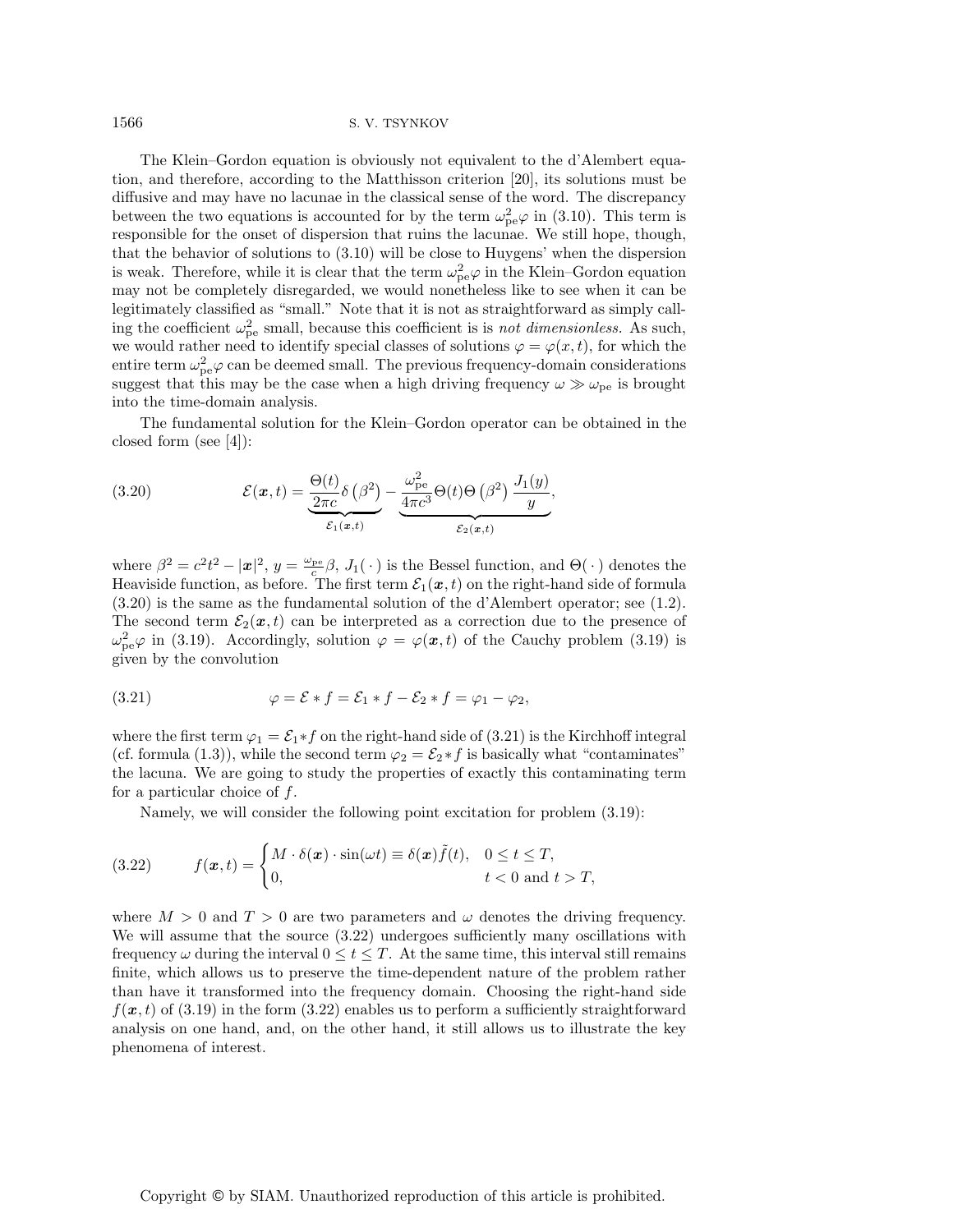The Klein–Gordon equation is obviously not equivalent to the d'Alembert equation, and therefore, according to the Matthisson criterion [20], its solutions must be diffusive and may have no lacunae in the classical sense of the word. The discrepancy between the two equations is accounted for by the term  $\omega_{\rm pe}^2 \varphi$  in (3.10). This term is responsible for the onset of dispersion that ruins the lacunae. We still hope, though, that the behavior of solutions to (3.10) will be close to Huygens' when the dispersion is weak. Therefore, while it is clear that the term  $\omega_{\text{pe}}^2 \varphi$  in the Klein–Gordon equation may not be completely disregarded, we would nonetheless like to see when it can be legitimately classified as "small." Note that it is not as straightforward as simply calling the coefficient  $\omega_{\rm pe}^2$  small, because this coefficient is is not dimensionless. As such, we would rather need to identify special classes of solutions  $\varphi = \varphi(x, t)$ , for which the entire term  $\omega_{\rm pe}^2 \varphi$  can be deemed small. The previous frequency-domain considerations suggest that this may be the case when a high driving frequency  $\omega \gg \omega_{\text{pe}}$  is brought into the time-domain analysis.

The fundamental solution for the Klein–Gordon operator can be obtained in the closed form (see [4]):

(3.20) 
$$
\mathcal{E}(\boldsymbol{x},t) = \underbrace{\frac{\Theta(t)}{2\pi c} \delta(\beta^2)}_{\mathcal{E}_1(\boldsymbol{x},t)} - \underbrace{\frac{\omega_{\text{pe}}^2}{4\pi c^3} \Theta(t) \Theta(\beta^2)}_{\mathcal{E}_2(\boldsymbol{x},t)} \frac{J_1(\boldsymbol{y})}{\mathcal{y}},
$$

where  $\beta^2 = c^2 t^2 - |\mathbf{x}|^2$ ,  $y = \frac{\omega_{\text{pe}}}{c} \beta$ ,  $J_1(\cdot)$  is the Bessel function, and  $\Theta(\cdot)$  denotes the Heaviside function, as before. The first term  $\mathcal{E}_1(\bm{x}, t)$  on the right-hand side of formula (3.20) is the same as the fundamental solution of the d'Alembert operator; see (1.2). The second term  $\mathcal{E}_2(\mathbf{x},t)$  can be interpreted as a correction due to the presence of  $\omega_{\rm pe}^2 \varphi$  in (3.19). Accordingly, solution  $\varphi = \varphi(x, t)$  of the Cauchy problem (3.19) is given by the convolution

(3.21) 
$$
\varphi = \mathcal{E} * f = \mathcal{E}_1 * f - \mathcal{E}_2 * f = \varphi_1 - \varphi_2,
$$

where the first term  $\varphi_1 = \mathcal{E}_1 * f$  on the right-hand side of (3.21) is the Kirchhoff integral (cf. formula (1.3)), while the second term  $\varphi_2 = \mathcal{E}_2 * f$  is basically what "contaminates" the lacuna. We are going to study the properties of exactly this contaminating term for a particular choice of f.

Namely, we will consider the following point excitation for problem (3.19):

(3.22) 
$$
f(\boldsymbol{x},t) = \begin{cases} M \cdot \delta(\boldsymbol{x}) \cdot \sin(\omega t) \equiv \delta(\boldsymbol{x}) \tilde{f}(t), & 0 \le t \le T, \\ 0, & t < 0 \text{ and } t > T, \end{cases}
$$

where  $M > 0$  and  $T > 0$  are two parameters and  $\omega$  denotes the driving frequency. We will assume that the source  $(3.22)$  undergoes sufficiently many oscillations with frequency  $\omega$  during the interval  $0 \le t \le T$ . At the same time, this interval still remains finite, which allows us to preserve the time-dependent nature of the problem rather than have it transformed into the frequency domain. Choosing the right-hand side  $f(\mathbf{x}, t)$  of (3.19) in the form (3.22) enables us to perform a sufficiently straightforward analysis on one hand, and, on the other hand, it still allows us to illustrate the key phenomena of interest.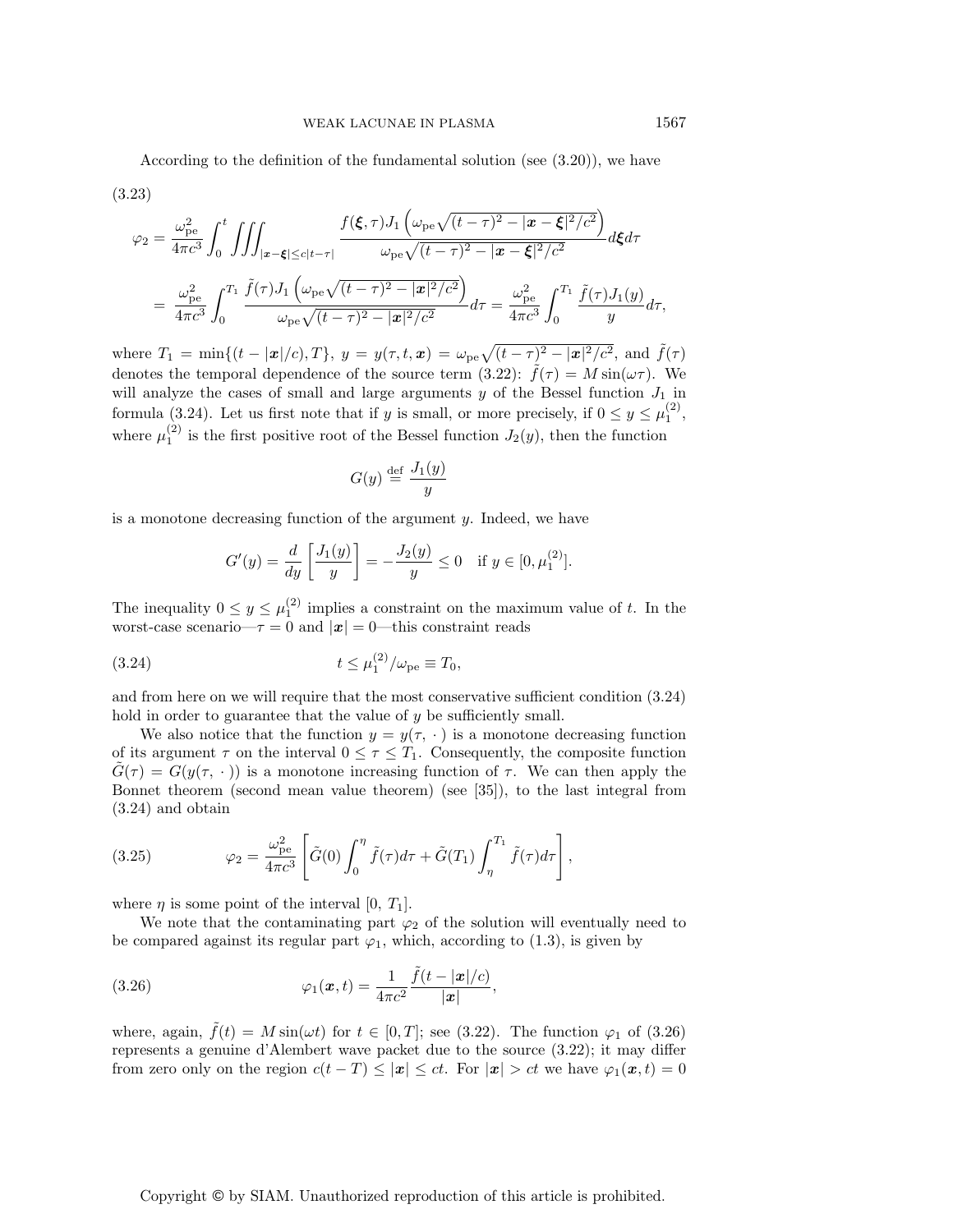According to the definition of the fundamental solution (see (3.20)), we have

(3.23)

$$
\varphi_2 = \frac{\omega_{\rm pe}^2}{4\pi c^3} \int_0^t \iiint_{|\mathbf{x}-\boldsymbol{\xi}| \leq c|t-\tau|} \frac{f(\boldsymbol{\xi},\tau) J_1\left(\omega_{\rm pe}\sqrt{(t-\tau)^2-|\mathbf{x}-\boldsymbol{\xi}|^2/c^2}\right)}{\omega_{\rm pe}\sqrt{(t-\tau)^2-|\mathbf{x}-\boldsymbol{\xi}|^2/c^2}} d\boldsymbol{\xi} d\tau
$$

$$
= \frac{\omega_{\rm pe}^2}{4\pi c^3} \int_0^{T_1} \frac{\tilde{f}(\tau) J_1\left(\omega_{\rm pe}\sqrt{(t-\tau)^2-|\mathbf{x}|^2/c^2}\right)}{\omega_{\rm pe}\sqrt{(t-\tau)^2-|\mathbf{x}|^2/c^2}} d\tau = \frac{\omega_{\rm pe}^2}{4\pi c^3} \int_0^{T_1} \frac{\tilde{f}(\tau) J_1(y)}{y} d\tau,
$$

where  $T_1 = \min\{(t - |\mathbf{x}|/c), T\}$ ,  $y = y(\tau, t, \mathbf{x}) = \omega_{\text{pe}}\sqrt{(t - \tau)^2 - |\mathbf{x}|^2/c^2}$ , and  $\tilde{f}(\tau)$ denotes the temporal dependence of the source term (3.22):  $\tilde{f}(\tau) = M \sin(\omega \tau)$ . We will analyze the cases of small and large arguments  $y$  of the Bessel function  $J_1$  in formula (3.24). Let us first note that if y is small, or more precisely, if  $0 \le y \le \mu_1^{(2)}$ , where  $\mu_1^{(2)}$  is the first positive root of the Bessel function  $J_2(y)$ , then the function

$$
G(y) \stackrel{\text{def}}{=} \frac{J_1(y)}{y}
$$

is a monotone decreasing function of the argument y. Indeed, we have

$$
G'(y) = \frac{d}{dy} \left[ \frac{J_1(y)}{y} \right] = -\frac{J_2(y)}{y} \le 0 \quad \text{if } y \in [0, \mu_1^{(2)}].
$$

The inequality  $0 \le y \le \mu_1^{(2)}$  implies a constraint on the maximum value of t. In the worst-case scenario— $\tau = 0$  and  $|\mathbf{x}| = 0$ —this constraint reads

$$
(3.24) \t t \leq \mu_1^{(2)}/\omega_{\rm pe} \equiv T_0,
$$

and from here on we will require that the most conservative sufficient condition (3.24) hold in order to guarantee that the value of  $y$  be sufficiently small.

We also notice that the function  $y = y(\tau, \cdot)$  is a monotone decreasing function of its argument  $\tau$  on the interval  $0 \leq \tau \leq T_1$ . Consequently, the composite function  $G(\tau) = G(y(\tau, \cdot))$  is a monotone increasing function of  $\tau$ . We can then apply the Bonnet theorem (second mean value theorem) (see [35]), to the last integral from (3.24) and obtain

(3.25) 
$$
\varphi_2 = \frac{\omega_{\text{pe}}^2}{4\pi c^3} \left[ \tilde{G}(0) \int_0^{\eta} \tilde{f}(\tau) d\tau + \tilde{G}(T_1) \int_{\eta}^{T_1} \tilde{f}(\tau) d\tau \right],
$$

where  $\eta$  is some point of the interval [0,  $T_1$ ].

We note that the contaminating part  $\varphi_2$  of the solution will eventually need to be compared against its regular part  $\varphi_1$ , which, according to (1.3), is given by

(3.26) 
$$
\varphi_1(\boldsymbol{x},t) = \frac{1}{4\pi c^2} \frac{\tilde{f}(t-|\boldsymbol{x}|/c)}{|\boldsymbol{x}|},
$$

where, again,  $\tilde{f}(t) = M \sin(\omega t)$  for  $t \in [0, T]$ ; see (3.22). The function  $\varphi_1$  of (3.26) represents a genuine d'Alembert wave packet due to the source (3.22); it may differ from zero only on the region  $c(t-T) \leq |\mathbf{x}| \leq ct$ . For  $|\mathbf{x}| > ct$  we have  $\varphi_1(\mathbf{x}, t) = 0$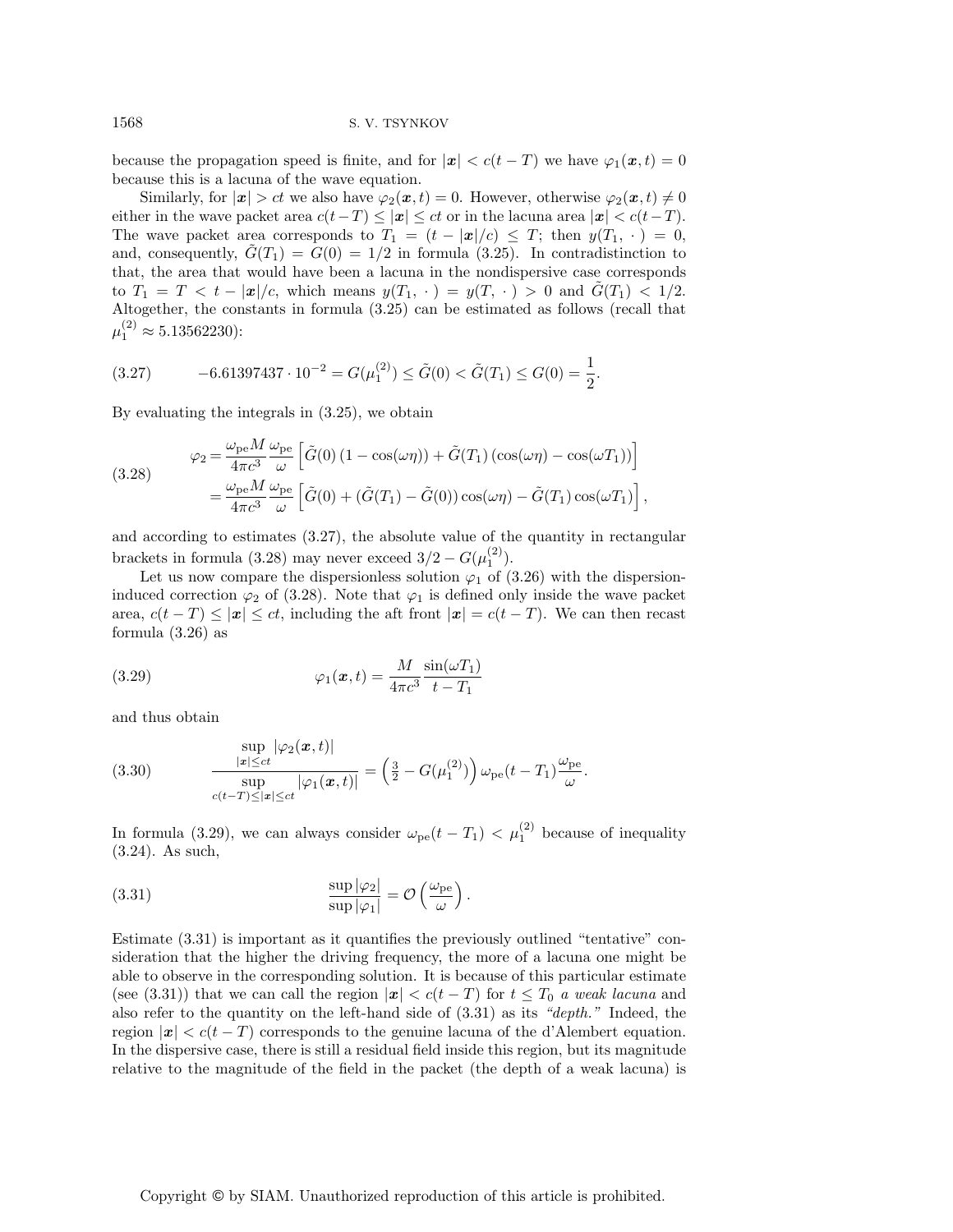because the propagation speed is finite, and for  $|x| < c(t-T)$  we have  $\varphi_1(x,t)=0$ because this is a lacuna of the wave equation.

Similarly, for  $|\mathbf{x}| > ct$  we also have  $\varphi_2(\mathbf{x}, t) = 0$ . However, otherwise  $\varphi_2(\mathbf{x}, t) \neq 0$ either in the wave packet area  $c(t-T) \leq |\mathbf{x}| \leq ct$  or in the lacuna area  $|\mathbf{x}| < c(t-T)$ . The wave packet area corresponds to  $T_1 = (t - |\mathbf{x}|/c) \leq T$ ; then  $y(T_1, \cdot) = 0$ , and, consequently,  $G(T_1) = G(0) = 1/2$  in formula (3.25). In contradistinction to that, the area that would have been a lacuna in the nondispersive case corresponds to  $T_1 = T < t - |\mathbf{x}|/c$ , which means  $y(T_1, \cdot) = y(T, \cdot) > 0$  and  $G(T_1) < 1/2$ . Altogether, the constants in formula (3.25) can be estimated as follows (recall that  $\mu_1^{(2)} \approx 5.13562230$ ):

$$
(3.27) \qquad \qquad -6.61397437 \cdot 10^{-2} = G(\mu_1^{(2)}) \le \tilde{G}(0) < \tilde{G}(T_1) \le G(0) = \frac{1}{2}.
$$

By evaluating the integrals in (3.25), we obtain

(3.28) 
$$
\varphi_2 = \frac{\omega_{\text{pe}} M}{4\pi c^3} \frac{\omega_{\text{pe}}}{\omega} \left[ \tilde{G}(0) \left( 1 - \cos(\omega \eta) \right) + \tilde{G}(T_1) \left( \cos(\omega \eta) - \cos(\omega T_1) \right) \right] \n= \frac{\omega_{\text{pe}} M}{4\pi c^3} \frac{\omega_{\text{pe}}}{\omega} \left[ \tilde{G}(0) + (\tilde{G}(T_1) - \tilde{G}(0)) \cos(\omega \eta) - \tilde{G}(T_1) \cos(\omega T_1) \right],
$$

and according to estimates (3.27), the absolute value of the quantity in rectangular brackets in formula (3.28) may never exceed  $3/2 - G(\mu_1^{(2)})$ .

Let us now compare the dispersionless solution  $\varphi_1$  of (3.26) with the dispersioninduced correction  $\varphi_2$  of (3.28). Note that  $\varphi_1$  is defined only inside the wave packet area,  $c(t-T) \leq |\mathbf{x}| \leq ct$ , including the aft front  $|\mathbf{x}| = c(t-T)$ . We can then recast formula (3.26) as

(3.29) 
$$
\varphi_1(\boldsymbol{x},t) = \frac{M}{4\pi c^3} \frac{\sin(\omega T_1)}{t - T_1}
$$

and thus obtain

(3.30) 
$$
\frac{\sup\limits_{|\boldsymbol{x}|\leq ct}|\varphi_2(\boldsymbol{x},t)|}{\sup\limits_{c(t-T)\leq |\boldsymbol{x}|\leq ct}|\varphi_1(\boldsymbol{x},t)|} = \left(\frac{3}{2}-G(\mu_1^{(2)})\right)\omega_{\rm pe}(t-T_1)\frac{\omega_{\rm pe}}{\omega}.
$$

In formula (3.29), we can always consider  $\omega_{pe}(t-T_1) < \mu_1^{(2)}$  because of inequality (3.24). As such,

(3.31) 
$$
\frac{\sup |\varphi_2|}{\sup |\varphi_1|} = \mathcal{O}\left(\frac{\omega_{\rm pe}}{\omega}\right).
$$

Estimate (3.31) is important as it quantifies the previously outlined "tentative" consideration that the higher the driving frequency, the more of a lacuna one might be able to observe in the corresponding solution. It is because of this particular estimate (see (3.31)) that we can call the region  $|x| < c(t-T)$  for  $t \leq T_0$  a weak lacuna and also refer to the quantity on the left-hand side of  $(3.31)$  as its "depth." Indeed, the region  $|\mathbf{x}| < c(t-T)$  corresponds to the genuine lacuna of the d'Alembert equation. In the dispersive case, there is still a residual field inside this region, but its magnitude relative to the magnitude of the field in the packet (the depth of a weak lacuna) is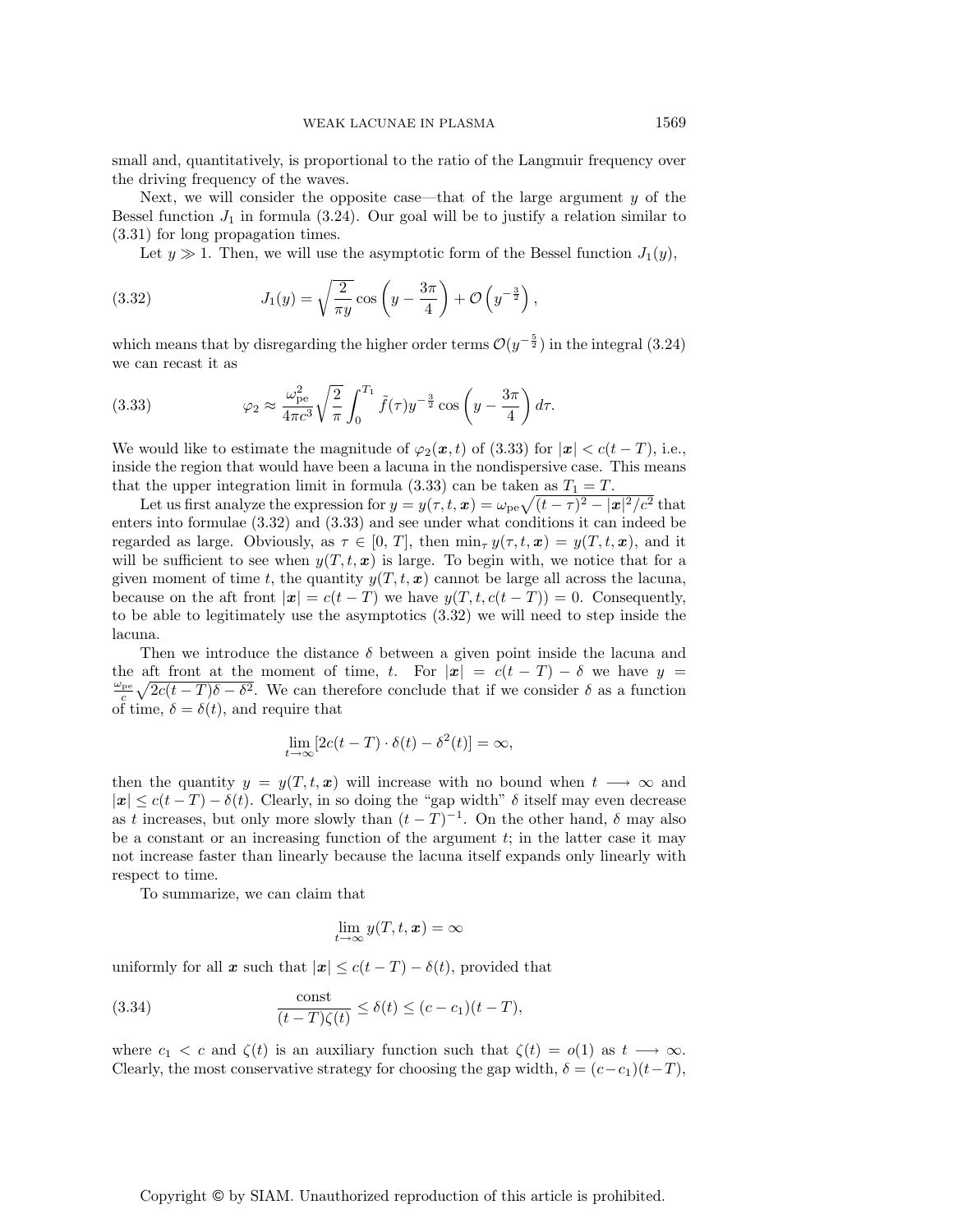small and, quantitatively, is proportional to the ratio of the Langmuir frequency over the driving frequency of the waves.

Next, we will consider the opposite case—that of the large argument  $y$  of the Bessel function  $J_1$  in formula (3.24). Our goal will be to justify a relation similar to (3.31) for long propagation times.

Let  $y \gg 1$ . Then, we will use the asymptotic form of the Bessel function  $J_1(y)$ ,

(3.32) 
$$
J_1(y) = \sqrt{\frac{2}{\pi y}} \cos\left(y - \frac{3\pi}{4}\right) + \mathcal{O}\left(y^{-\frac{3}{2}}\right),
$$

which means that by disregarding the higher order terms  $\mathcal{O}(y^{-\frac{5}{2}})$  in the integral (3.24) we can recast it as

(3.33) 
$$
\varphi_2 \approx \frac{\omega_{\rm pe}^2}{4\pi c^3} \sqrt{\frac{2}{\pi}} \int_0^{T_1} \tilde{f}(\tau) y^{-\frac{3}{2}} \cos\left(y - \frac{3\pi}{4}\right) d\tau.
$$

We would like to estimate the magnitude of  $\varphi_2(\mathbf{x},t)$  of (3.33) for  $|\mathbf{x}| < c(t-T)$ , i.e., inside the region that would have been a lacuna in the nondispersive case. This means that the upper integration limit in formula (3.33) can be taken as  $T_1 = T$ .

Let us first analyze the expression for  $y = y(\tau, t, x) = \omega_{\text{pe}} \sqrt{(t-\tau)^2 - |\mathbf{x}|^2/c^2}$  that enters into formulae (3.32) and (3.33) and see under what conditions it can indeed be regarded as large. Obviously, as  $\tau \in [0, T]$ , then  $\min_{\tau} y(\tau, t, x) = y(T, t, x)$ , and it will be sufficient to see when  $y(T, t, x)$  is large. To begin with, we notice that for a given moment of time t, the quantity  $y(T, t, x)$  cannot be large all across the lacuna, because on the aft front  $|\mathbf{x}| = c(t - T)$  we have  $y(T, t, c(t - T)) = 0$ . Consequently, to be able to legitimately use the asymptotics (3.32) we will need to step inside the lacuna.

Then we introduce the distance  $\delta$  between a given point inside the lacuna and the aft front at the moment of time, t. For  $|x| = c(t - T) - \delta$  we have  $y =$  $\frac{\partial^2 c}{\partial c} \sqrt{2c(t-T)\delta - \delta^2}$ . We can therefore conclude that if we consider  $\delta$  as a function of time,  $\delta = \delta(t)$ , and require that

$$
\lim_{t \to \infty} [2c(t - T) \cdot \delta(t) - \delta^2(t)] = \infty,
$$

then the quantity  $y = y(T, t, x)$  will increase with no bound when  $t \rightarrow \infty$  and  $|\mathbf{x}| \leq c(t-T) - \delta(t)$ . Clearly, in so doing the "gap width"  $\delta$  itself may even decrease as t increases, but only more slowly than  $(t-T)^{-1}$ . On the other hand,  $\delta$  may also be a constant or an increasing function of the argument  $t$ ; in the latter case it may not increase faster than linearly because the lacuna itself expands only linearly with respect to time.

To summarize, we can claim that

$$
\lim_{t\to\infty}y(T,t,\boldsymbol{x})=\infty
$$

uniformly for all  $x$  such that  $|x| \leq c(t-T) - \delta(t)$ , provided that

(3.34) 
$$
\frac{\text{const}}{(t-T)\zeta(t)} \le \delta(t) \le (c-c_1)(t-T),
$$

where  $c_1 < c$  and  $\zeta(t)$  is an auxiliary function such that  $\zeta(t) = o(1)$  as  $t \longrightarrow \infty$ . Clearly, the most conservative strategy for choosing the gap width,  $\delta = (c-c_1)(t-T)$ ,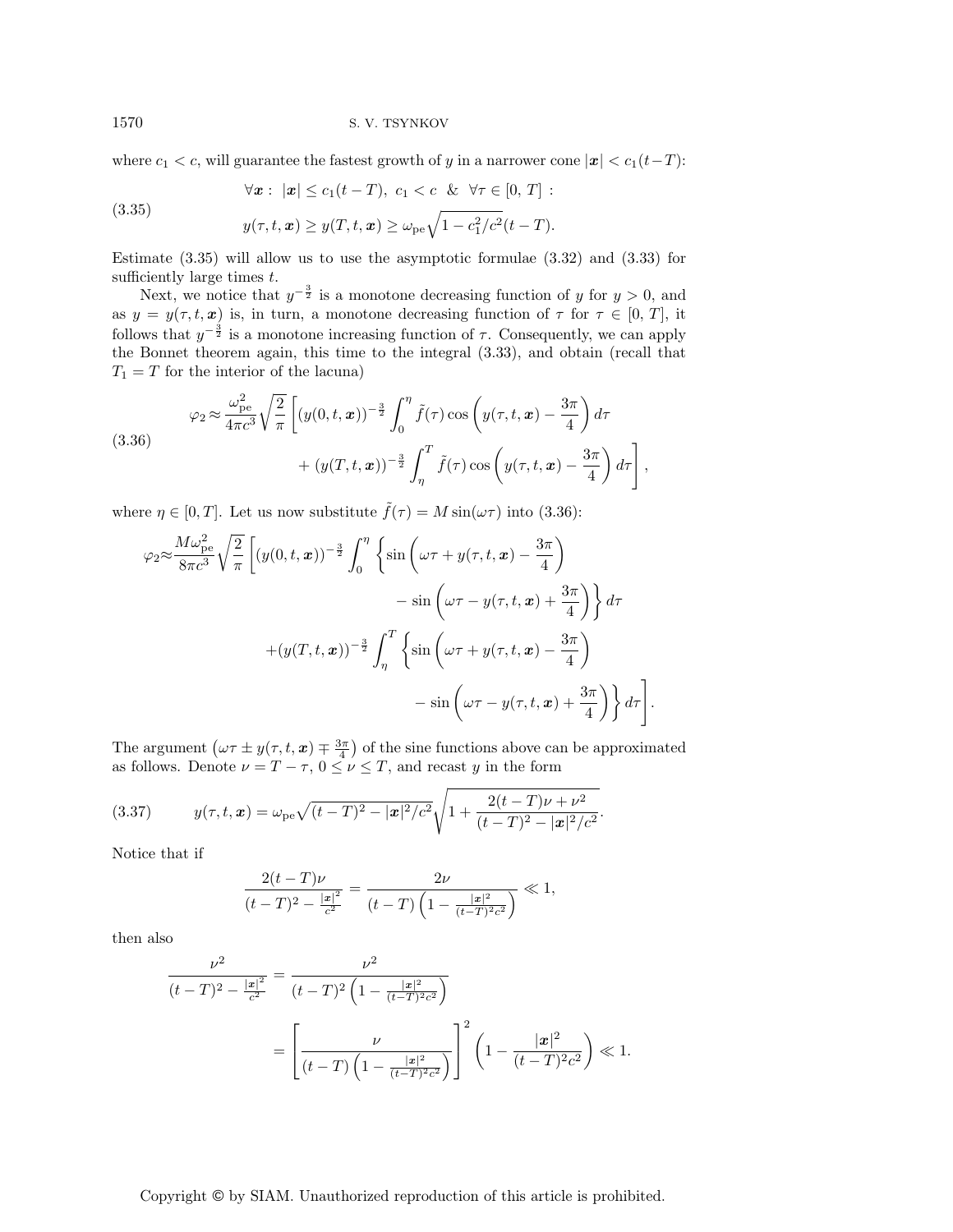where  $c_1 < c$ , will guarantee the fastest growth of y in a narrower cone  $|\mathbf{x}| < c_1(t-T)$ :

(3.35) 
$$
\forall \mathbf{x} : |\mathbf{x}| \le c_1(t-T), c_1 < c \& \forall \tau \in [0, T] :
$$

$$
y(\tau, t, \mathbf{x}) \ge y(T, t, \mathbf{x}) \ge \omega_{\text{pe}} \sqrt{1 - c_1^2/c^2}(t-T).
$$

Estimate (3.35) will allow us to use the asymptotic formulae (3.32) and (3.33) for sufficiently large times  $t$ .

Next, we notice that  $y^{-\frac{3}{2}}$  is a monotone decreasing function of y for  $y > 0$ , and as  $y = y(\tau, t, x)$  is, in turn, a monotone decreasing function of  $\tau$  for  $\tau \in [0, T]$ , it follows that  $y^{-\frac{3}{2}}$  is a monotone increasing function of  $\tau$ . Consequently, we can apply the Bonnet theorem again, this time to the integral (3.33), and obtain (recall that  $T_1 = T$  for the interior of the lacuna)

(3.36)  

$$
\varphi_2 \approx \frac{\omega_{\text{pe}}^2}{4\pi c^3} \sqrt{\frac{2}{\pi}} \left[ (y(0, t, \boldsymbol{x}))^{-\frac{3}{2}} \int_0^{\eta} \tilde{f}(\tau) \cos \left( y(\tau, t, \boldsymbol{x}) - \frac{3\pi}{4} \right) d\tau + (y(T, t, \boldsymbol{x}))^{-\frac{3}{2}} \int_{\eta}^T \tilde{f}(\tau) \cos \left( y(\tau, t, \boldsymbol{x}) - \frac{3\pi}{4} \right) d\tau \right],
$$

where  $\eta \in [0, T]$ . Let us now substitute  $\tilde{f}(\tau) = M \sin(\omega \tau)$  into (3.36):

$$
\varphi_2 \approx \frac{M\omega_{\rm pe}^2}{8\pi c^3} \sqrt{\frac{2}{\pi}} \left[ (y(0, t, \boldsymbol{x}))^{-\frac{3}{2}} \int_0^{\eta} \left\{ \sin \left( \omega \tau + y(\tau, t, \boldsymbol{x}) - \frac{3\pi}{4} \right) \right. \\ \left. - \sin \left( \omega \tau - y(\tau, t, \boldsymbol{x}) + \frac{3\pi}{4} \right) \right\} d\tau \\ + (y(T, t, \boldsymbol{x}))^{-\frac{3}{2}} \int_{\eta}^T \left\{ \sin \left( \omega \tau + y(\tau, t, \boldsymbol{x}) - \frac{3\pi}{4} \right) \right. \\ \left. - \sin \left( \omega \tau - y(\tau, t, \boldsymbol{x}) + \frac{3\pi}{4} \right) \right\} d\tau \right].
$$

The argument  $(\omega \tau \pm y(\tau, t, x) \mp \frac{3\pi}{4})$  of the sine functions above can be approximated as follows. Denote  $\nu = T - \tau$ ,  $0 \le \nu \le T$ , and recast y in the form

(3.37) 
$$
y(\tau, t, \mathbf{x}) = \omega_{\text{pe}} \sqrt{(t - T)^2 - |\mathbf{x}|^2/c^2} \sqrt{1 + \frac{2(t - T)\nu + \nu^2}{(t - T)^2 - |\mathbf{x}|^2/c^2}}.
$$

Notice that if

$$
\frac{2(t-T)\nu}{(t-T)^2 - \frac{|x|^2}{c^2}} = \frac{2\nu}{(t-T)\left(1 - \frac{|x|^2}{(t-T)^2c^2}\right)} \ll 1,
$$

then also

$$
\frac{\nu^2}{(t-T)^2 - \frac{|x|^2}{c^2}} = \frac{\nu^2}{(t-T)^2 \left(1 - \frac{|x|^2}{(t-T)^2 c^2}\right)}
$$

$$
= \left[\frac{\nu}{(t-T)\left(1 - \frac{|x|^2}{(t-T)^2 c^2}\right)}\right]^2 \left(1 - \frac{|x|^2}{(t-T)^2 c^2}\right) \ll 1.
$$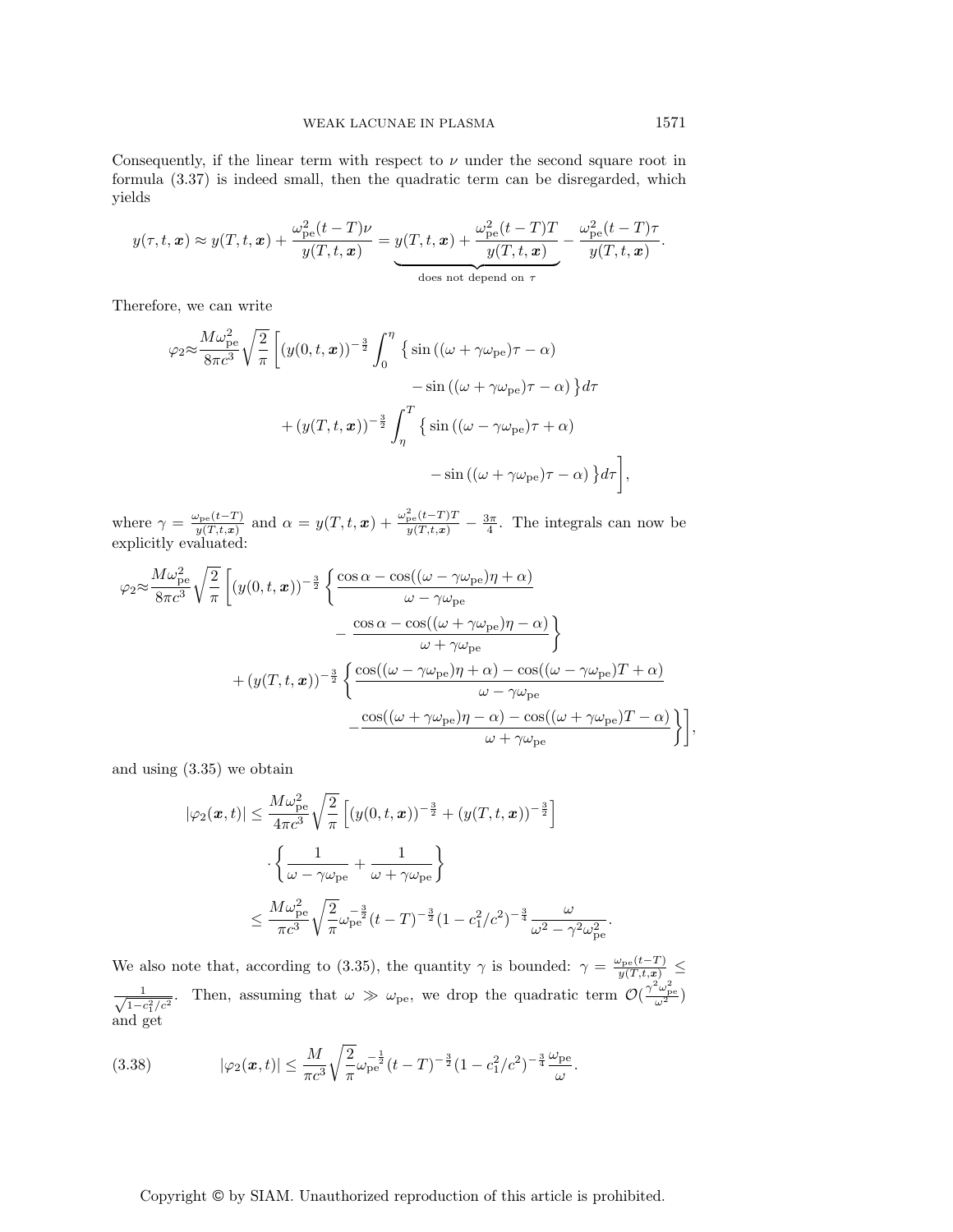Consequently, if the linear term with respect to  $\nu$  under the second square root in formula (3.37) is indeed small, then the quadratic term can be disregarded, which yields

$$
y(\tau, t, \mathbf{x}) \approx y(T, t, \mathbf{x}) + \frac{\omega_{\rm pe}^2(t - T)\nu}{y(T, t, \mathbf{x})} = \underbrace{y(T, t, \mathbf{x}) + \frac{\omega_{\rm pe}^2(t - T)T}{y(T, t, \mathbf{x})}}_{\text{does not depend on }\tau} - \frac{\omega_{\rm pe}^2(t - T)\tau}{y(T, t, \mathbf{x})}.
$$

Therefore, we can write

$$
\varphi_2 \approx \frac{M\omega_{\rm pe}^2}{8\pi c^3} \sqrt{\frac{2}{\pi}} \left[ (y(0, t, \mathbf{x}))^{-\frac{3}{2}} \int_0^{\eta} \left\{ \sin\left((\omega + \gamma \omega_{\rm pe})\tau - \alpha\right) \right. \\ \left. - \sin\left((\omega + \gamma \omega_{\rm pe})\tau - \alpha\right) \right\} d\tau \\ + (y(T, t, \mathbf{x}))^{-\frac{3}{2}} \int_{\eta}^{T} \left\{ \sin\left((\omega - \gamma \omega_{\rm pe})\tau + \alpha\right) \\ - \sin\left((\omega + \gamma \omega_{\rm pe})\tau - \alpha\right) \right\} d\tau \right],
$$

where  $\gamma = \frac{\omega_{pe}(t-T)}{y(T,t,x)}$  and  $\alpha = y(T,t,x) + \frac{\omega_{pe}^2(t-T)T}{y(T,t,x)} - \frac{3\pi}{4}$ . The integrals can now be explicitly evaluated:

$$
\varphi_2 \approx \frac{M\omega_{\rm pe}^2}{8\pi c^3} \sqrt{\frac{2}{\pi}} \left[ (y(0, t, \mathbf{x}))^{-\frac{3}{2}} \left\{ \frac{\cos\alpha - \cos((\omega - \gamma\omega_{\rm pe})\eta + \alpha)}{\omega - \gamma\omega_{\rm pe}} - \frac{\cos\alpha - \cos((\omega + \gamma\omega_{\rm pe})\eta - \alpha)}{\omega + \gamma\omega_{\rm pe}} \right\} + (y(T, t, \mathbf{x}))^{-\frac{3}{2}} \left\{ \frac{\cos((\omega - \gamma\omega_{\rm pe})\eta + \alpha) - \cos((\omega - \gamma\omega_{\rm pe})T + \alpha)}{\omega - \gamma\omega_{\rm pe}} - \frac{\cos((\omega + \gamma\omega_{\rm pe})\eta - \alpha) - \cos((\omega + \gamma\omega_{\rm pe})T - \alpha)}{\omega + \gamma\omega_{\rm pe}} \right\} \right],
$$

and using (3.35) we obtain

$$
|\varphi_2(\mathbf{x},t)| \leq \frac{M\omega_{\rm pe}^2}{4\pi c^3} \sqrt{\frac{2}{\pi}} \left[ (y(0,t,\mathbf{x}))^{-\frac{3}{2}} + (y(T,t,\mathbf{x}))^{-\frac{3}{2}} \right] \cdot \left\{ \frac{1}{\omega - \gamma \omega_{\rm pe}} + \frac{1}{\omega + \gamma \omega_{\rm pe}} \right\} \leq \frac{M\omega_{\rm pe}^2}{\pi c^3} \sqrt{\frac{2}{\pi}} \omega_{\rm pe}^{-\frac{3}{2}} (t-T)^{-\frac{3}{2}} (1 - c_1^2/c^2)^{-\frac{3}{4}} \frac{\omega}{\omega^2 - \gamma^2 \omega_{\rm pe}^2}.
$$

We also note that, according to (3.35), the quantity  $\gamma$  is bounded:  $\gamma = \frac{\omega_{pe}(t-T)}{y(T,t,x)} \leq$  $\frac{1}{\sqrt{1-\frac{1}{2}}}$  $\frac{1}{1-c_1^2/c^2}$ . Then, assuming that  $\omega \gg \omega_{\rm pe}$ , we drop the quadratic term  $\mathcal{O}(\frac{\gamma^2 \omega_{\rm pe}^2}{\omega^2})$ and get

$$
(3.38) \qquad |\varphi_2(\boldsymbol{x},t)| \leq \frac{M}{\pi c^3} \sqrt{\frac{2}{\pi}} \omega_{\rm pe}^{-\frac{1}{2}} (t-T)^{-\frac{3}{2}} (1-c_1^2/c^2)^{-\frac{3}{4}} \frac{\omega_{\rm pe}}{\omega}.
$$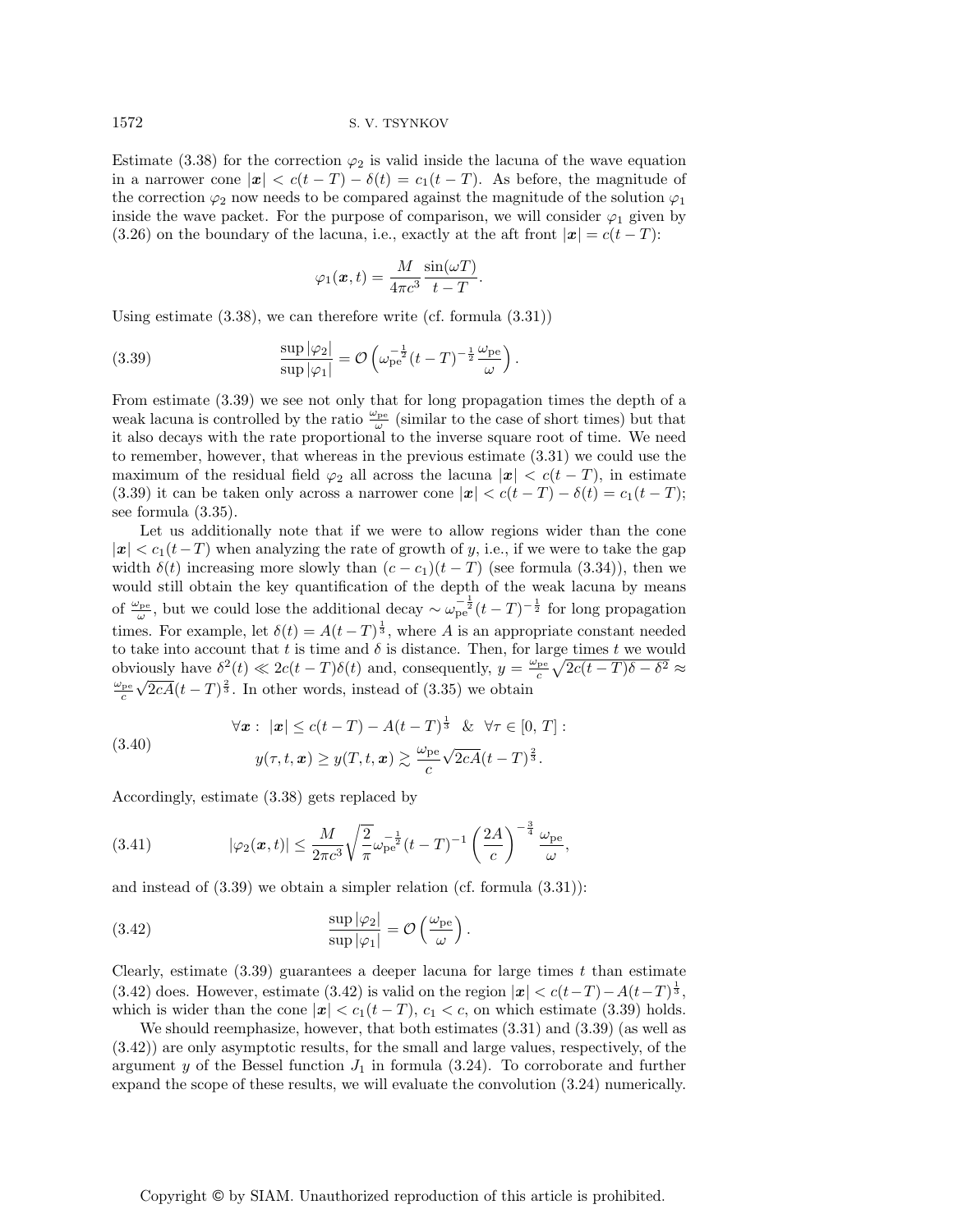Estimate (3.38) for the correction  $\varphi_2$  is valid inside the lacuna of the wave equation in a narrower cone  $|\mathbf{x}| < c(t-T) - \delta(t) = c_1(t-T)$ . As before, the magnitude of the correction  $\varphi_2$  now needs to be compared against the magnitude of the solution  $\varphi_1$ inside the wave packet. For the purpose of comparison, we will consider  $\varphi_1$  given by (3.26) on the boundary of the lacuna, i.e., exactly at the aft front  $|\mathbf{x}| = c(t - T)$ :

$$
\varphi_1(\boldsymbol{x},t) = \frac{M}{4\pi c^3} \frac{\sin(\omega T)}{t - T}.
$$

Using estimate (3.38), we can therefore write (cf. formula (3.31))

(3.39) 
$$
\frac{\sup |\varphi_2|}{\sup |\varphi_1|} = \mathcal{O}\left(\omega_{\mathbf{p}e}^{-\frac{1}{2}}(t-T)^{-\frac{1}{2}}\frac{\omega_{\mathbf{p}e}}{\omega}\right).
$$

From estimate (3.39) we see not only that for long propagation times the depth of a weak lacuna is controlled by the ratio  $\frac{\omega_{pe}}{\omega}$  (similar to the case of short times) but that it also decays with the rate proportional to the inverse square root of time. We need to remember, however, that whereas in the previous estimate (3.31) we could use the maximum of the residual field  $\varphi_2$  all across the lacuna  $|x| < c(t-T)$ , in estimate (3.39) it can be taken only across a narrower cone  $|x| < c(t-T) - \delta(t) = c_1(t-T);$ see formula (3.35).

Let us additionally note that if we were to allow regions wider than the cone  $|x| < c_1(t-T)$  when analyzing the rate of growth of y, i.e., if we were to take the gap width  $\delta(t)$  increasing more slowly than  $(c - c_1)(t - T)$  (see formula (3.34)), then we would still obtain the key quantification of the depth of the weak lacuna by means of  $\frac{\omega_{\rm pe}}{\omega}$ , but we could lose the additional decay  $\sim \omega_{\rm pe}^{-\frac{1}{2}}(t-T)^{-\frac{1}{2}}$  for long propagation times. For example, let  $\delta(t) = A(t-T)^{\frac{1}{3}}$ , where A is an appropriate constant needed to take into account that t is time and  $\delta$  is distance. Then, for large times t we would obviously have  $\delta^2(t) \ll 2c(t-T)\delta(t)$  and, consequently,  $y = \frac{\omega_{\text{pe}}}{c} \sqrt{2c(t-T)\delta - \delta^2} \approx$  $\frac{\omega_{\rm pe}}{c} \sqrt{2cA}(t-T)^{\frac{2}{3}}$ . In other words, instead of (3.35) we obtain

(3.40) 
$$
\forall \mathbf{x}: |\mathbf{x}| \le c(t-T) - A(t-T)^{\frac{1}{3}} \& \forall \tau \in [0, T]:
$$

$$
y(\tau, t, \mathbf{x}) \ge y(T, t, \mathbf{x}) \gtrsim \frac{\omega_{\text{pe}}}{c} \sqrt{2cA}(t-T)^{\frac{2}{3}}.
$$

Accordingly, estimate (3.38) gets replaced by

(3.41) 
$$
|\varphi_2(\bm{x},t)| \leq \frac{M}{2\pi c^3} \sqrt{\frac{2}{\pi}} \omega_{\rm pe}^{-\frac{1}{2}} (t-T)^{-1} \left(\frac{2A}{c}\right)^{-\frac{3}{4}} \frac{\omega_{\rm pe}}{\omega},
$$

and instead of (3.39) we obtain a simpler relation (cf. formula (3.31)):

(3.42) 
$$
\frac{\sup |\varphi_2|}{\sup |\varphi_1|} = \mathcal{O}\left(\frac{\omega_{\rm pe}}{\omega}\right).
$$

Clearly, estimate  $(3.39)$  guarantees a deeper lacuna for large times t than estimate (3.42) does. However, estimate (3.42) is valid on the region  $|\mathbf{x}| < c(t-T) - A(t-T)^{\frac{1}{3}}$ , which is wider than the cone  $|x| < c_1(t-T)$ ,  $c_1 < c$ , on which estimate (3.39) holds.

We should reemphasize, however, that both estimates (3.31) and (3.39) (as well as (3.42)) are only asymptotic results, for the small and large values, respectively, of the argument y of the Bessel function  $J_1$  in formula (3.24). To corroborate and further expand the scope of these results, we will evaluate the convolution (3.24) numerically.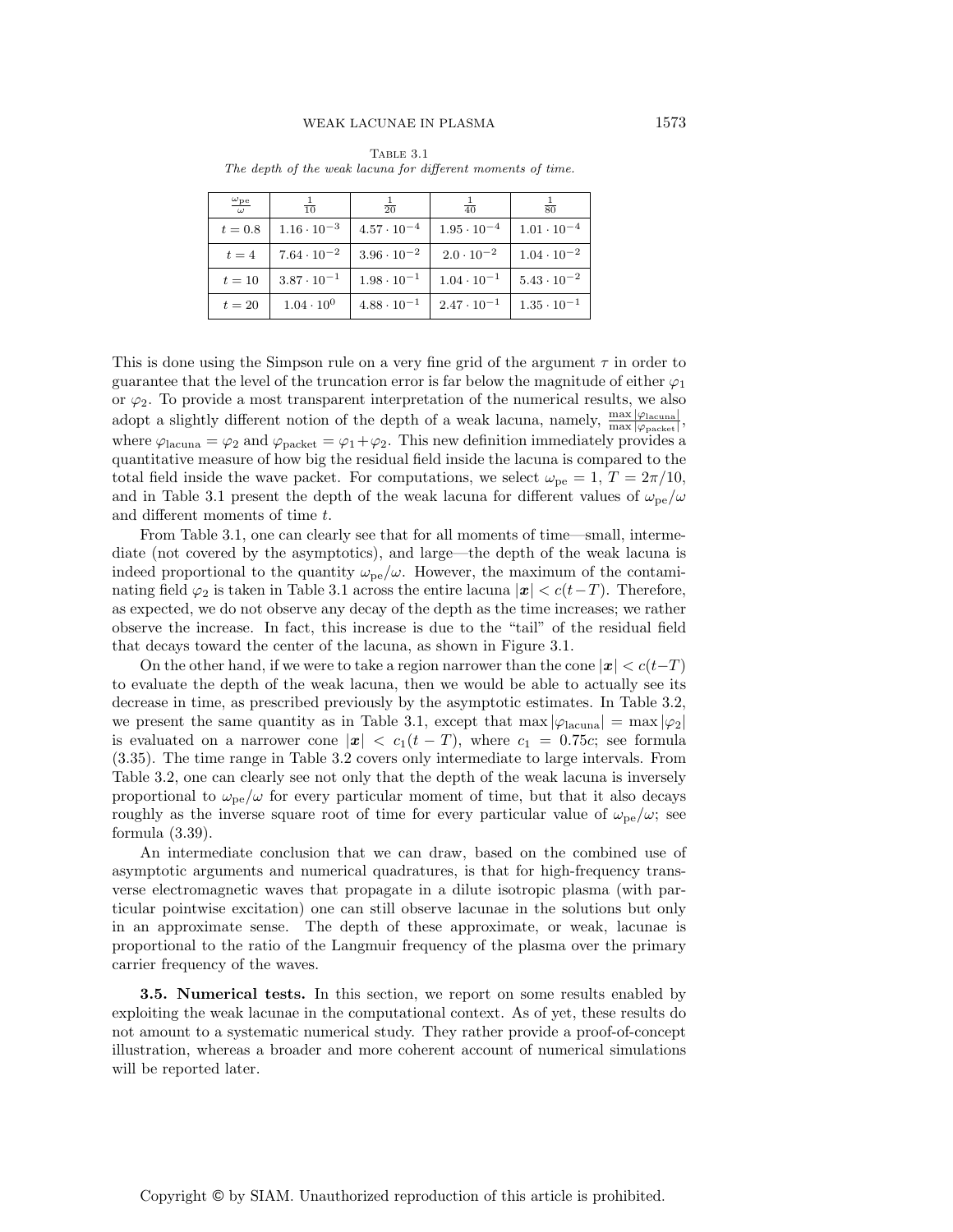| $\frac{\omega_{\rm pe}}{\omega}$ | $\overline{10}$      | $\overline{20}$      | $\overline{40}$      | $\overline{80}$      |
|----------------------------------|----------------------|----------------------|----------------------|----------------------|
| $t=0.8$                          | $1.16 \cdot 10^{-3}$ | $4.57 \cdot 10^{-4}$ | $1.95 \cdot 10^{-4}$ | $1.01 \cdot 10^{-4}$ |
| $t=4$                            | $7.64 \cdot 10^{-2}$ | $3.96 \cdot 10^{-2}$ | $2.0 \cdot 10^{-2}$  | $1.04 \cdot 10^{-2}$ |
| $t=10$                           | $3.87 \cdot 10^{-1}$ | $1.98 \cdot 10^{-1}$ | $1.04 \cdot 10^{-1}$ | $5.43 \cdot 10^{-2}$ |
| $t=20$                           | $1.04 \cdot 10^{0}$  | $4.88 \cdot 10^{-1}$ | $2.47 \cdot 10^{-1}$ | $1.35 \cdot 10^{-1}$ |

Table 3.1 The depth of the weak lacuna for different moments of time.

This is done using the Simpson rule on a very fine grid of the argument  $\tau$  in order to guarantee that the level of the truncation error is far below the magnitude of either  $\varphi_1$ or  $\varphi_2$ . To provide a most transparent interpretation of the numerical results, we also adopt a slightly different notion of the depth of a weak lacuna, namely,  $\frac{\max |\varphi_{\text{backward}}|}{\max |\varphi_{\text{packet}}|}$ , where  $\varphi_{\text{lacuna}} = \varphi_2$  and  $\varphi_{\text{packet}} = \varphi_1 + \varphi_2$ . This new definition immediately provides a quantitative measure of how big the residual field inside the lacuna is compared to the total field inside the wave packet. For computations, we select  $\omega_{pe} = 1, T = 2\pi/10$ , and in Table 3.1 present the depth of the weak lacuna for different values of  $\omega_{pe}/\omega$ and different moments of time t.

From Table 3.1, one can clearly see that for all moments of time—small, intermediate (not covered by the asymptotics), and large—the depth of the weak lacuna is indeed proportional to the quantity  $\omega_{pe}/\omega$ . However, the maximum of the contaminating field  $\varphi_2$  is taken in Table 3.1 across the entire lacuna  $|\mathbf{x}| < c(t-T)$ . Therefore, as expected, we do not observe any decay of the depth as the time increases; we rather observe the increase. In fact, this increase is due to the "tail" of the residual field that decays toward the center of the lacuna, as shown in Figure 3.1.

On the other hand, if we were to take a region narrower than the cone  $|x| < c(t-T)$ to evaluate the depth of the weak lacuna, then we would be able to actually see its decrease in time, as prescribed previously by the asymptotic estimates. In Table 3.2, we present the same quantity as in Table 3.1, except that  $\max |\varphi_{\text{lacuna}}| = \max |\varphi_2|$ is evaluated on a narrower cone  $|x| < c_1(t-T)$ , where  $c_1 = 0.75c$ ; see formula (3.35). The time range in Table 3.2 covers only intermediate to large intervals. From Table 3.2, one can clearly see not only that the depth of the weak lacuna is inversely proportional to  $\omega_{pe}/\omega$  for every particular moment of time, but that it also decays roughly as the inverse square root of time for every particular value of  $\omega_{pe}/\omega$ ; see formula (3.39).

An intermediate conclusion that we can draw, based on the combined use of asymptotic arguments and numerical quadratures, is that for high-frequency transverse electromagnetic waves that propagate in a dilute isotropic plasma (with particular pointwise excitation) one can still observe lacunae in the solutions but only in an approximate sense. The depth of these approximate, or weak, lacunae is proportional to the ratio of the Langmuir frequency of the plasma over the primary carrier frequency of the waves.

**3.5. Numerical tests.** In this section, we report on some results enabled by exploiting the weak lacunae in the computational context. As of yet, these results do not amount to a systematic numerical study. They rather provide a proof-of-concept illustration, whereas a broader and more coherent account of numerical simulations will be reported later.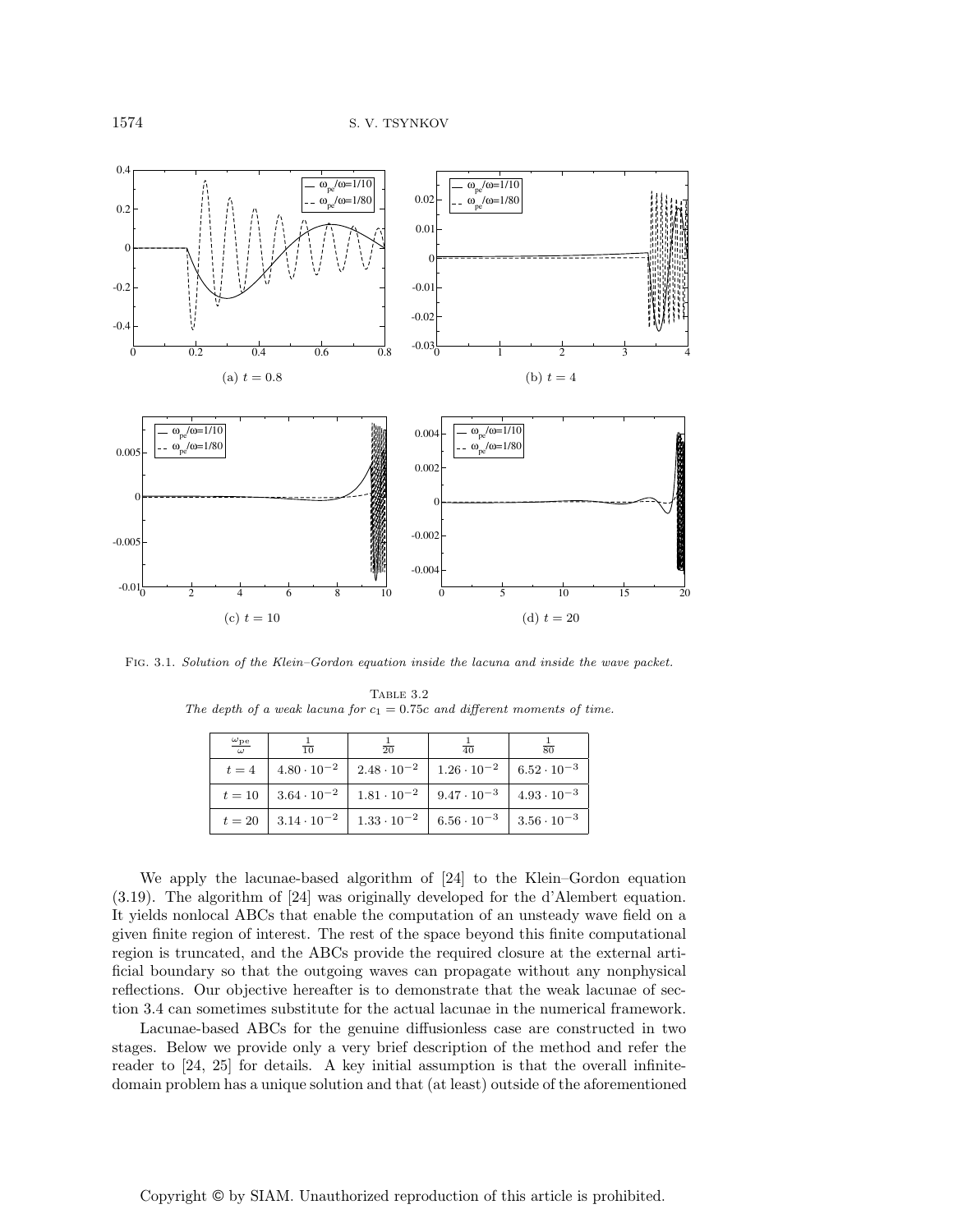

Fig. 3.1. Solution of the Klein–Gordon equation inside the lacuna and inside the wave packet.

| $\omega_{\rm pe}$<br>$\omega$ | $\overline{20}$                                                                                                                 | 40 | 80 |
|-------------------------------|---------------------------------------------------------------------------------------------------------------------------------|----|----|
| $t=4$                         | $4.80 \cdot 10^{-2}$   $2.48 \cdot 10^{-2}$   $1.26 \cdot 10^{-2}$   $6.52 \cdot 10^{-3}$                                       |    |    |
| $t=10$                        | $\vert$ 3.64 · 10 <sup>-2</sup> $\vert$ 1.81 · 10 <sup>-2</sup> $\vert$ 9.47 · 10 <sup>-3</sup> $\vert$ 4.93 · 10 <sup>-3</sup> |    |    |
| $t=20$                        | $\vert$ 3.14 · 10 <sup>-2</sup> $\vert$ 1.33 · 10 <sup>-2</sup> $\vert$ 6.56 · 10 <sup>-3</sup> $\vert$ 3.56 · 10 <sup>-3</sup> |    |    |

TABLE 3.2 The depth of a weak lacuna for  $c_1 = 0.75c$  and different moments of time.

We apply the lacunae-based algorithm of [24] to the Klein–Gordon equation (3.19). The algorithm of [24] was originally developed for the d'Alembert equation. It yields nonlocal ABCs that enable the computation of an unsteady wave field on a given finite region of interest. The rest of the space beyond this finite computational region is truncated, and the ABCs provide the required closure at the external artificial boundary so that the outgoing waves can propagate without any nonphysical reflections. Our objective hereafter is to demonstrate that the weak lacunae of section 3.4 can sometimes substitute for the actual lacunae in the numerical framework.

Lacunae-based ABCs for the genuine diffusionless case are constructed in two stages. Below we provide only a very brief description of the method and refer the reader to [24, 25] for details. A key initial assumption is that the overall infinitedomain problem has a unique solution and that (at least) outside of the aforementioned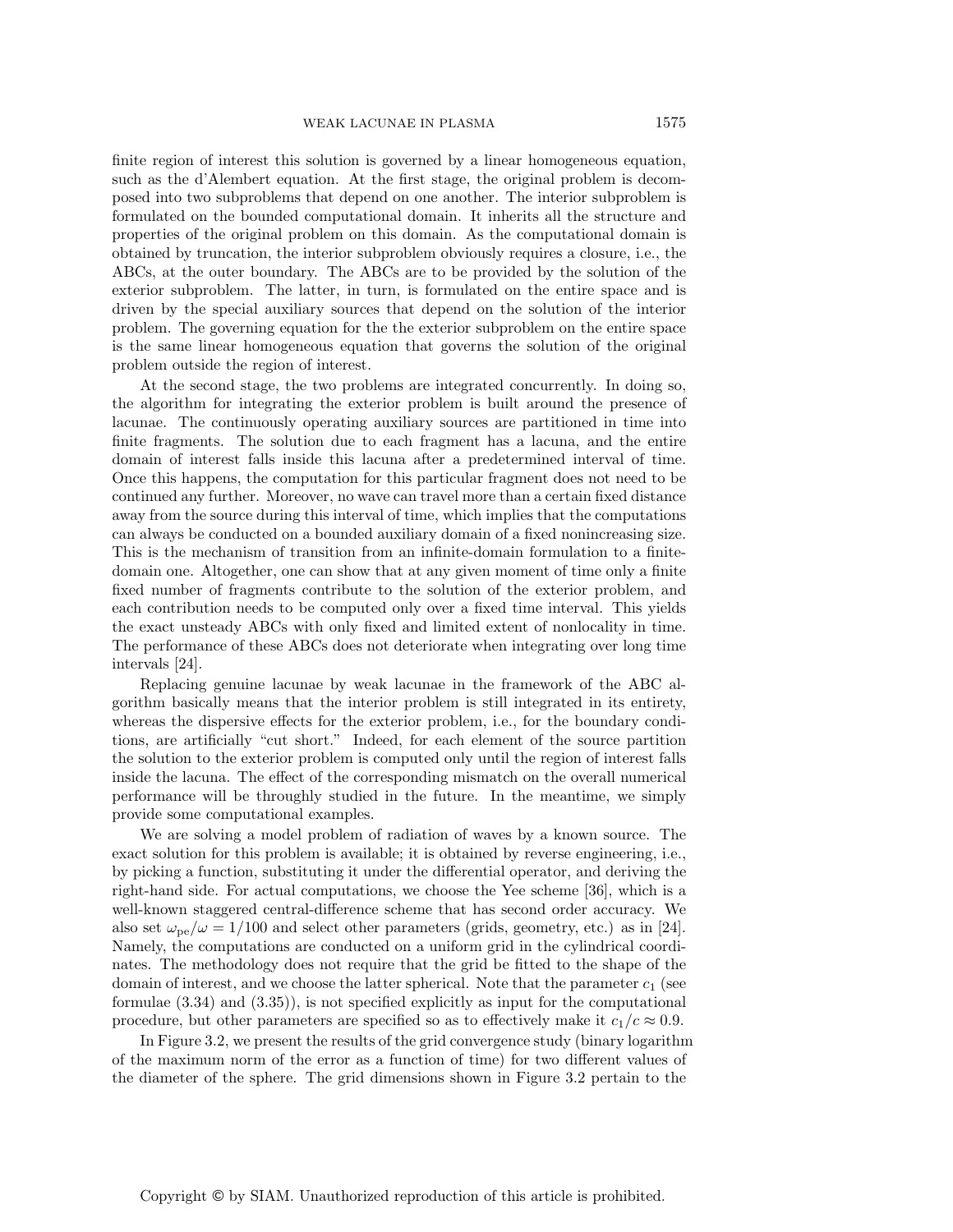finite region of interest this solution is governed by a linear homogeneous equation, such as the d'Alembert equation. At the first stage, the original problem is decomposed into two subproblems that depend on one another. The interior subproblem is formulated on the bounded computational domain. It inherits all the structure and properties of the original problem on this domain. As the computational domain is obtained by truncation, the interior subproblem obviously requires a closure, i.e., the ABCs, at the outer boundary. The ABCs are to be provided by the solution of the exterior subproblem. The latter, in turn, is formulated on the entire space and is driven by the special auxiliary sources that depend on the solution of the interior problem. The governing equation for the the exterior subproblem on the entire space is the same linear homogeneous equation that governs the solution of the original problem outside the region of interest.

At the second stage, the two problems are integrated concurrently. In doing so, the algorithm for integrating the exterior problem is built around the presence of lacunae. The continuously operating auxiliary sources are partitioned in time into finite fragments. The solution due to each fragment has a lacuna, and the entire domain of interest falls inside this lacuna after a predetermined interval of time. Once this happens, the computation for this particular fragment does not need to be continued any further. Moreover, no wave can travel more than a certain fixed distance away from the source during this interval of time, which implies that the computations can always be conducted on a bounded auxiliary domain of a fixed nonincreasing size. This is the mechanism of transition from an infinite-domain formulation to a finitedomain one. Altogether, one can show that at any given moment of time only a finite fixed number of fragments contribute to the solution of the exterior problem, and each contribution needs to be computed only over a fixed time interval. This yields the exact unsteady ABCs with only fixed and limited extent of nonlocality in time. The performance of these ABCs does not deteriorate when integrating over long time intervals [24].

Replacing genuine lacunae by weak lacunae in the framework of the ABC algorithm basically means that the interior problem is still integrated in its entirety, whereas the dispersive effects for the exterior problem, i.e., for the boundary conditions, are artificially "cut short." Indeed, for each element of the source partition the solution to the exterior problem is computed only until the region of interest falls inside the lacuna. The effect of the corresponding mismatch on the overall numerical performance will be throughly studied in the future. In the meantime, we simply provide some computational examples.

We are solving a model problem of radiation of waves by a known source. The exact solution for this problem is available; it is obtained by reverse engineering, i.e., by picking a function, substituting it under the differential operator, and deriving the right-hand side. For actual computations, we choose the Yee scheme [36], which is a well-known staggered central-difference scheme that has second order accuracy. We also set  $\omega_{pe}/\omega = 1/100$  and select other parameters (grids, geometry, etc.) as in [24]. Namely, the computations are conducted on a uniform grid in the cylindrical coordinates. The methodology does not require that the grid be fitted to the shape of the domain of interest, and we choose the latter spherical. Note that the parameter  $c_1$  (see formulae (3.34) and (3.35)), is not specified explicitly as input for the computational procedure, but other parameters are specified so as to effectively make it  $c_1/c \approx 0.9$ .

In Figure 3.2, we present the results of the grid convergence study (binary logarithm of the maximum norm of the error as a function of time) for two different values of the diameter of the sphere. The grid dimensions shown in Figure 3.2 pertain to the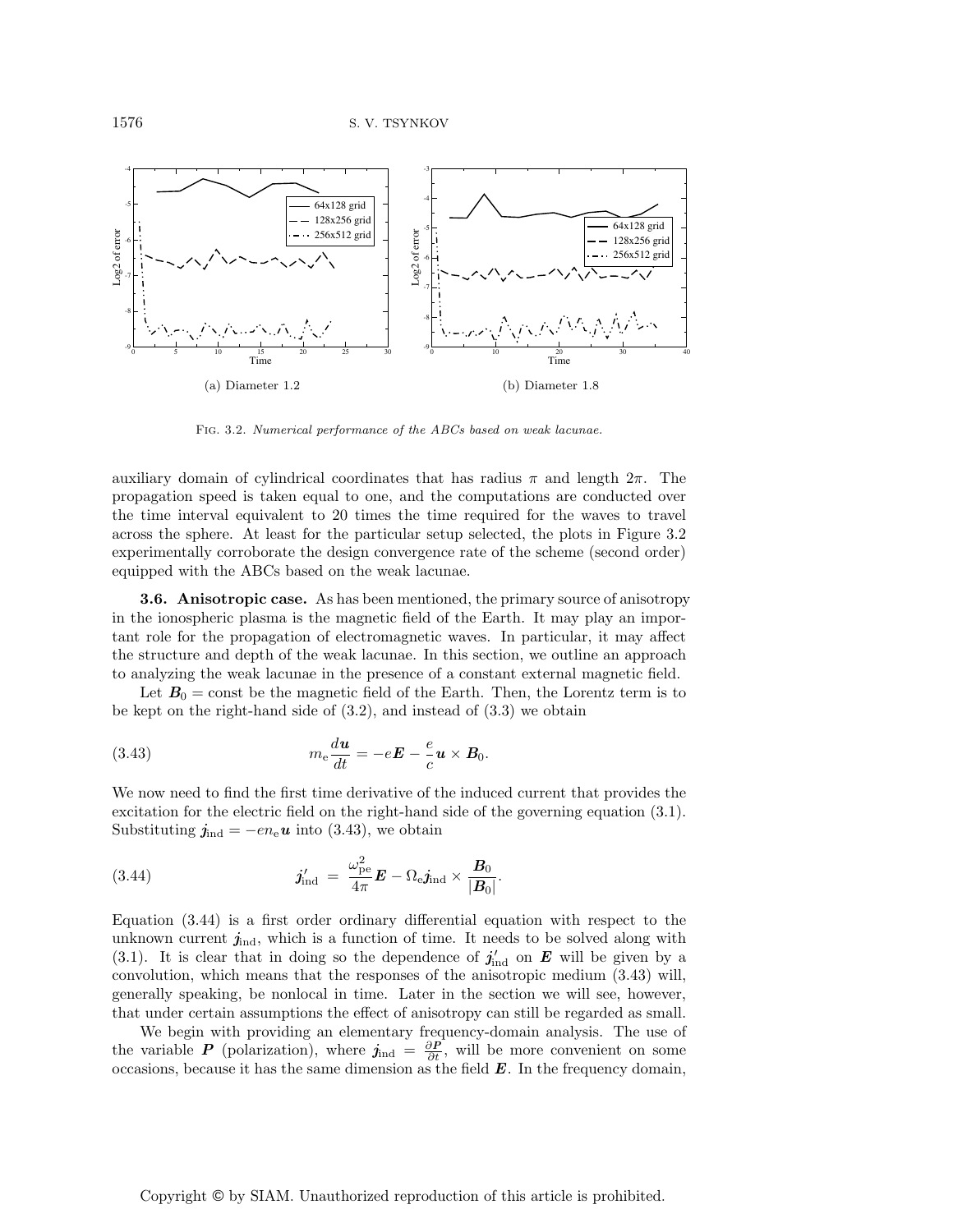

FIG. 3.2. Numerical performance of the ABCs based on weak lacunae.

auxiliary domain of cylindrical coordinates that has radius  $\pi$  and length  $2\pi$ . The propagation speed is taken equal to one, and the computations are conducted over the time interval equivalent to 20 times the time required for the waves to travel across the sphere. At least for the particular setup selected, the plots in Figure 3.2 experimentally corroborate the design convergence rate of the scheme (second order) equipped with the ABCs based on the weak lacunae.

**3.6. Anisotropic case.** As has been mentioned, the primary source of anisotropy in the ionospheric plasma is the magnetic field of the Earth. It may play an important role for the propagation of electromagnetic waves. In particular, it may affect the structure and depth of the weak lacunae. In this section, we outline an approach to analyzing the weak lacunae in the presence of a constant external magnetic field.

Let  $B_0 = \text{const}$  be the magnetic field of the Earth. Then, the Lorentz term is to be kept on the right-hand side of  $(3.2)$ , and instead of  $(3.3)$  we obtain

(3.43) 
$$
m_{\rm e} \frac{d\mathbf{u}}{dt} = -e\mathbf{E} - \frac{e}{c}\mathbf{u} \times \mathbf{B}_0.
$$

We now need to find the first time derivative of the induced current that provides the excitation for the electric field on the right-hand side of the governing equation (3.1). Substituting  $j_{\text{ind}} = -en_e\mathbf{u}$  into (3.43), we obtain

(3.44) 
$$
\mathbf{j}'_{\text{ind}} = \frac{\omega_{\text{pe}}^2}{4\pi} \mathbf{E} - \Omega_{\text{e}} \mathbf{j}_{\text{ind}} \times \frac{\mathbf{B}_0}{|\mathbf{B}_0|}.
$$

Equation (3.44) is a first order ordinary differential equation with respect to the unknown current  $j_{\text{ind}}$ , which is a function of time. It needs to be solved along with (3.1). It is clear that in doing so the dependence of  $j'_{\text{ind}}$  on **E** will be given by a convolution, which means that the responses of the anisotropic medium (3.43) will, generally speaking, be nonlocal in time. Later in the section we will see, however, that under certain assumptions the effect of anisotropy can still be regarded as small.

We begin with providing an elementary frequency-domain analysis. The use of the variable *P* (polarization), where  $j_{ind} = \frac{\partial P}{\partial t}$ , will be more convenient on some occasions, because it has the same dimension as the field *E*. In the frequency domain,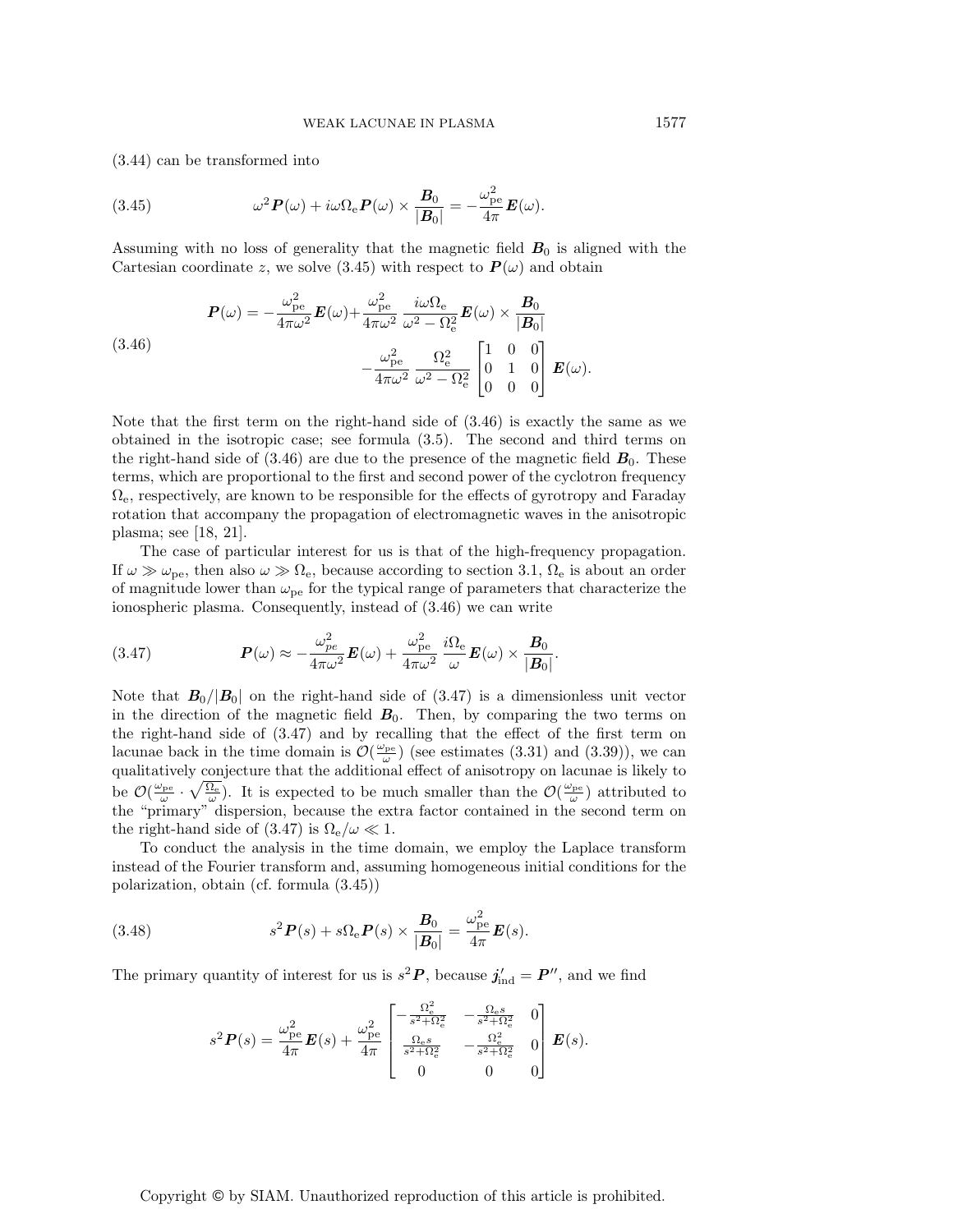(3.44) can be transformed into

(3.45) 
$$
\omega^2 P(\omega) + i\omega \Omega_e P(\omega) \times \frac{B_0}{|B_0|} = -\frac{\omega_{pe}^2}{4\pi} E(\omega).
$$

Assuming with no loss of generality that the magnetic field  $B_0$  is aligned with the Cartesian coordinate z, we solve (3.45) with respect to  $P(\omega)$  and obtain

(3.46)  

$$
P(\omega) = -\frac{\omega_{\text{pe}}^2}{4\pi\omega^2} E(\omega) + \frac{\omega_{\text{pe}}^2}{4\pi\omega^2} \frac{i\omega\Omega_{\text{e}}}{\omega^2 - \Omega_{\text{e}}^2} E(\omega) \times \frac{B_0}{|B_0|}
$$

$$
-\frac{\omega_{\text{pe}}^2}{4\pi\omega^2} \frac{\Omega_{\text{e}}^2}{\omega^2 - \Omega_{\text{e}}^2} \begin{bmatrix} 1 & 0 & 0 \\ 0 & 1 & 0 \\ 0 & 0 & 0 \end{bmatrix} E(\omega).
$$

Note that the first term on the right-hand side of (3.46) is exactly the same as we obtained in the isotropic case; see formula (3.5). The second and third terms on the right-hand side of  $(3.46)$  are due to the presence of the magnetic field  $\mathbf{B}_0$ . These terms, which are proportional to the first and second power of the cyclotron frequency  $\Omega_{\rm e}$ , respectively, are known to be responsible for the effects of gyrotropy and Faraday rotation that accompany the propagation of electromagnetic waves in the anisotropic plasma; see [18, 21].

The case of particular interest for us is that of the high-frequency propagation. If  $\omega \gg \omega_{\rm pe}$ , then also  $\omega \gg \Omega_{\rm e}$ , because according to section 3.1,  $\Omega_{\rm e}$  is about an order of magnitude lower than  $\omega_{pe}$  for the typical range of parameters that characterize the ionospheric plasma. Consequently, instead of (3.46) we can write

(3.47) 
$$
\mathbf{P}(\omega) \approx -\frac{\omega_{pe}^2}{4\pi\omega^2}\mathbf{E}(\omega) + \frac{\omega_{pe}^2}{4\pi\omega^2}\frac{i\Omega_e}{\omega}\mathbf{E}(\omega) \times \frac{\mathbf{B}_0}{|\mathbf{B}_0|}.
$$

Note that  $B_0/|B_0|$  on the right-hand side of  $(3.47)$  is a dimensionless unit vector in the direction of the magnetic field  $B_0$ . Then, by comparing the two terms on the right-hand side of (3.47) and by recalling that the effect of the first term on lacunae back in the time domain is  $\mathcal{O}(\frac{\omega_{pe}}{\omega})$  (see estimates (3.31) and (3.39)), we can qualitatively conjecture that the additional effect of anisotropy on lacunae is likely to be  $\mathcal{O}(\frac{\omega_{\rm pe}}{\omega} \cdot \sqrt{\frac{\Omega_e}{\omega}})$ . It is expected to be much smaller than the  $\mathcal{O}(\frac{\omega_{\rm pe}}{\omega})$  attributed to the "primary" dispersion, because the extra factor contained in the second term on the right-hand side of (3.47) is  $\Omega_{\rm e}/\omega \ll 1$ .

To conduct the analysis in the time domain, we employ the Laplace transform instead of the Fourier transform and, assuming homogeneous initial conditions for the polarization, obtain (cf. formula (3.45))

(3.48) 
$$
s^{2}P(s) + s\Omega_{e}P(s) \times \frac{B_{0}}{|B_{0}|} = \frac{\omega_{pe}^{2}}{4\pi}E(s).
$$

The primary quantity of interest for us is  $s^2 P$ , because  $j'_{\text{ind}} = P''$ , and we find

$$
s^{2} P(s) = \frac{\omega_{\rm pe}^{2}}{4\pi} E(s) + \frac{\omega_{\rm pe}^{2}}{4\pi} \begin{bmatrix} -\frac{\Omega_{\rm e}^{2}}{s^{2} + \Omega_{\rm e}^{2}} & -\frac{\Omega_{\rm e} s}{s^{2} + \Omega_{\rm e}^{2}} & 0\\ \frac{\Omega_{\rm e} s}{s^{2} + \Omega_{\rm e}^{2}} & -\frac{\Omega_{\rm e}^{2}}{s^{2} + \Omega_{\rm e}^{2}} & 0\\ 0 & 0 & 0 \end{bmatrix} E(s).
$$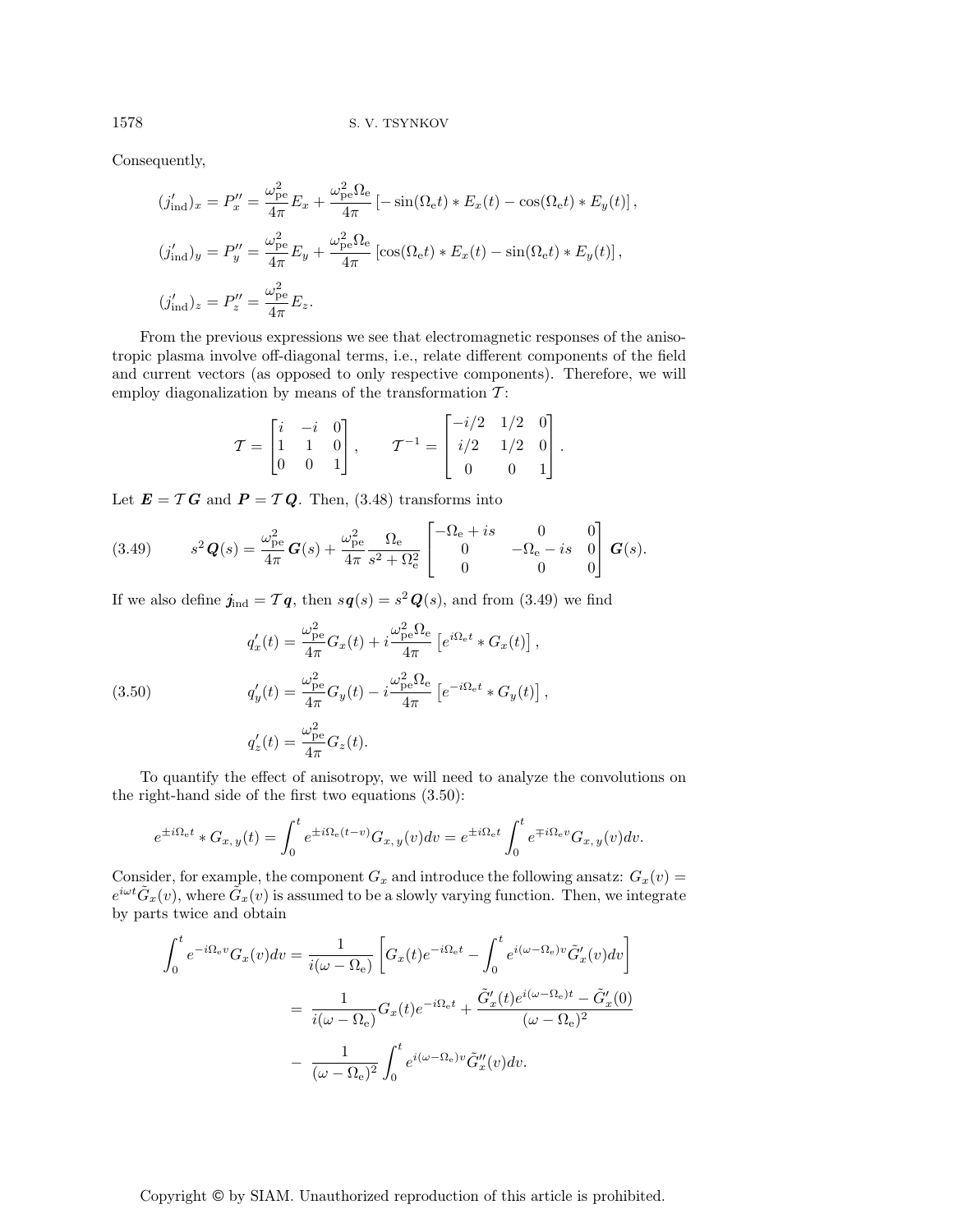Consequently,

$$
(j'_{\text{ind}})_x = P''_x = \frac{\omega_{\text{pe}}^2}{4\pi} E_x + \frac{\omega_{\text{pe}}^2 \Omega_{\text{e}}}{4\pi} \left[ -\sin(\Omega_{\text{e}}t) * E_x(t) - \cos(\Omega_{\text{e}}t) * E_y(t) \right],
$$
  

$$
(j'_{\text{ind}})_y = P''_y = \frac{\omega_{\text{pe}}^2}{4\pi} E_y + \frac{\omega_{\text{pe}}^2 \Omega_{\text{e}}}{4\pi} \left[ \cos(\Omega_{\text{e}}t) * E_x(t) - \sin(\Omega_{\text{e}}t) * E_y(t) \right],
$$
  

$$
(j'_{\text{ind}})_z = P''_z = \frac{\omega_{\text{pe}}^2}{4\pi} E_z.
$$

From the previous expressions we see that electromagnetic responses of the anisotropic plasma involve off-diagonal terms, i.e., relate different components of the field and current vectors (as opposed to only respective components). Therefore, we will employ diagonalization by means of the transformation  $T$ :

$$
\mathcal{T} = \begin{bmatrix} i & -i & 0 \\ 1 & 1 & 0 \\ 0 & 0 & 1 \end{bmatrix}, \qquad \mathcal{T}^{-1} = \begin{bmatrix} -i/2 & 1/2 & 0 \\ i/2 & 1/2 & 0 \\ 0 & 0 & 1 \end{bmatrix}.
$$

Let  $\mathbf{E} = \mathcal{T} \mathbf{G}$  and  $\mathbf{P} = \mathcal{T} \mathbf{Q}$ . Then, (3.48) transforms into

(3.49) 
$$
s^{2} Q(s) = \frac{\omega_{\text{pe}}^{2}}{4\pi} G(s) + \frac{\omega_{\text{pe}}^{2}}{4\pi} \frac{\Omega_{\text{e}}}{s^{2} + \Omega_{\text{e}}^{2}} \begin{bmatrix} -\Omega_{\text{e}} + is & 0 & 0\\ 0 & -\Omega_{\text{e}} - is & 0\\ 0 & 0 & 0 \end{bmatrix} G(s).
$$

If we also define  $j_{\text{ind}} = T q$ , then  $s q(s) = s^2 Q(s)$ , and from (3.49) we find

(3.50)  
\n
$$
q'_x(t) = \frac{\omega_{\text{pe}}^2}{4\pi} G_x(t) + i \frac{\omega_{\text{pe}}^2 \Omega_{\text{e}}}{4\pi} \left[ e^{i\Omega_{\text{e}}t} * G_x(t) \right],
$$
\n
$$
q'_y(t) = \frac{\omega_{\text{pe}}^2}{4\pi} G_y(t) - i \frac{\omega_{\text{pe}}^2 \Omega_{\text{e}}}{4\pi} \left[ e^{-i\Omega_{\text{e}}t} * G_y(t) \right],
$$
\n
$$
q'_z(t) = \frac{\omega_{\text{pe}}^2}{4\pi} G_z(t).
$$

To quantify the effect of anisotropy, we will need to analyze the convolutions on the right-hand side of the first two equations (3.50):

$$
e^{\pm i\Omega_e t} * G_{x,y}(t) = \int_0^t e^{\pm i\Omega_e(t-v)} G_{x,y}(v) dv = e^{\pm i\Omega_e t} \int_0^t e^{\mp i\Omega_e v} G_{x,y}(v) dv.
$$

Consider, for example, the component  $G_x$  and introduce the following ansatz:  $G_x(v)$  =  $e^{i\omega t}\tilde{G}_x(v)$ , where  $\tilde{G}_x(v)$  is assumed to be a slowly varying function. Then, we integrate by parts twice and obtain

$$
\int_0^t e^{-i\Omega_e v} G_x(v) dv = \frac{1}{i(\omega - \Omega_e)} \left[ G_x(t) e^{-i\Omega_e t} - \int_0^t e^{i(\omega - \Omega_e) v} \tilde{G}'_x(v) dv \right]
$$
  

$$
= \frac{1}{i(\omega - \Omega_e)} G_x(t) e^{-i\Omega_e t} + \frac{\tilde{G}'_x(t) e^{i(\omega - \Omega_e)t} - \tilde{G}'_x(0)}{(\omega - \Omega_e)^2}
$$
  

$$
- \frac{1}{(\omega - \Omega_e)^2} \int_0^t e^{i(\omega - \Omega_e) v} \tilde{G}''_x(v) dv.
$$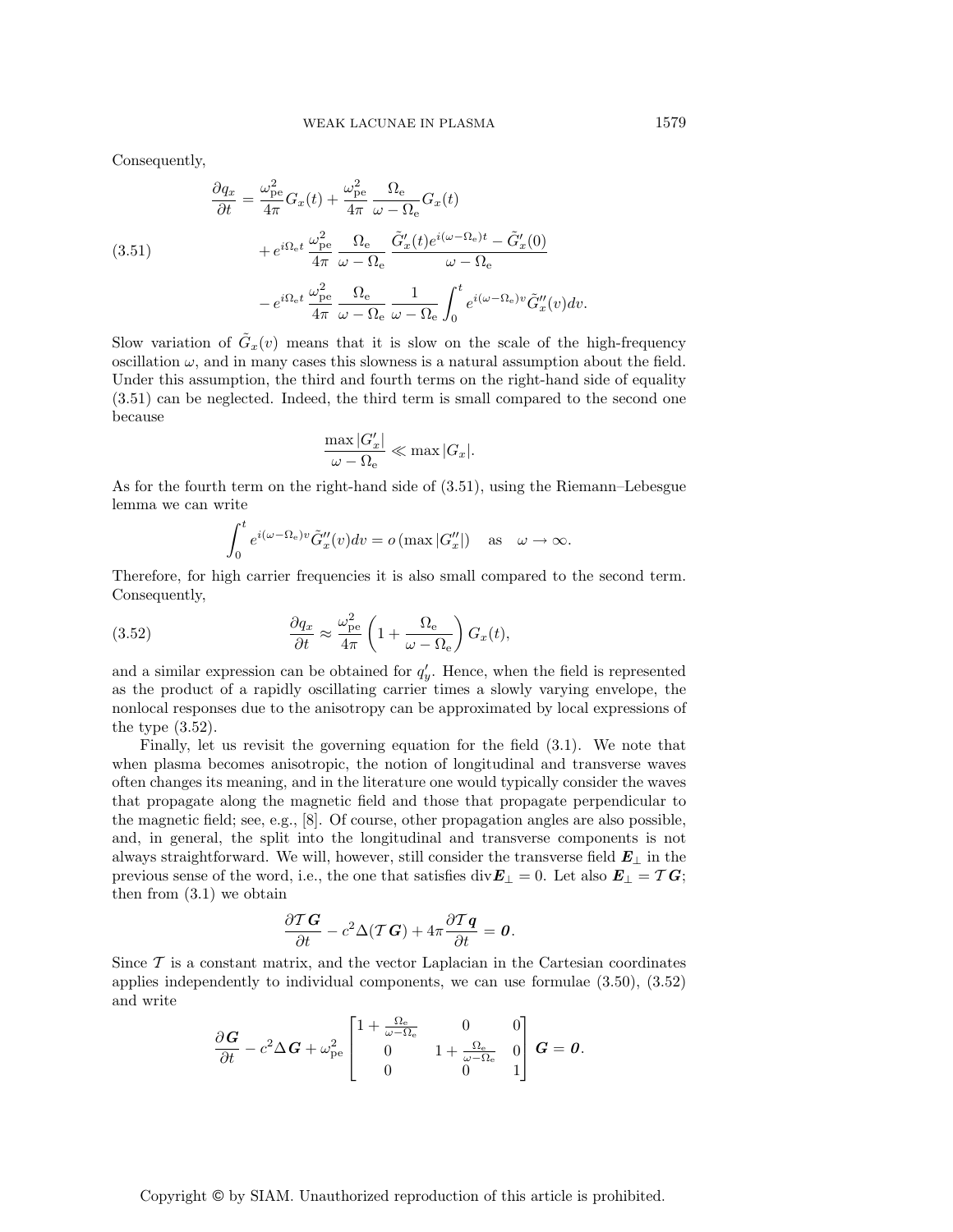Consequently,

(3.51)  
\n
$$
\frac{\partial q_x}{\partial t} = \frac{\omega_{\rm pe}^2}{4\pi} G_x(t) + \frac{\omega_{\rm pe}^2}{4\pi} \frac{\Omega_{\rm e}}{\omega - \Omega_{\rm e}} G_x(t)
$$
\n
$$
+ e^{i\Omega_{\rm e}t} \frac{\omega_{\rm pe}^2}{4\pi} \frac{\Omega_{\rm e}}{\omega - \Omega_{\rm e}} \frac{\tilde{G}_x'(t)e^{i(\omega - \Omega_{\rm e})t} - \tilde{G}_x'(0)}{\omega - \Omega_{\rm e}}
$$
\n
$$
- e^{i\Omega_{\rm e}t} \frac{\omega_{\rm pe}^2}{4\pi} \frac{\Omega_{\rm e}}{\omega - \Omega_{\rm e}} \frac{1}{\omega - \Omega_{\rm e}} \int_0^t e^{i(\omega - \Omega_{\rm e})v} \tilde{G}_x''(v) dv.
$$

Slow variation of  $\tilde{G}_x(v)$  means that it is slow on the scale of the high-frequency oscillation  $\omega$ , and in many cases this slowness is a natural assumption about the field. Under this assumption, the third and fourth terms on the right-hand side of equality (3.51) can be neglected. Indeed, the third term is small compared to the second one because

$$
\frac{\max|G'_x|}{\omega - \Omega_e} \ll \max|G_x|.
$$

As for the fourth term on the right-hand side of (3.51), using the Riemann–Lebesgue lemma we can write

$$
\int_0^t e^{i(\omega - \Omega_e)v} \tilde{G}_x''(v) dv = o(\max |G_x''|) \text{ as } \omega \to \infty.
$$

Therefore, for high carrier frequencies it is also small compared to the second term. Consequently,

(3.52) 
$$
\frac{\partial q_x}{\partial t} \approx \frac{\omega_{\rm pe}^2}{4\pi} \left( 1 + \frac{\Omega_{\rm e}}{\omega - \Omega_{\rm e}} \right) G_x(t),
$$

and a similar expression can be obtained for  $q'_y$ . Hence, when the field is represented as the product of a rapidly oscillating carrier times a slowly varying envelope, the nonlocal responses due to the anisotropy can be approximated by local expressions of the type (3.52).

Finally, let us revisit the governing equation for the field (3.1). We note that when plasma becomes anisotropic, the notion of longitudinal and transverse waves often changes its meaning, and in the literature one would typically consider the waves that propagate along the magnetic field and those that propagate perpendicular to the magnetic field; see, e.g., [8]. Of course, other propagation angles are also possible, and, in general, the split into the longitudinal and transverse components is not always straightforward. We will, however, still consider the transverse field *E*<sup>⊥</sup> in the previous sense of the word, i.e., the one that satisfies div $E_{\perp} = 0$ . Let also  $E_{\perp} = T G$ ; then from (3.1) we obtain

$$
\frac{\partial \mathcal{T}\boldsymbol{G}}{\partial t} - c^2 \Delta(\mathcal{T}\boldsymbol{G}) + 4\pi \frac{\partial \mathcal{T}\boldsymbol{q}}{\partial t} = \boldsymbol{0}.
$$

Since  $T$  is a constant matrix, and the vector Laplacian in the Cartesian coordinates applies independently to individual components, we can use formulae (3.50), (3.52) and write

$$
\frac{\partial \mathbf{G}}{\partial t} - c^2 \Delta \mathbf{G} + \omega_{\text{pe}}^2 \begin{bmatrix} 1 + \frac{\Omega_{\text{e}}}{\omega - \Omega_{\text{e}}} & 0 & 0 \\ 0 & 1 + \frac{\Omega_{\text{e}}}{\omega - \Omega_{\text{e}}} & 0 \\ 0 & 0 & 1 \end{bmatrix} \mathbf{G} = \mathbf{0}.
$$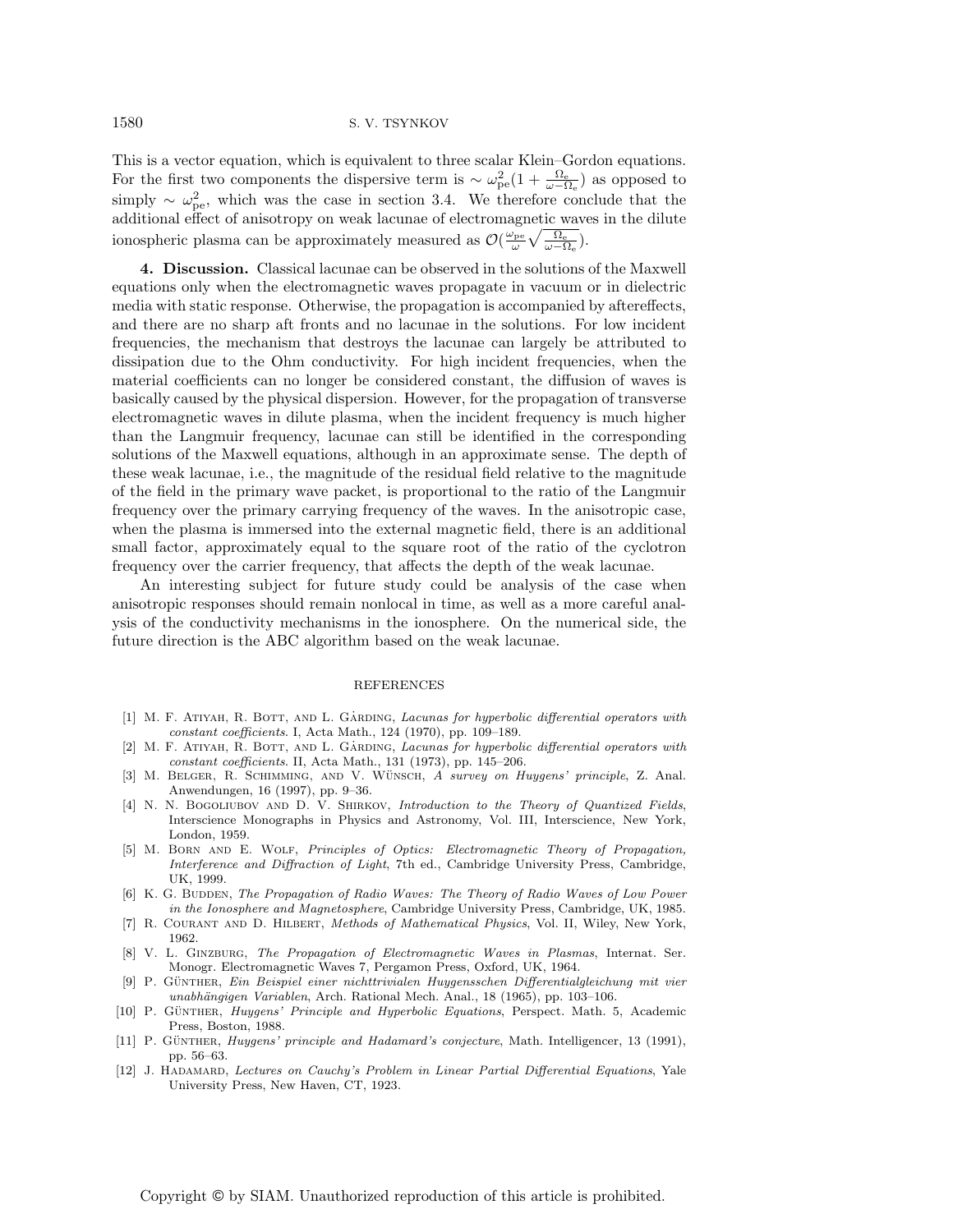This is a vector equation, which is equivalent to three scalar Klein–Gordon equations. For the first two components the dispersive term is  $\sim \omega_{\rm pe}^2(1+\frac{\Omega_{\rm e}}{\omega-\Omega_{\rm e}})$  as opposed to simply  $\sim \omega_{\rm pe}^2$ , which was the case in section 3.4. We therefore conclude that the additional effect of anisotropy on weak lacunae of electromagnetic waves in the dilute ionospheric plasma can be approximately measured as  $\mathcal{O}(\frac{\omega_{\rm pe}}{\omega}\sqrt{\frac{\Omega_{\rm e}}{\omega-\Omega_{\rm e}}})$ .

**4. Discussion.** Classical lacunae can be observed in the solutions of the Maxwell equations only when the electromagnetic waves propagate in vacuum or in dielectric media with static response. Otherwise, the propagation is accompanied by aftereffects, and there are no sharp aft fronts and no lacunae in the solutions. For low incident frequencies, the mechanism that destroys the lacunae can largely be attributed to dissipation due to the Ohm conductivity. For high incident frequencies, when the material coefficients can no longer be considered constant, the diffusion of waves is basically caused by the physical dispersion. However, for the propagation of transverse electromagnetic waves in dilute plasma, when the incident frequency is much higher than the Langmuir frequency, lacunae can still be identified in the corresponding solutions of the Maxwell equations, although in an approximate sense. The depth of these weak lacunae, i.e., the magnitude of the residual field relative to the magnitude of the field in the primary wave packet, is proportional to the ratio of the Langmuir frequency over the primary carrying frequency of the waves. In the anisotropic case, when the plasma is immersed into the external magnetic field, there is an additional small factor, approximately equal to the square root of the ratio of the cyclotron frequency over the carrier frequency, that affects the depth of the weak lacunae.

An interesting subject for future study could be analysis of the case when anisotropic responses should remain nonlocal in time, as well as a more careful analysis of the conductivity mechanisms in the ionosphere. On the numerical side, the future direction is the ABC algorithm based on the weak lacunae.

### REFERENCES

- [1] M. F. ATIYAH, R. BOTT, AND L. GARDING, Lacunas for hyperbolic differential operators with constant coefficients. I, Acta Math., 124 (1970), pp. 109–189.
- [2] M. F. ATIYAH, R. BOTT, AND L. GARDING, Lacunas for hyperbolic differential operators with constant coefficients. II, Acta Math., 131 (1973), pp. 145–206.
- [3] M. BELGER, R. SCHIMMING, AND V. WÜNSCH, A survey on Huygens' principle, Z. Anal. Anwendungen, 16 (1997), pp. 9–36.
- [4] N. N. BOGOLIUBOV AND D. V. SHIRKOV, Introduction to the Theory of Quantized Fields, Interscience Monographs in Physics and Astronomy, Vol. III, Interscience, New York, London, 1959.
- [5] M. Born and E. Wolf, Principles of Optics: Electromagnetic Theory of Propagation, Interference and Diffraction of Light, 7th ed., Cambridge University Press, Cambridge, UK, 1999.
- [6] K. G. BUDDEN, The Propagation of Radio Waves: The Theory of Radio Waves of Low Power in the Ionosphere and Magnetosphere, Cambridge University Press, Cambridge, UK, 1985.
- [7] R. Courant and D. Hilbert, Methods of Mathematical Physics, Vol. II, Wiley, New York, 1962.
- [8] V. L. Ginzburg, The Propagation of Electromagnetic Waves in Plasmas, Internat. Ser. Monogr. Electromagnetic Waves 7, Pergamon Press, Oxford, UK, 1964.
- [9] P. GÜNTHER, Ein Beispiel einer nichttrivialen Huygensschen Differentialgleichung mit vier unabhängigen Variablen, Arch. Rational Mech. Anal., 18 (1965), pp. 103-106.
- [10] P. GÜNTHER, Huygens' Principle and Hyperbolic Equations, Perspect. Math. 5, Academic Press, Boston, 1988.
- [11] P. GÜNTHER, Huygens' principle and Hadamard's conjecture, Math. Intelligencer, 13 (1991), pp. 56–63.
- [12] J. HADAMARD, Lectures on Cauchy's Problem in Linear Partial Differential Equations, Yale University Press, New Haven, CT, 1923.